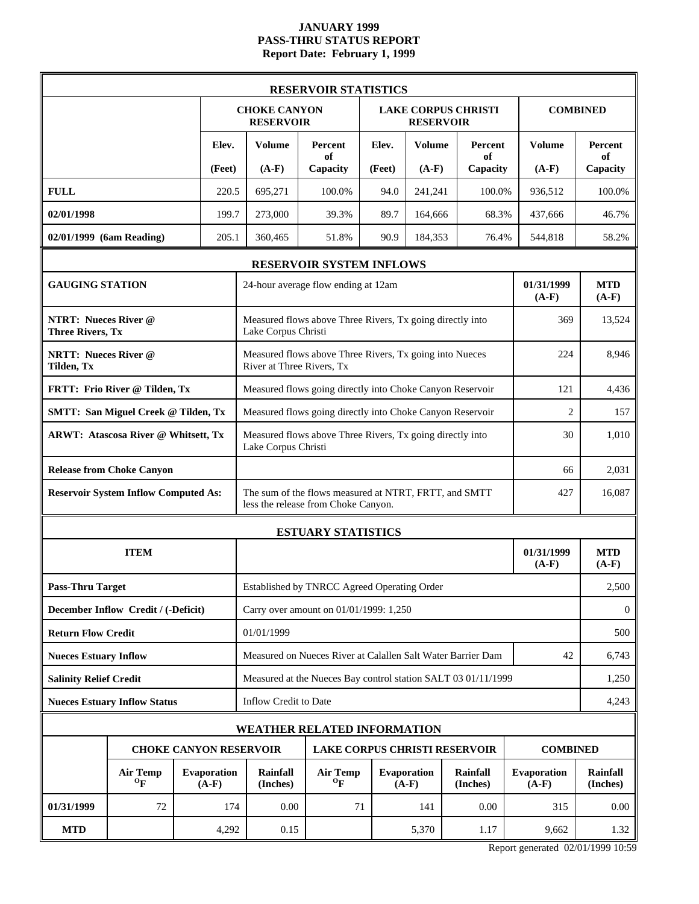# **JANUARY 1999 PASS-THRU STATUS REPORT Report Date: February 1, 1999**

|                                                        |                                              |                               |                                                                                  | <b>RESERVOIR STATISTICS</b>                                                                  |        |                        |                            |                               |                             |
|--------------------------------------------------------|----------------------------------------------|-------------------------------|----------------------------------------------------------------------------------|----------------------------------------------------------------------------------------------|--------|------------------------|----------------------------|-------------------------------|-----------------------------|
|                                                        |                                              |                               | <b>CHOKE CANYON</b><br><b>RESERVOIR</b>                                          |                                                                                              |        | <b>RESERVOIR</b>       | <b>LAKE CORPUS CHRISTI</b> | <b>COMBINED</b>               |                             |
|                                                        |                                              | Elev.                         | <b>Volume</b>                                                                    | Percent<br>of                                                                                | Elev.  | <b>Volume</b>          | Percent<br>of              | <b>Volume</b>                 | <b>Percent</b><br>of        |
|                                                        |                                              | (Feet)                        | $(A-F)$                                                                          | Capacity                                                                                     | (Feet) | $(A-F)$                | Capacity                   | $(A-F)$                       | Capacity                    |
| <b>FULL</b>                                            |                                              | 220.5                         | 695,271                                                                          | 100.0%                                                                                       | 94.0   | 241,241                | 100.0%                     | 936,512                       | 100.0%                      |
| 02/01/1998                                             |                                              | 199.7                         | 273,000                                                                          | 39.3%                                                                                        | 89.7   | 164,666                | 68.3%                      | 437,666                       | 46.7%                       |
| 02/01/1999 (6am Reading)                               |                                              | 205.1                         | 360,465                                                                          | 51.8%                                                                                        | 90.9   | 184,353                | 76.4%                      | 544,818                       | 58.2%                       |
|                                                        |                                              |                               |                                                                                  | <b>RESERVOIR SYSTEM INFLOWS</b>                                                              |        |                        |                            |                               |                             |
| <b>GAUGING STATION</b>                                 |                                              |                               |                                                                                  | 24-hour average flow ending at 12am                                                          |        |                        |                            | 01/31/1999<br>$(A-F)$         | <b>MTD</b><br>$(A-F)$       |
| <b>NTRT: Nueces River @</b><br><b>Three Rivers, Tx</b> |                                              |                               | Lake Corpus Christi                                                              | Measured flows above Three Rivers, Tx going directly into                                    |        |                        |                            | 369                           | 13,524                      |
| <b>NRTT: Nueces River @</b><br>Tilden, Tx              |                                              |                               | River at Three Rivers, Tx                                                        | Measured flows above Three Rivers, Tx going into Nueces                                      |        |                        |                            | 224                           | 8,946                       |
|                                                        | FRTT: Frio River @ Tilden, Tx                |                               | Measured flows going directly into Choke Canyon Reservoir                        | 121                                                                                          | 4,436  |                        |                            |                               |                             |
|                                                        | <b>SMTT: San Miguel Creek @ Tilden, Tx</b>   |                               | Measured flows going directly into Choke Canyon Reservoir                        | $\overline{2}$                                                                               | 157    |                        |                            |                               |                             |
|                                                        | ARWT: Atascosa River @ Whitsett, Tx          |                               | Measured flows above Three Rivers, Tx going directly into<br>Lake Corpus Christi |                                                                                              |        |                        |                            |                               | 1,010                       |
|                                                        | <b>Release from Choke Canyon</b>             |                               |                                                                                  |                                                                                              |        |                        |                            |                               | 2,031                       |
|                                                        | <b>Reservoir System Inflow Computed As:</b>  |                               |                                                                                  | The sum of the flows measured at NTRT, FRTT, and SMTT<br>less the release from Choke Canyon. |        |                        |                            | 427                           | 16,087                      |
|                                                        |                                              |                               |                                                                                  | <b>ESTUARY STATISTICS</b>                                                                    |        |                        |                            |                               |                             |
|                                                        | <b>ITEM</b>                                  |                               |                                                                                  |                                                                                              |        |                        |                            |                               | <b>MTD</b><br>$(A-F)$       |
| <b>Pass-Thru Target</b>                                |                                              |                               |                                                                                  | Established by TNRCC Agreed Operating Order                                                  |        |                        |                            |                               | 2,500                       |
|                                                        | December Inflow Credit / (-Deficit)          |                               |                                                                                  | Carry over amount on 01/01/1999: 1,250                                                       |        |                        |                            |                               | $\mathbf{0}$                |
| <b>Return Flow Credit</b>                              |                                              |                               | 01/01/1999                                                                       |                                                                                              |        |                        |                            |                               | 500                         |
| <b>Nueces Estuary Inflow</b>                           |                                              |                               |                                                                                  | Measured on Nueces River at Calallen Salt Water Barrier Dam                                  |        |                        |                            | 42                            | 6,743                       |
| <b>Salinity Relief Credit</b>                          |                                              |                               |                                                                                  | Measured at the Nueces Bay control station SALT 03 01/11/1999                                |        |                        |                            |                               | 1,250                       |
|                                                        | <b>Nueces Estuary Inflow Status</b>          |                               | <b>Inflow Credit to Date</b>                                                     |                                                                                              |        |                        |                            |                               | 4,243                       |
|                                                        |                                              |                               |                                                                                  | <b>WEATHER RELATED INFORMATION</b>                                                           |        |                        |                            |                               |                             |
|                                                        |                                              |                               | <b>CHOKE CANYON RESERVOIR</b>                                                    | <b>LAKE CORPUS CHRISTI RESERVOIR</b>                                                         |        |                        |                            | <b>COMBINED</b>               |                             |
|                                                        | <b>Air Temp</b><br>$\mathbf{O}_{\mathbf{F}}$ | <b>Evaporation</b><br>$(A-F)$ | Rainfall<br>(Inches)                                                             | <b>Air Temp</b><br>$\mathbf{p}$                                                              |        | Evaporation<br>$(A-F)$ | Rainfall<br>(Inches)       | <b>Evaporation</b><br>$(A-F)$ | <b>Rainfall</b><br>(Inches) |
| 01/31/1999                                             | 72                                           | 174                           | 0.00                                                                             | 71                                                                                           |        | 141                    | 0.00                       | 315                           | 0.00                        |
| <b>MTD</b>                                             |                                              | 4,292                         | 0.15                                                                             |                                                                                              |        | 5,370                  | 1.17                       | 9,662                         | 1.32                        |

Report generated 02/01/1999 10:59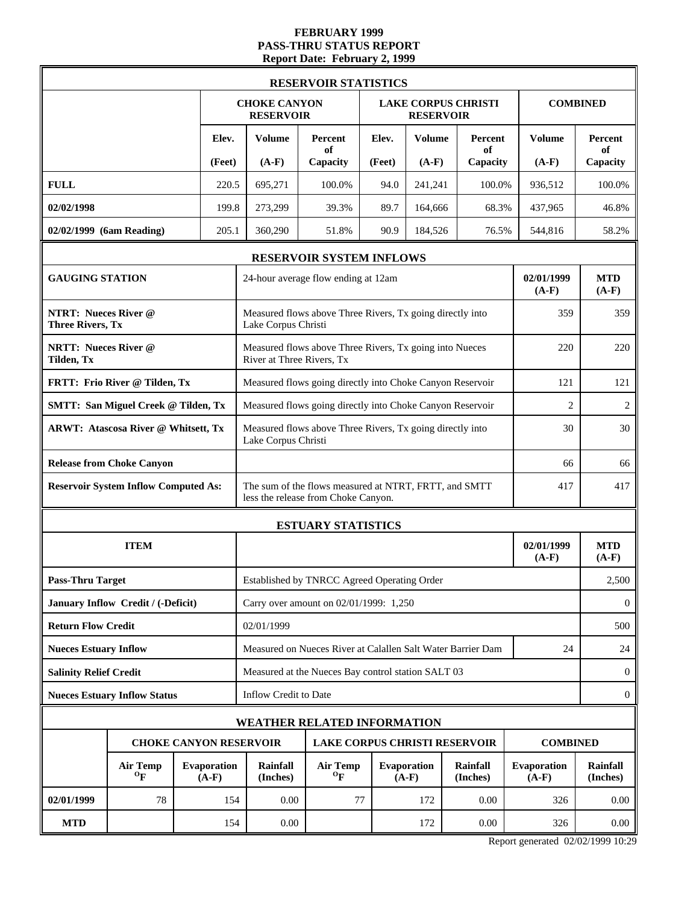### **FEBRUARY 1999 PASS-THRU STATUS REPORT Report Date: February 2, 1999**

|                                                        |                                             |                        |                                                                                  | <b>RESERVOIR STATISTICS</b>                                                                  |        |                               |                             |                        |                       |
|--------------------------------------------------------|---------------------------------------------|------------------------|----------------------------------------------------------------------------------|----------------------------------------------------------------------------------------------|--------|-------------------------------|-----------------------------|------------------------|-----------------------|
|                                                        |                                             |                        | <b>CHOKE CANYON</b><br><b>RESERVOIR</b>                                          |                                                                                              |        | <b>RESERVOIR</b>              | <b>LAKE CORPUS CHRISTI</b>  |                        | <b>COMBINED</b>       |
|                                                        |                                             | Elev.                  | <b>Volume</b>                                                                    | Percent<br>of                                                                                | Elev.  | <b>Volume</b>                 | Percent<br>of               | <b>Volume</b>          | Percent<br>of         |
|                                                        |                                             | (Feet)                 | $(A-F)$                                                                          | Capacity                                                                                     | (Feet) | $(A-F)$                       | Capacity                    | $(A-F)$                | Capacity              |
| <b>FULL</b>                                            |                                             | 220.5                  | 695,271                                                                          | 100.0%                                                                                       | 94.0   | 241,241                       | 100.0%                      | 936,512                | 100.0%                |
| 02/02/1998                                             |                                             | 199.8                  | 273,299                                                                          | 39.3%                                                                                        | 89.7   | 164,666                       | 68.3%                       | 437,965                | 46.8%                 |
| 02/02/1999 (6am Reading)                               |                                             | 205.1                  | 360,290                                                                          | 51.8%                                                                                        | 90.9   | 184,526                       | 76.5%                       | 544,816                | 58.2%                 |
|                                                        |                                             |                        |                                                                                  | <b>RESERVOIR SYSTEM INFLOWS</b>                                                              |        |                               |                             |                        |                       |
| <b>GAUGING STATION</b>                                 |                                             |                        |                                                                                  | 24-hour average flow ending at 12am                                                          |        |                               |                             | 02/01/1999<br>$(A-F)$  | <b>MTD</b><br>$(A-F)$ |
| <b>NTRT: Nueces River @</b><br><b>Three Rivers, Tx</b> |                                             |                        | Lake Corpus Christi                                                              | Measured flows above Three Rivers, Tx going directly into                                    |        |                               |                             | 359                    | 359                   |
| <b>NRTT: Nueces River @</b><br>Tilden, Tx              |                                             |                        | River at Three Rivers, Tx                                                        | Measured flows above Three Rivers, Tx going into Nueces                                      |        |                               |                             | 220                    | 220                   |
|                                                        | FRTT: Frio River @ Tilden, Tx               |                        | Measured flows going directly into Choke Canyon Reservoir                        | 121                                                                                          | 121    |                               |                             |                        |                       |
|                                                        | <b>SMTT: San Miguel Creek @ Tilden, Tx</b>  |                        | Measured flows going directly into Choke Canyon Reservoir                        | $\overline{2}$                                                                               | 2      |                               |                             |                        |                       |
|                                                        | <b>ARWT: Atascosa River @ Whitsett, Tx</b>  |                        | Measured flows above Three Rivers, Tx going directly into<br>Lake Corpus Christi | 30                                                                                           | 30     |                               |                             |                        |                       |
|                                                        | <b>Release from Choke Canyon</b>            |                        |                                                                                  | 66                                                                                           | 66     |                               |                             |                        |                       |
|                                                        | <b>Reservoir System Inflow Computed As:</b> |                        |                                                                                  | The sum of the flows measured at NTRT, FRTT, and SMTT<br>less the release from Choke Canyon. |        |                               |                             | 417                    | 417                   |
|                                                        |                                             |                        | <b>ESTUARY STATISTICS</b>                                                        |                                                                                              |        |                               |                             |                        |                       |
|                                                        | <b>ITEM</b>                                 |                        |                                                                                  |                                                                                              |        |                               |                             | 02/01/1999<br>$(A-F)$  | <b>MTD</b><br>$(A-F)$ |
| <b>Pass-Thru Target</b>                                |                                             |                        |                                                                                  | Established by TNRCC Agreed Operating Order                                                  |        |                               |                             |                        | 2,500                 |
|                                                        | January Inflow Credit / (-Deficit)          |                        |                                                                                  | Carry over amount on 02/01/1999: 1,250                                                       |        |                               |                             |                        | $\theta$              |
| <b>Return Flow Credit</b>                              |                                             |                        | 02/01/1999                                                                       |                                                                                              |        |                               |                             |                        | 500                   |
| <b>Nueces Estuary Inflow</b>                           |                                             |                        |                                                                                  | Measured on Nueces River at Calallen Salt Water Barrier Dam                                  |        |                               |                             | 24                     | 24                    |
| <b>Salinity Relief Credit</b>                          |                                             |                        |                                                                                  | Measured at the Nueces Bay control station SALT 03                                           |        |                               |                             |                        | $\mathbf{0}$          |
|                                                        | <b>Nueces Estuary Inflow Status</b>         |                        | Inflow Credit to Date                                                            |                                                                                              |        |                               |                             |                        | $\boldsymbol{0}$      |
|                                                        |                                             |                        | <b>WEATHER RELATED INFORMATION</b>                                               |                                                                                              |        |                               |                             |                        |                       |
|                                                        |                                             |                        | <b>CHOKE CANYON RESERVOIR</b>                                                    | <b>LAKE CORPUS CHRISTI RESERVOIR</b>                                                         |        |                               |                             | <b>COMBINED</b>        |                       |
|                                                        | <b>Air Temp</b><br>$\mathbf{p}$             | Evaporation<br>$(A-F)$ | <b>Rainfall</b><br>(Inches)                                                      | <b>Air Temp</b><br>$\mathbf{^0F}$                                                            |        | <b>Evaporation</b><br>$(A-F)$ | <b>Rainfall</b><br>(Inches) | Evaporation<br>$(A-F)$ | Rainfall<br>(Inches)  |
| 02/01/1999                                             | 78                                          | 154                    | 0.00                                                                             | 77                                                                                           |        | 172                           | 0.00                        | 326                    | 0.00                  |
| <b>MTD</b>                                             |                                             | 154                    | 0.00                                                                             |                                                                                              |        | 172                           | 0.00                        | 326                    | $0.00\,$              |

Report generated 02/02/1999 10:29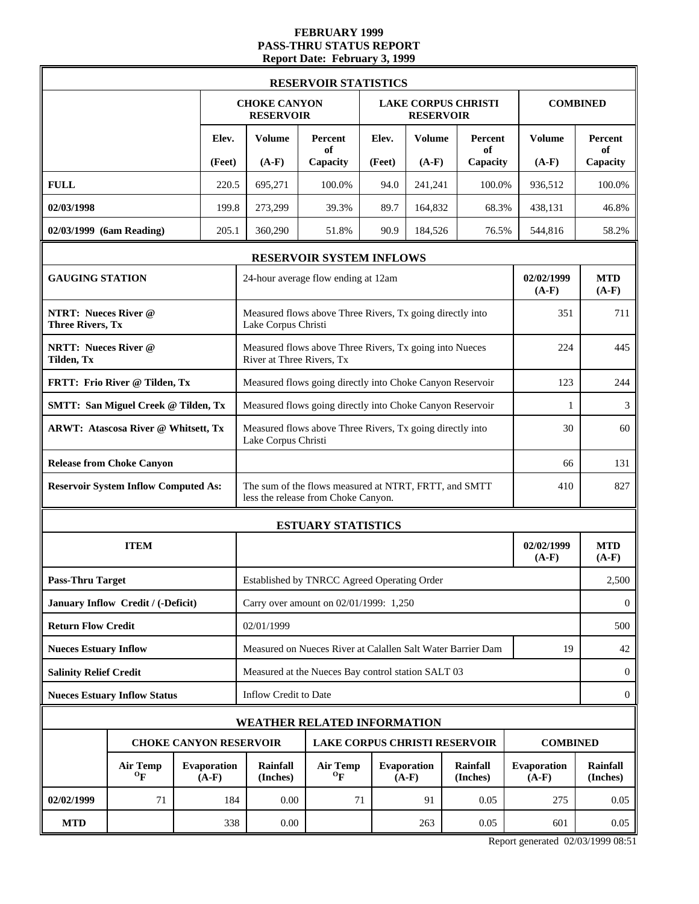### **FEBRUARY 1999 PASS-THRU STATUS REPORT Report Date: February 3, 1999**

|                                                        |                                             |                        |                                                                                  | <b>RESERVOIR STATISTICS</b>                                                                  |        |                               |                            |                        |                       |
|--------------------------------------------------------|---------------------------------------------|------------------------|----------------------------------------------------------------------------------|----------------------------------------------------------------------------------------------|--------|-------------------------------|----------------------------|------------------------|-----------------------|
|                                                        |                                             |                        | <b>CHOKE CANYON</b><br><b>RESERVOIR</b>                                          |                                                                                              |        | <b>RESERVOIR</b>              | <b>LAKE CORPUS CHRISTI</b> |                        | <b>COMBINED</b>       |
|                                                        |                                             | Elev.                  | <b>Volume</b>                                                                    | Percent<br>of                                                                                | Elev.  | <b>Volume</b>                 | Percent<br>of              | <b>Volume</b>          | Percent<br>of         |
|                                                        |                                             | (Feet)                 | $(A-F)$                                                                          | Capacity                                                                                     | (Feet) | $(A-F)$                       | Capacity                   | $(A-F)$                | Capacity              |
| <b>FULL</b>                                            |                                             | 220.5                  | 695,271                                                                          | 100.0%                                                                                       | 94.0   | 241,241                       | 100.0%                     | 936,512                | 100.0%                |
| 02/03/1998                                             |                                             | 199.8                  | 273,299                                                                          | 39.3%                                                                                        | 89.7   | 164,832                       | 68.3%                      | 438,131                | 46.8%                 |
| 02/03/1999 (6am Reading)                               |                                             | 205.1                  | 360,290                                                                          | 51.8%                                                                                        | 90.9   | 184,526                       | 76.5%                      | 544,816                | 58.2%                 |
|                                                        |                                             |                        |                                                                                  | <b>RESERVOIR SYSTEM INFLOWS</b>                                                              |        |                               |                            |                        |                       |
| <b>GAUGING STATION</b>                                 |                                             |                        |                                                                                  | 24-hour average flow ending at 12am                                                          |        |                               |                            | 02/02/1999<br>$(A-F)$  | <b>MTD</b><br>$(A-F)$ |
| <b>NTRT: Nueces River @</b><br><b>Three Rivers, Tx</b> |                                             |                        | Lake Corpus Christi                                                              | Measured flows above Three Rivers, Tx going directly into                                    |        |                               |                            | 351                    | 711                   |
| <b>NRTT: Nueces River @</b><br>Tilden, Tx              |                                             |                        | River at Three Rivers, Tx                                                        | Measured flows above Three Rivers, Tx going into Nueces                                      |        |                               |                            | 224                    | 445                   |
|                                                        | FRTT: Frio River @ Tilden, Tx               |                        | Measured flows going directly into Choke Canyon Reservoir                        | 123                                                                                          | 244    |                               |                            |                        |                       |
|                                                        | <b>SMTT: San Miguel Creek @ Tilden, Tx</b>  |                        | Measured flows going directly into Choke Canyon Reservoir                        | 1                                                                                            | 3      |                               |                            |                        |                       |
|                                                        | <b>ARWT: Atascosa River @ Whitsett, Tx</b>  |                        | Measured flows above Three Rivers, Tx going directly into<br>Lake Corpus Christi | 30                                                                                           | 60     |                               |                            |                        |                       |
|                                                        | <b>Release from Choke Canyon</b>            |                        |                                                                                  | 66                                                                                           | 131    |                               |                            |                        |                       |
|                                                        | <b>Reservoir System Inflow Computed As:</b> |                        |                                                                                  | The sum of the flows measured at NTRT, FRTT, and SMTT<br>less the release from Choke Canyon. |        |                               |                            | 410                    | 827                   |
|                                                        |                                             |                        | <b>ESTUARY STATISTICS</b>                                                        |                                                                                              |        |                               |                            |                        |                       |
|                                                        | <b>ITEM</b>                                 |                        |                                                                                  |                                                                                              |        |                               |                            | 02/02/1999<br>$(A-F)$  | <b>MTD</b><br>$(A-F)$ |
| <b>Pass-Thru Target</b>                                |                                             |                        |                                                                                  | Established by TNRCC Agreed Operating Order                                                  |        |                               |                            |                        | 2,500                 |
|                                                        | January Inflow Credit / (-Deficit)          |                        |                                                                                  | Carry over amount on 02/01/1999: 1,250                                                       |        |                               |                            |                        | $\theta$              |
| <b>Return Flow Credit</b>                              |                                             |                        | 02/01/1999                                                                       |                                                                                              |        |                               |                            |                        | 500                   |
| <b>Nueces Estuary Inflow</b>                           |                                             |                        |                                                                                  | Measured on Nueces River at Calallen Salt Water Barrier Dam                                  |        |                               |                            | 19                     | 42                    |
| <b>Salinity Relief Credit</b>                          |                                             |                        |                                                                                  | Measured at the Nueces Bay control station SALT 03                                           |        |                               |                            |                        | $\mathbf{0}$          |
|                                                        | <b>Nueces Estuary Inflow Status</b>         |                        | Inflow Credit to Date                                                            |                                                                                              |        |                               |                            |                        | $\boldsymbol{0}$      |
|                                                        |                                             |                        | <b>WEATHER RELATED INFORMATION</b>                                               |                                                                                              |        |                               |                            |                        |                       |
|                                                        |                                             |                        | <b>CHOKE CANYON RESERVOIR</b>                                                    | <b>LAKE CORPUS CHRISTI RESERVOIR</b>                                                         |        |                               |                            | <b>COMBINED</b>        |                       |
|                                                        | <b>Air Temp</b><br>$\mathbf{p}$             | Evaporation<br>$(A-F)$ | <b>Rainfall</b><br>(Inches)                                                      | <b>Air Temp</b><br>$\mathbf{^0F}$                                                            |        | <b>Evaporation</b><br>$(A-F)$ | Rainfall<br>(Inches)       | Evaporation<br>$(A-F)$ | Rainfall<br>(Inches)  |
| 02/02/1999                                             | 71                                          | 184                    | 0.00                                                                             | 71                                                                                           |        | 91                            | 0.05                       | 275                    | 0.05                  |
| <b>MTD</b>                                             |                                             | 338                    | 0.00                                                                             |                                                                                              |        | 263                           | 0.05                       | 601                    | 0.05                  |

Report generated 02/03/1999 08:51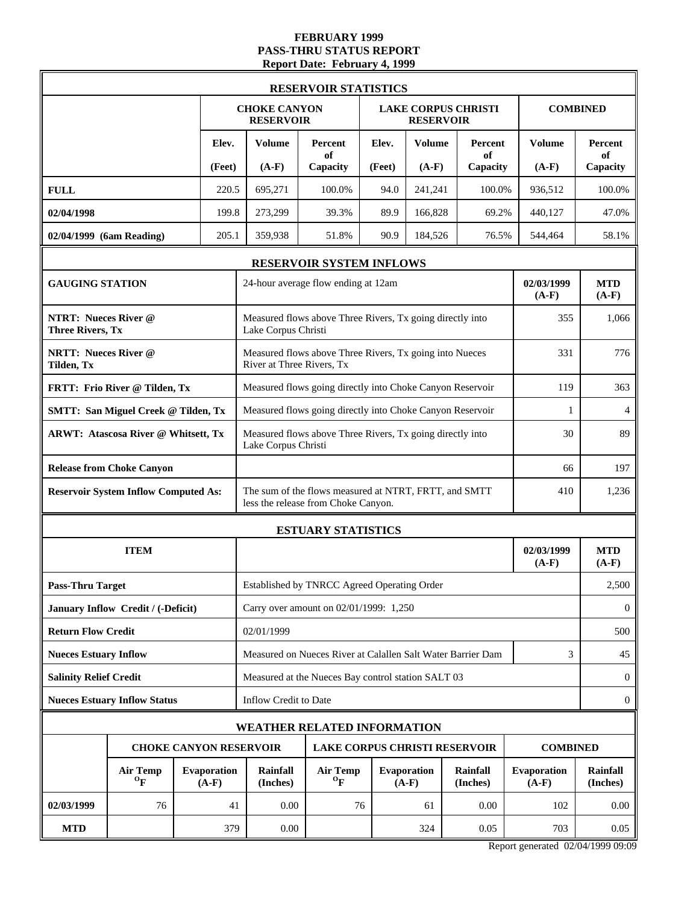#### **FEBRUARY 1999 PASS-THRU STATUS REPORT Report Date: February 4, 1999**

|                                                        |                                              |                               |                                                                                  | <b>RESERVOIR STATISTICS</b>                                                                  |        |                               |                                      |                        |                             |
|--------------------------------------------------------|----------------------------------------------|-------------------------------|----------------------------------------------------------------------------------|----------------------------------------------------------------------------------------------|--------|-------------------------------|--------------------------------------|------------------------|-----------------------------|
|                                                        |                                              |                               | <b>CHOKE CANYON</b><br><b>RESERVOIR</b>                                          |                                                                                              |        | <b>RESERVOIR</b>              | <b>LAKE CORPUS CHRISTI</b>           |                        | <b>COMBINED</b>             |
|                                                        |                                              | Elev.                         | Volume                                                                           | <b>Percent</b><br>of                                                                         | Elev.  | <b>Volume</b>                 | <b>Percent</b><br>of                 | Volume                 | <b>Percent</b><br>of        |
|                                                        |                                              | (Feet)                        | $(A-F)$                                                                          | Capacity                                                                                     | (Feet) | $(A-F)$                       | Capacity                             | $(A-F)$                | Capacity                    |
| <b>FULL</b>                                            |                                              | 220.5                         | 695,271                                                                          | 100.0%                                                                                       | 94.0   | 241,241                       | 100.0%                               | 936,512                | 100.0%                      |
| 02/04/1998                                             |                                              | 199.8                         | 273,299                                                                          | 39.3%                                                                                        | 89.9   | 166,828                       | 69.2%                                | 440,127                | 47.0%                       |
| 02/04/1999 (6am Reading)                               |                                              | 205.1                         | 359,938                                                                          | 51.8%                                                                                        | 90.9   | 184,526                       | 76.5%                                | 544,464                | 58.1%                       |
|                                                        |                                              |                               |                                                                                  | RESERVOIR SYSTEM INFLOWS                                                                     |        |                               |                                      |                        |                             |
| <b>GAUGING STATION</b>                                 |                                              |                               |                                                                                  | 24-hour average flow ending at 12am                                                          |        |                               |                                      | 02/03/1999<br>$(A-F)$  | <b>MTD</b><br>$(A-F)$       |
| <b>NTRT: Nueces River @</b><br><b>Three Rivers, Tx</b> |                                              |                               | Lake Corpus Christi                                                              | Measured flows above Three Rivers, Tx going directly into                                    |        |                               |                                      | 355                    | 1,066                       |
| <b>NRTT: Nueces River @</b><br>Tilden, Tx              |                                              |                               | River at Three Rivers, Tx                                                        | Measured flows above Three Rivers, Tx going into Nueces                                      |        |                               |                                      | 331                    | 776                         |
|                                                        | FRTT: Frio River @ Tilden, Tx                |                               | Measured flows going directly into Choke Canyon Reservoir                        | 119                                                                                          | 363    |                               |                                      |                        |                             |
|                                                        | <b>SMTT: San Miguel Creek @ Tilden, Tx</b>   |                               | Measured flows going directly into Choke Canyon Reservoir                        | 1                                                                                            | 4      |                               |                                      |                        |                             |
|                                                        | <b>ARWT: Atascosa River @ Whitsett, Tx</b>   |                               | Measured flows above Three Rivers, Tx going directly into<br>Lake Corpus Christi | 30                                                                                           | 89     |                               |                                      |                        |                             |
|                                                        | <b>Release from Choke Canyon</b>             |                               |                                                                                  | 66                                                                                           | 197    |                               |                                      |                        |                             |
|                                                        | <b>Reservoir System Inflow Computed As:</b>  |                               |                                                                                  | The sum of the flows measured at NTRT, FRTT, and SMTT<br>less the release from Choke Canyon. |        |                               |                                      | 410                    | 1,236                       |
|                                                        |                                              |                               | <b>ESTUARY STATISTICS</b>                                                        |                                                                                              |        |                               |                                      |                        |                             |
|                                                        | <b>ITEM</b>                                  |                               |                                                                                  |                                                                                              |        |                               |                                      | 02/03/1999<br>$(A-F)$  | <b>MTD</b><br>$(A-F)$       |
| <b>Pass-Thru Target</b>                                |                                              |                               |                                                                                  | Established by TNRCC Agreed Operating Order                                                  |        |                               |                                      |                        | 2,500                       |
|                                                        | January Inflow Credit / (-Deficit)           |                               |                                                                                  | Carry over amount on 02/01/1999: 1,250                                                       |        |                               |                                      |                        | $\mathbf{0}$                |
| <b>Return Flow Credit</b>                              |                                              |                               | 02/01/1999                                                                       |                                                                                              |        |                               |                                      |                        | 500                         |
| <b>Nueces Estuary Inflow</b>                           |                                              |                               |                                                                                  | Measured on Nueces River at Calallen Salt Water Barrier Dam                                  |        |                               |                                      | 3                      | 45                          |
| <b>Salinity Relief Credit</b>                          |                                              |                               |                                                                                  | Measured at the Nueces Bay control station SALT 03                                           |        |                               |                                      |                        | $\mathbf{0}$                |
|                                                        | <b>Nueces Estuary Inflow Status</b>          |                               | Inflow Credit to Date                                                            |                                                                                              |        |                               |                                      |                        | $\boldsymbol{0}$            |
|                                                        |                                              |                               |                                                                                  | WEATHER RELATED INFORMATION                                                                  |        |                               |                                      |                        |                             |
|                                                        |                                              |                               | <b>CHOKE CANYON RESERVOIR</b>                                                    |                                                                                              |        |                               | <b>LAKE CORPUS CHRISTI RESERVOIR</b> | <b>COMBINED</b>        |                             |
|                                                        | <b>Air Temp</b><br>$\mathbf{O}_{\mathbf{F}}$ | <b>Evaporation</b><br>$(A-F)$ | <b>Rainfall</b><br>(Inches)                                                      | <b>Air Temp</b><br>$\mathbf{o}_{\mathbf{F}}$                                                 |        | <b>Evaporation</b><br>$(A-F)$ | Rainfall<br>(Inches)                 | Evaporation<br>$(A-F)$ | <b>Rainfall</b><br>(Inches) |
| 02/03/1999                                             | 76                                           | 41                            | 0.00                                                                             | 76                                                                                           |        | 61                            | 0.00                                 | 102                    | 0.00                        |
| <b>MTD</b>                                             |                                              | 379                           | 0.00                                                                             |                                                                                              |        | 324                           | 0.05                                 | 703                    | 0.05                        |

Report generated 02/04/1999 09:09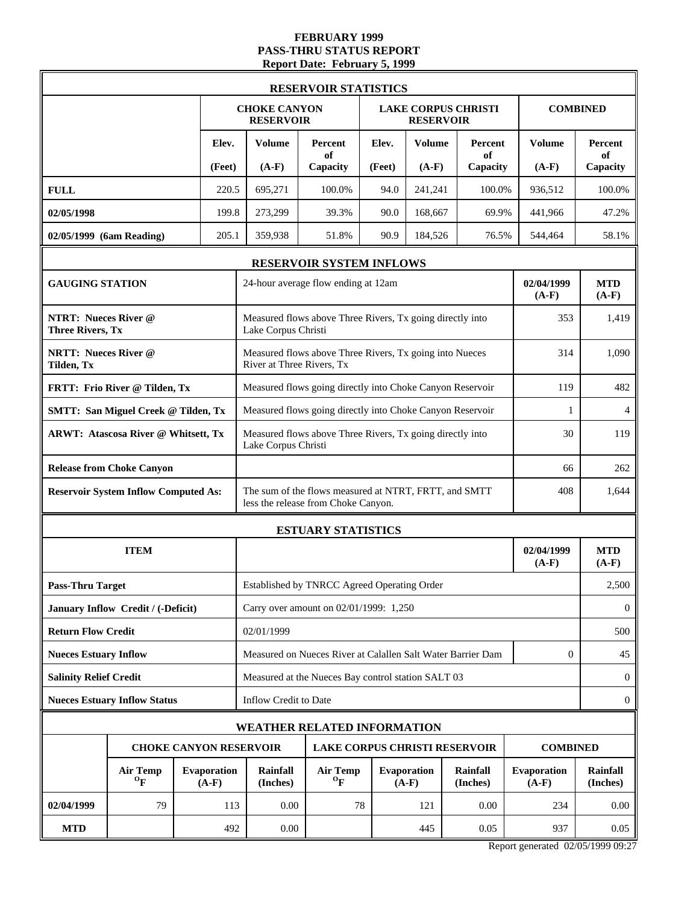#### **FEBRUARY 1999 PASS-THRU STATUS REPORT Report Date: February 5, 1999**

|                                                        |                                              |                               |                                                                                  | <b>RESERVOIR STATISTICS</b>                                                                  |        |                               |                            |                        |                                                          |
|--------------------------------------------------------|----------------------------------------------|-------------------------------|----------------------------------------------------------------------------------|----------------------------------------------------------------------------------------------|--------|-------------------------------|----------------------------|------------------------|----------------------------------------------------------|
|                                                        |                                              |                               | <b>CHOKE CANYON</b><br><b>RESERVOIR</b>                                          |                                                                                              |        | <b>RESERVOIR</b>              | <b>LAKE CORPUS CHRISTI</b> |                        | <b>COMBINED</b>                                          |
|                                                        |                                              | Elev.                         | <b>Volume</b>                                                                    | Percent<br>of                                                                                | Elev.  | <b>Volume</b>                 | Percent<br>of              | Volume                 | <b>Percent</b><br>of                                     |
|                                                        |                                              | (Feet)                        | $(A-F)$                                                                          | Capacity                                                                                     | (Feet) | $(A-F)$                       | Capacity                   | $(A-F)$                | Capacity                                                 |
| <b>FULL</b>                                            |                                              | 220.5                         | 695,271                                                                          | 100.0%                                                                                       | 94.0   | 241,241                       | 100.0%                     | 936,512                | 100.0%                                                   |
| 02/05/1998                                             |                                              | 199.8                         | 273,299                                                                          | 39.3%                                                                                        | 90.0   | 168,667                       | 69.9%                      | 441,966                | 47.2%                                                    |
| 02/05/1999 (6am Reading)                               |                                              | 205.1                         | 359,938                                                                          | 51.8%                                                                                        | 90.9   | 184,526                       | 76.5%                      | 544,464                | 58.1%                                                    |
|                                                        |                                              |                               |                                                                                  | RESERVOIR SYSTEM INFLOWS                                                                     |        |                               |                            |                        |                                                          |
| <b>GAUGING STATION</b>                                 |                                              |                               |                                                                                  | 24-hour average flow ending at 12am                                                          |        |                               |                            | 02/04/1999<br>$(A-F)$  | <b>MTD</b><br>$(A-F)$                                    |
| <b>NTRT: Nueces River @</b><br><b>Three Rivers, Tx</b> |                                              |                               | Lake Corpus Christi                                                              | Measured flows above Three Rivers, Tx going directly into                                    |        |                               |                            | 353                    | 1,419                                                    |
| <b>NRTT: Nueces River @</b><br>Tilden, Tx              |                                              |                               | River at Three Rivers, Tx                                                        | Measured flows above Three Rivers, Tx going into Nueces                                      |        |                               |                            | 314                    | 1,090                                                    |
|                                                        | FRTT: Frio River @ Tilden, Tx                |                               | Measured flows going directly into Choke Canyon Reservoir                        | 119                                                                                          | 482    |                               |                            |                        |                                                          |
|                                                        | <b>SMTT: San Miguel Creek @ Tilden, Tx</b>   |                               |                                                                                  | Measured flows going directly into Choke Canyon Reservoir                                    | 1      | $\overline{4}$                |                            |                        |                                                          |
|                                                        | <b>ARWT: Atascosa River @ Whitsett, Tx</b>   |                               | Measured flows above Three Rivers, Tx going directly into<br>Lake Corpus Christi | 30                                                                                           | 119    |                               |                            |                        |                                                          |
|                                                        | <b>Release from Choke Canyon</b>             |                               |                                                                                  | 66                                                                                           | 262    |                               |                            |                        |                                                          |
|                                                        | <b>Reservoir System Inflow Computed As:</b>  |                               |                                                                                  | The sum of the flows measured at NTRT, FRTT, and SMTT<br>less the release from Choke Canyon. |        |                               |                            | 408                    | 1,644                                                    |
|                                                        |                                              |                               | <b>ESTUARY STATISTICS</b>                                                        |                                                                                              |        |                               |                            |                        |                                                          |
|                                                        | <b>ITEM</b>                                  |                               |                                                                                  |                                                                                              |        |                               |                            | 02/04/1999<br>$(A-F)$  | <b>MTD</b><br>$(A-F)$                                    |
| <b>Pass-Thru Target</b>                                |                                              |                               |                                                                                  | Established by TNRCC Agreed Operating Order                                                  |        |                               |                            |                        | 2,500                                                    |
|                                                        | January Inflow Credit / (-Deficit)           |                               |                                                                                  | Carry over amount on 02/01/1999: 1,250                                                       |        |                               |                            |                        | $\bf{0}$                                                 |
| <b>Return Flow Credit</b>                              |                                              |                               | 02/01/1999                                                                       |                                                                                              |        |                               |                            |                        | 500                                                      |
| <b>Nueces Estuary Inflow</b>                           |                                              |                               |                                                                                  | Measured on Nueces River at Calallen Salt Water Barrier Dam                                  |        |                               |                            | $\mathbf{0}$           | 45                                                       |
| <b>Salinity Relief Credit</b>                          |                                              |                               |                                                                                  | Measured at the Nueces Bay control station SALT 03                                           |        |                               |                            |                        | $\bf{0}$                                                 |
|                                                        | <b>Nueces Estuary Inflow Status</b>          |                               | Inflow Credit to Date                                                            |                                                                                              |        |                               |                            |                        | $\mathbf{0}$                                             |
|                                                        |                                              |                               |                                                                                  | WEATHER RELATED INFORMATION                                                                  |        |                               |                            |                        |                                                          |
|                                                        |                                              |                               | <b>CHOKE CANYON RESERVOIR</b>                                                    | <b>LAKE CORPUS CHRISTI RESERVOIR</b>                                                         |        |                               |                            | <b>COMBINED</b>        |                                                          |
|                                                        | <b>Air Temp</b><br>$\mathbf{O}_{\mathbf{F}}$ | <b>Evaporation</b><br>$(A-F)$ | <b>Rainfall</b><br>(Inches)                                                      | <b>Air Temp</b><br>$\mathbf{O}_{\mathbf{F}}$                                                 |        | <b>Evaporation</b><br>$(A-F)$ | Rainfall<br>(Inches)       | Evaporation<br>$(A-F)$ | Rainfall<br>(Inches)                                     |
| 02/04/1999                                             | 79                                           | 113                           | 0.00                                                                             | 78                                                                                           |        | 121                           | 0.00                       | 234                    | 0.00                                                     |
| <b>MTD</b>                                             |                                              | 492                           | 0.00                                                                             |                                                                                              |        | 445                           | 0.05                       | 937                    | 0.05<br>$\sim$ $\sim$ $\sim$ $\sim$ $\sim$ $\sim$ $\sim$ |

Report generated 02/05/1999 09:27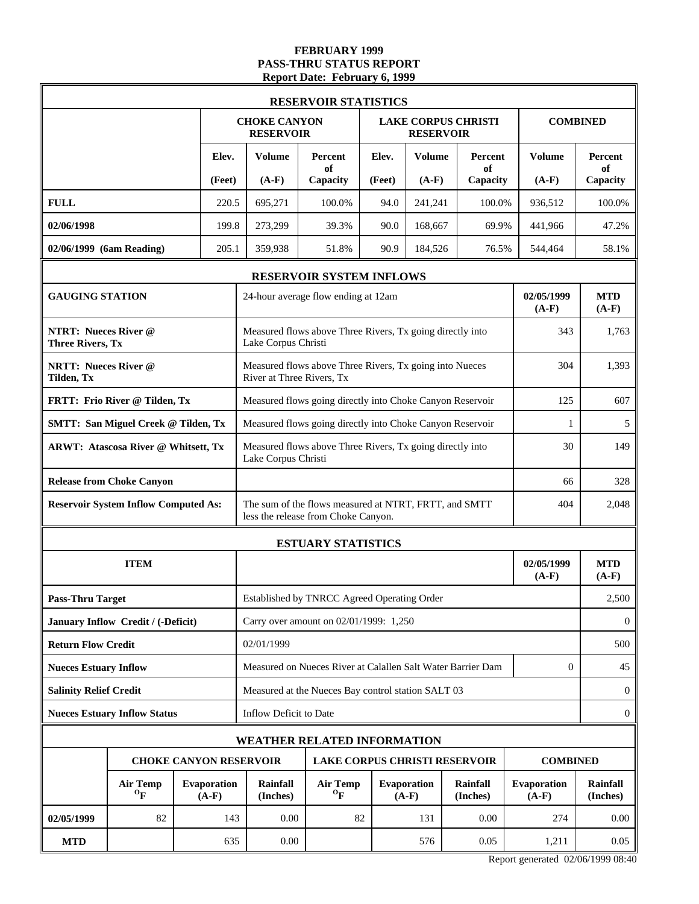#### **FEBRUARY 1999 PASS-THRU STATUS REPORT Report Date: February 6, 1999**

|                                                        |                                              |                               |                                                                                        | <b>RESERVOIR STATISTICS</b>                                                                  |                 |                               |                                      |                        |                           |  |
|--------------------------------------------------------|----------------------------------------------|-------------------------------|----------------------------------------------------------------------------------------|----------------------------------------------------------------------------------------------|-----------------|-------------------------------|--------------------------------------|------------------------|---------------------------|--|
|                                                        |                                              |                               | <b>CHOKE CANYON</b><br><b>RESERVOIR</b>                                                |                                                                                              |                 | <b>RESERVOIR</b>              | <b>LAKE CORPUS CHRISTI</b>           |                        | <b>COMBINED</b>           |  |
|                                                        |                                              | Elev.<br>(Feet)               | <b>Volume</b><br>$(A-F)$                                                               | Percent<br>of<br>Capacity                                                                    | Elev.<br>(Feet) | <b>Volume</b><br>$(A-F)$      | Percent<br>of<br>Capacity            | Volume<br>$(A-F)$      | Percent<br>of<br>Capacity |  |
| <b>FULL</b>                                            |                                              | 220.5                         | 695,271                                                                                | 100.0%                                                                                       | 94.0            | 241,241                       | 100.0%                               | 936,512                | 100.0%                    |  |
| 02/06/1998                                             |                                              | 199.8                         | 273,299                                                                                | 39.3%                                                                                        | 90.0            | 168,667                       | 69.9%                                | 441,966                | 47.2%                     |  |
| 02/06/1999 (6am Reading)                               |                                              | 205.1                         | 359,938                                                                                | 51.8%                                                                                        | 90.9            | 184,526                       | 76.5%                                | 544,464                | 58.1%                     |  |
|                                                        |                                              |                               |                                                                                        | RESERVOIR SYSTEM INFLOWS                                                                     |                 |                               |                                      |                        |                           |  |
| <b>GAUGING STATION</b>                                 |                                              |                               |                                                                                        | 24-hour average flow ending at 12am                                                          |                 |                               |                                      | 02/05/1999<br>$(A-F)$  | <b>MTD</b><br>$(A-F)$     |  |
| <b>NTRT: Nueces River @</b><br><b>Three Rivers, Tx</b> |                                              |                               | Lake Corpus Christi                                                                    | Measured flows above Three Rivers, Tx going directly into                                    |                 |                               |                                      | 343                    | 1,763                     |  |
| <b>NRTT: Nueces River @</b><br>Tilden, Tx              |                                              |                               | River at Three Rivers, Tx                                                              | Measured flows above Three Rivers, Tx going into Nueces                                      |                 |                               |                                      | 304                    | 1,393                     |  |
|                                                        | FRTT: Frio River @ Tilden, Tx                |                               | Measured flows going directly into Choke Canyon Reservoir                              | 125                                                                                          | 607             |                               |                                      |                        |                           |  |
|                                                        | <b>SMTT: San Miguel Creek @ Tilden, Tx</b>   |                               | Measured flows going directly into Choke Canyon Reservoir                              | 5                                                                                            |                 |                               |                                      |                        |                           |  |
|                                                        | <b>ARWT: Atascosa River @ Whitsett, Tx</b>   |                               | Measured flows above Three Rivers, Tx going directly into<br>30<br>Lake Corpus Christi |                                                                                              |                 |                               |                                      |                        |                           |  |
|                                                        | <b>Release from Choke Canyon</b>             |                               |                                                                                        | 66                                                                                           |                 |                               |                                      |                        |                           |  |
|                                                        | <b>Reservoir System Inflow Computed As:</b>  |                               |                                                                                        | The sum of the flows measured at NTRT, FRTT, and SMTT<br>less the release from Choke Canyon. |                 |                               |                                      | 404                    | 2,048                     |  |
|                                                        |                                              |                               | <b>ESTUARY STATISTICS</b>                                                              |                                                                                              |                 |                               |                                      |                        |                           |  |
|                                                        | <b>ITEM</b>                                  |                               |                                                                                        |                                                                                              |                 |                               |                                      | 02/05/1999<br>$(A-F)$  | <b>MTD</b><br>$(A-F)$     |  |
| <b>Pass-Thru Target</b>                                |                                              |                               |                                                                                        | Established by TNRCC Agreed Operating Order                                                  |                 |                               |                                      |                        | 2,500                     |  |
|                                                        | January Inflow Credit / (-Deficit)           |                               |                                                                                        | Carry over amount on 02/01/1999: 1,250                                                       |                 |                               |                                      |                        | $\bf{0}$                  |  |
| <b>Return Flow Credit</b>                              |                                              |                               | 02/01/1999                                                                             |                                                                                              |                 |                               |                                      |                        | 500                       |  |
| <b>Nueces Estuary Inflow</b>                           |                                              |                               |                                                                                        | Measured on Nueces River at Calallen Salt Water Barrier Dam                                  |                 |                               |                                      | $\mathbf{0}$           | 45                        |  |
| <b>Salinity Relief Credit</b>                          |                                              |                               |                                                                                        | Measured at the Nueces Bay control station SALT 03                                           |                 |                               |                                      |                        | $\bf{0}$                  |  |
|                                                        | <b>Nueces Estuary Inflow Status</b>          |                               | Inflow Deficit to Date                                                                 |                                                                                              |                 |                               |                                      |                        | $\bf{0}$                  |  |
|                                                        |                                              |                               |                                                                                        | <b>WEATHER RELATED INFORMATION</b>                                                           |                 |                               |                                      |                        |                           |  |
|                                                        |                                              |                               | <b>CHOKE CANYON RESERVOIR</b>                                                          |                                                                                              |                 |                               | <b>LAKE CORPUS CHRISTI RESERVOIR</b> | <b>COMBINED</b>        |                           |  |
|                                                        | <b>Air Temp</b><br>$\mathbf{O}_{\mathbf{F}}$ | <b>Evaporation</b><br>$(A-F)$ | <b>Rainfall</b><br>(Inches)                                                            | <b>Air Temp</b><br>$\mathbf{O}_{\mathbf{F}}$                                                 |                 | <b>Evaporation</b><br>$(A-F)$ | Rainfall<br>(Inches)                 | Evaporation<br>$(A-F)$ | Rainfall<br>(Inches)      |  |
| 02/05/1999                                             | 82                                           | 143                           | 0.00                                                                                   | 82                                                                                           |                 | 131                           | 0.00                                 | 274                    | 0.00                      |  |
| <b>MTD</b>                                             |                                              | 635                           | 0.00                                                                                   |                                                                                              |                 | 576                           | 0.05                                 | 1,211                  | 0.05                      |  |

Report generated 02/06/1999 08:40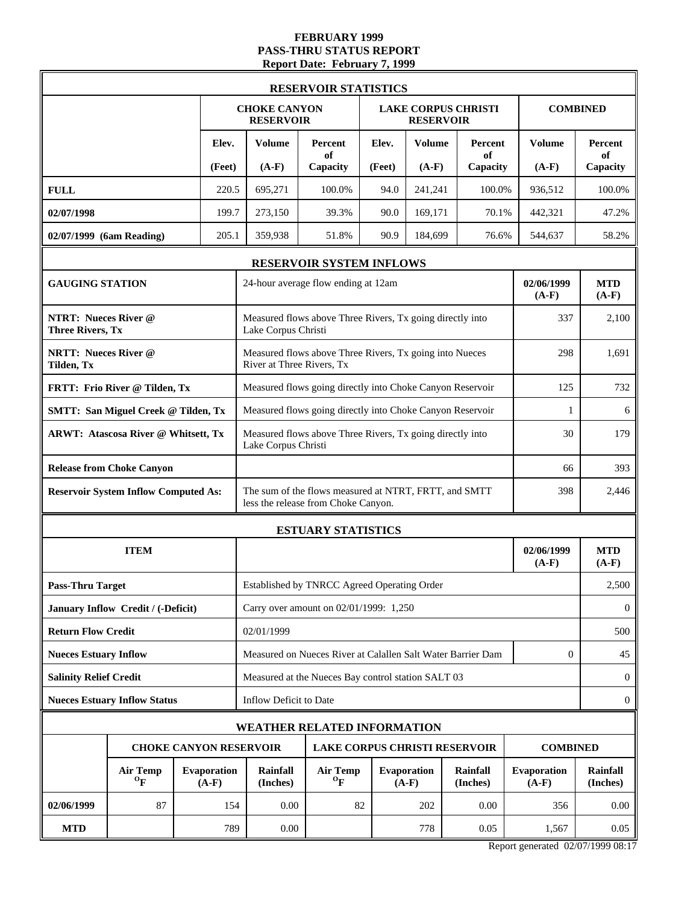#### **FEBRUARY 1999 PASS-THRU STATUS REPORT Report Date: February 7, 1999**

|                                                        |                                              |                               |                                                                                  | <b>RESERVOIR STATISTICS</b>                                                                  |                |                               |                            |                        |                             |
|--------------------------------------------------------|----------------------------------------------|-------------------------------|----------------------------------------------------------------------------------|----------------------------------------------------------------------------------------------|----------------|-------------------------------|----------------------------|------------------------|-----------------------------|
|                                                        |                                              |                               | <b>CHOKE CANYON</b><br><b>RESERVOIR</b>                                          |                                                                                              |                | <b>RESERVOIR</b>              | <b>LAKE CORPUS CHRISTI</b> | <b>COMBINED</b>        |                             |
|                                                        |                                              | Elev.                         | <b>Volume</b>                                                                    | Percent<br>of                                                                                | Elev.          | <b>Volume</b>                 | Percent<br>of              | <b>Volume</b>          | <b>Percent</b><br>of        |
| <b>FULL</b>                                            |                                              | (Feet)<br>220.5               | $(A-F)$<br>695,271                                                               | Capacity<br>100.0%                                                                           | (Feet)<br>94.0 | $(A-F)$<br>241,241            | Capacity<br>100.0%         | $(A-F)$<br>936,512     | Capacity<br>100.0%          |
| 02/07/1998                                             |                                              | 199.7                         | 273,150                                                                          | 39.3%                                                                                        | 90.0           | 169,171                       | 70.1%                      | 442,321                | 47.2%                       |
| 02/07/1999 (6am Reading)                               |                                              | 205.1                         | 359,938                                                                          | 51.8%                                                                                        | 90.9           | 184,699                       | 76.6%                      | 544,637                | 58.2%                       |
|                                                        |                                              |                               |                                                                                  | RESERVOIR SYSTEM INFLOWS                                                                     |                |                               |                            |                        |                             |
| <b>GAUGING STATION</b>                                 |                                              |                               |                                                                                  | 24-hour average flow ending at 12am                                                          |                |                               |                            | 02/06/1999<br>$(A-F)$  | <b>MTD</b><br>$(A-F)$       |
| <b>NTRT: Nueces River @</b><br><b>Three Rivers, Tx</b> |                                              |                               | Lake Corpus Christi                                                              | Measured flows above Three Rivers, Tx going directly into                                    |                |                               |                            | 337                    | 2,100                       |
| <b>NRTT: Nueces River @</b><br>Tilden, Tx              |                                              |                               | River at Three Rivers, Tx                                                        | Measured flows above Three Rivers, Tx going into Nueces                                      |                |                               |                            | 298                    | 1,691                       |
|                                                        | FRTT: Frio River @ Tilden, Tx                |                               | Measured flows going directly into Choke Canyon Reservoir                        | 732                                                                                          |                |                               |                            |                        |                             |
|                                                        | <b>SMTT: San Miguel Creek @ Tilden, Tx</b>   |                               | Measured flows going directly into Choke Canyon Reservoir                        | 1                                                                                            | 6              |                               |                            |                        |                             |
|                                                        | <b>ARWT: Atascosa River @ Whitsett, Tx</b>   |                               | Measured flows above Three Rivers, Tx going directly into<br>Lake Corpus Christi | 30                                                                                           | 179            |                               |                            |                        |                             |
|                                                        | <b>Release from Choke Canyon</b>             |                               | 66                                                                               |                                                                                              |                |                               |                            |                        |                             |
|                                                        | <b>Reservoir System Inflow Computed As:</b>  |                               |                                                                                  | The sum of the flows measured at NTRT, FRTT, and SMTT<br>less the release from Choke Canyon. |                |                               |                            | 398                    | 2,446                       |
|                                                        |                                              |                               | <b>ESTUARY STATISTICS</b>                                                        |                                                                                              |                |                               |                            |                        |                             |
|                                                        | <b>ITEM</b>                                  |                               |                                                                                  |                                                                                              |                |                               |                            | 02/06/1999<br>$(A-F)$  | <b>MTD</b><br>$(A-F)$       |
| <b>Pass-Thru Target</b>                                |                                              |                               |                                                                                  | Established by TNRCC Agreed Operating Order                                                  |                |                               |                            |                        | 2,500                       |
|                                                        | January Inflow Credit / (-Deficit)           |                               |                                                                                  | Carry over amount on 02/01/1999: 1,250                                                       |                |                               |                            |                        | $\mathbf{0}$                |
| <b>Return Flow Credit</b>                              |                                              |                               | 02/01/1999                                                                       |                                                                                              |                |                               |                            |                        | 500                         |
| <b>Nueces Estuary Inflow</b>                           |                                              |                               |                                                                                  | Measured on Nueces River at Calallen Salt Water Barrier Dam                                  |                |                               |                            | $\mathbf{0}$           | 45                          |
| <b>Salinity Relief Credit</b>                          |                                              |                               |                                                                                  | Measured at the Nueces Bay control station SALT 03                                           |                |                               |                            |                        | $\mathbf{0}$                |
|                                                        | <b>Nueces Estuary Inflow Status</b>          |                               | Inflow Deficit to Date                                                           |                                                                                              |                |                               |                            |                        | $\boldsymbol{0}$            |
|                                                        |                                              |                               | <b>WEATHER RELATED INFORMATION</b>                                               |                                                                                              |                |                               |                            |                        |                             |
|                                                        |                                              |                               | <b>CHOKE CANYON RESERVOIR</b>                                                    | <b>LAKE CORPUS CHRISTI RESERVOIR</b>                                                         |                |                               |                            | <b>COMBINED</b>        |                             |
|                                                        | <b>Air Temp</b><br>$\mathbf{O}_{\mathbf{F}}$ | <b>Evaporation</b><br>$(A-F)$ | Rainfall<br>(Inches)                                                             | <b>Air Temp</b><br>$\mathbf{o}_{\mathbf{F}}$                                                 |                | <b>Evaporation</b><br>$(A-F)$ | Rainfall<br>(Inches)       | Evaporation<br>$(A-F)$ | <b>Rainfall</b><br>(Inches) |
| 02/06/1999                                             | 87                                           | 154                           | 0.00                                                                             | 82                                                                                           |                | 202                           | 0.00                       | 356                    | 0.00                        |
| <b>MTD</b>                                             |                                              | 789                           | 0.00                                                                             |                                                                                              |                | 778                           | 0.05                       | 1,567                  | 0.05                        |

Report generated 02/07/1999 08:17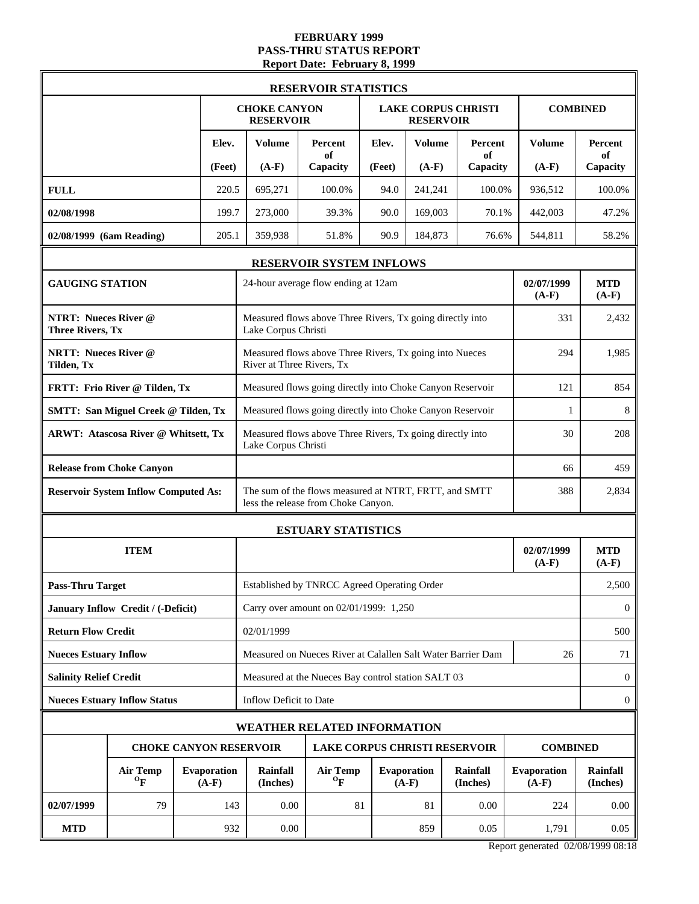#### **FEBRUARY 1999 PASS-THRU STATUS REPORT Report Date: February 8, 1999**

|                                                        |                                              |                               |                                                                                  | <b>RESERVOIR STATISTICS</b>                                                                  |        |                               |                            |                        |                                                                 |
|--------------------------------------------------------|----------------------------------------------|-------------------------------|----------------------------------------------------------------------------------|----------------------------------------------------------------------------------------------|--------|-------------------------------|----------------------------|------------------------|-----------------------------------------------------------------|
|                                                        |                                              |                               | <b>CHOKE CANYON</b><br><b>RESERVOIR</b>                                          |                                                                                              |        | <b>RESERVOIR</b>              | <b>LAKE CORPUS CHRISTI</b> |                        | <b>COMBINED</b>                                                 |
|                                                        |                                              | Elev.                         | <b>Volume</b>                                                                    | <b>Percent</b><br>of                                                                         | Elev.  | <b>Volume</b>                 | Percent<br>of              | Volume                 | <b>Percent</b><br>of                                            |
|                                                        |                                              | (Feet)                        | $(A-F)$                                                                          | Capacity                                                                                     | (Feet) | $(A-F)$                       | Capacity                   | $(A-F)$                | Capacity                                                        |
| <b>FULL</b>                                            |                                              | 220.5                         | 695,271                                                                          | 100.0%                                                                                       | 94.0   | 241,241                       | 100.0%                     | 936,512                | 100.0%                                                          |
| 02/08/1998                                             |                                              | 199.7                         | 273,000                                                                          | 39.3%                                                                                        | 90.0   | 169,003                       | 70.1%                      | 442,003                | 47.2%                                                           |
| 02/08/1999 (6am Reading)                               |                                              | 205.1                         | 359,938                                                                          | 51.8%                                                                                        | 90.9   | 184,873                       | 76.6%                      | 544,811                | 58.2%                                                           |
|                                                        |                                              |                               |                                                                                  | RESERVOIR SYSTEM INFLOWS                                                                     |        |                               |                            |                        |                                                                 |
| <b>GAUGING STATION</b>                                 |                                              |                               |                                                                                  | 24-hour average flow ending at 12am                                                          |        |                               |                            | 02/07/1999<br>$(A-F)$  | <b>MTD</b><br>$(A-F)$                                           |
| <b>NTRT: Nueces River @</b><br><b>Three Rivers, Tx</b> |                                              |                               | Lake Corpus Christi                                                              | Measured flows above Three Rivers, Tx going directly into                                    |        |                               |                            | 331                    | 2,432                                                           |
| <b>NRTT: Nueces River @</b><br>Tilden, Tx              |                                              |                               | River at Three Rivers, Tx                                                        | Measured flows above Three Rivers, Tx going into Nueces                                      |        |                               |                            | 294                    | 1,985                                                           |
|                                                        | FRTT: Frio River @ Tilden, Tx                |                               | Measured flows going directly into Choke Canyon Reservoir                        | 121                                                                                          | 854    |                               |                            |                        |                                                                 |
|                                                        | <b>SMTT: San Miguel Creek @ Tilden, Tx</b>   |                               | Measured flows going directly into Choke Canyon Reservoir                        | 1                                                                                            | 8      |                               |                            |                        |                                                                 |
|                                                        | <b>ARWT: Atascosa River @ Whitsett, Tx</b>   |                               | Measured flows above Three Rivers, Tx going directly into<br>Lake Corpus Christi | 30                                                                                           | 208    |                               |                            |                        |                                                                 |
|                                                        | <b>Release from Choke Canyon</b>             |                               |                                                                                  | 66                                                                                           | 459    |                               |                            |                        |                                                                 |
|                                                        | <b>Reservoir System Inflow Computed As:</b>  |                               |                                                                                  | The sum of the flows measured at NTRT, FRTT, and SMTT<br>less the release from Choke Canyon. |        |                               |                            | 388                    | 2,834                                                           |
|                                                        |                                              |                               | <b>ESTUARY STATISTICS</b>                                                        |                                                                                              |        |                               |                            |                        |                                                                 |
|                                                        | <b>ITEM</b>                                  |                               |                                                                                  |                                                                                              |        |                               |                            | 02/07/1999<br>$(A-F)$  | <b>MTD</b><br>$(A-F)$                                           |
| <b>Pass-Thru Target</b>                                |                                              |                               |                                                                                  | Established by TNRCC Agreed Operating Order                                                  |        |                               |                            |                        | 2,500                                                           |
|                                                        | January Inflow Credit / (-Deficit)           |                               |                                                                                  | Carry over amount on 02/01/1999: 1,250                                                       |        |                               |                            |                        | $\bf{0}$                                                        |
| <b>Return Flow Credit</b>                              |                                              |                               | 02/01/1999                                                                       |                                                                                              |        |                               |                            |                        | 500                                                             |
| <b>Nueces Estuary Inflow</b>                           |                                              |                               |                                                                                  | Measured on Nueces River at Calallen Salt Water Barrier Dam                                  |        |                               |                            | 26                     | 71                                                              |
| <b>Salinity Relief Credit</b>                          |                                              |                               |                                                                                  | Measured at the Nueces Bay control station SALT 03                                           |        |                               |                            |                        | $\bf{0}$                                                        |
|                                                        | <b>Nueces Estuary Inflow Status</b>          |                               | Inflow Deficit to Date                                                           |                                                                                              |        |                               |                            |                        | $\mathbf{0}$                                                    |
|                                                        |                                              |                               | WEATHER RELATED INFORMATION                                                      |                                                                                              |        |                               |                            |                        |                                                                 |
|                                                        |                                              |                               | <b>CHOKE CANYON RESERVOIR</b>                                                    | <b>LAKE CORPUS CHRISTI RESERVOIR</b>                                                         |        |                               |                            | <b>COMBINED</b>        |                                                                 |
|                                                        | <b>Air Temp</b><br>$\mathbf{O}_{\mathbf{F}}$ | <b>Evaporation</b><br>$(A-F)$ | <b>Rainfall</b><br>(Inches)                                                      | <b>Air Temp</b><br>$\mathbf{O}_{\mathbf{F}}$                                                 |        | <b>Evaporation</b><br>$(A-F)$ | Rainfall<br>(Inches)       | Evaporation<br>$(A-F)$ | Rainfall<br>(Inches)                                            |
| 02/07/1999                                             | 79                                           | 143                           | 0.00                                                                             | 81                                                                                           |        | 81                            | 0.00                       | 224                    | 0.00                                                            |
| <b>MTD</b>                                             |                                              | 932                           | 0.00                                                                             |                                                                                              |        | 859                           | 0.05                       | 1,791                  | 0.05<br>$\sim$ $\sim$ $\sim$ $\sim$ $\sim$ $\sim$ $\sim$ $\sim$ |

Report generated 02/08/1999 08:18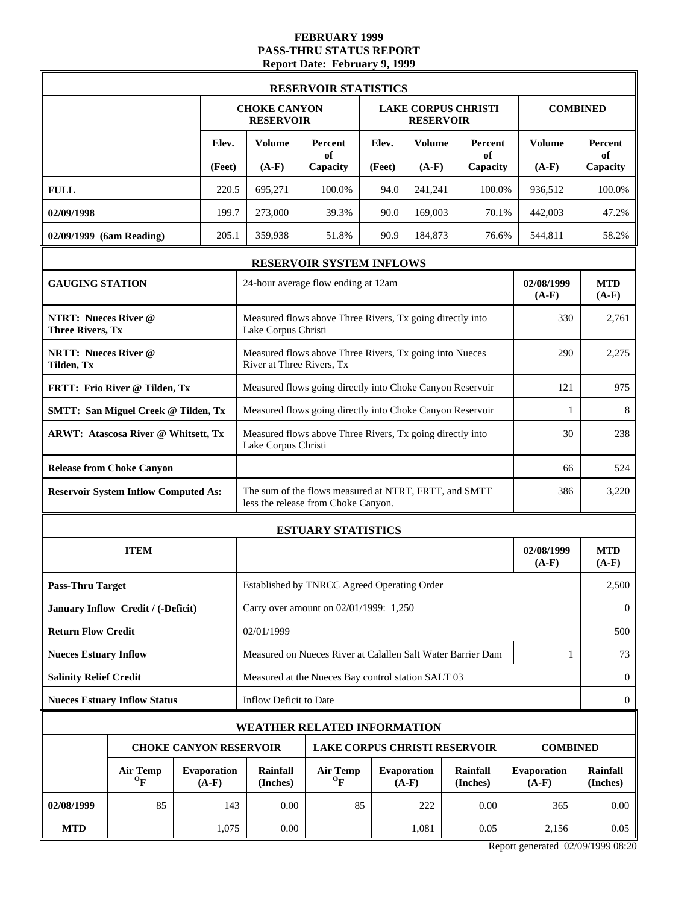#### **FEBRUARY 1999 PASS-THRU STATUS REPORT Report Date: February 9, 1999**

|                                                        |                                              |                               |                                                                                  | <b>RESERVOIR STATISTICS</b>                                                                  |        |                               |                            |                        |                             |  |
|--------------------------------------------------------|----------------------------------------------|-------------------------------|----------------------------------------------------------------------------------|----------------------------------------------------------------------------------------------|--------|-------------------------------|----------------------------|------------------------|-----------------------------|--|
|                                                        |                                              |                               | <b>CHOKE CANYON</b><br><b>RESERVOIR</b>                                          |                                                                                              |        | <b>RESERVOIR</b>              | <b>LAKE CORPUS CHRISTI</b> |                        | <b>COMBINED</b>             |  |
|                                                        |                                              | Elev.                         | Volume                                                                           | Percent<br>of                                                                                | Elev.  | <b>Volume</b>                 | <b>Percent</b><br>of       | Volume                 | <b>Percent</b><br>of        |  |
|                                                        |                                              | (Feet)                        | $(A-F)$                                                                          | Capacity                                                                                     | (Feet) | $(A-F)$                       | Capacity                   | $(A-F)$                | Capacity                    |  |
| <b>FULL</b>                                            |                                              | 220.5                         | 695,271                                                                          | 100.0%                                                                                       | 94.0   | 241,241                       | 100.0%                     | 936,512                | 100.0%                      |  |
| 02/09/1998                                             |                                              | 199.7                         | 273,000                                                                          | 39.3%                                                                                        | 90.0   | 169,003                       | 70.1%                      | 442,003                | 47.2%                       |  |
| 02/09/1999 (6am Reading)                               |                                              | 205.1                         | 359,938                                                                          | 51.8%                                                                                        | 90.9   | 184,873                       | 76.6%                      | 544,811                | 58.2%                       |  |
|                                                        |                                              |                               |                                                                                  | RESERVOIR SYSTEM INFLOWS                                                                     |        |                               |                            |                        |                             |  |
| <b>GAUGING STATION</b>                                 |                                              |                               |                                                                                  | 24-hour average flow ending at 12am                                                          |        |                               |                            | 02/08/1999<br>$(A-F)$  | <b>MTD</b><br>$(A-F)$       |  |
| <b>NTRT: Nueces River @</b><br><b>Three Rivers, Tx</b> |                                              |                               | Lake Corpus Christi                                                              | Measured flows above Three Rivers, Tx going directly into                                    |        |                               |                            | 330                    | 2,761                       |  |
| <b>NRTT: Nueces River @</b><br>Tilden, Tx              |                                              |                               | River at Three Rivers, Tx                                                        | Measured flows above Three Rivers, Tx going into Nueces                                      |        |                               |                            | 290                    | 2,275                       |  |
|                                                        | FRTT: Frio River @ Tilden, Tx                |                               | Measured flows going directly into Choke Canyon Reservoir<br>121                 |                                                                                              |        |                               |                            |                        |                             |  |
|                                                        | <b>SMTT: San Miguel Creek @ Tilden, Tx</b>   |                               | Measured flows going directly into Choke Canyon Reservoir                        | 1                                                                                            | 8      |                               |                            |                        |                             |  |
|                                                        | <b>ARWT: Atascosa River @ Whitsett, Tx</b>   |                               | Measured flows above Three Rivers, Tx going directly into<br>Lake Corpus Christi | 238                                                                                          |        |                               |                            |                        |                             |  |
|                                                        | <b>Release from Choke Canyon</b>             |                               |                                                                                  | 66                                                                                           | 524    |                               |                            |                        |                             |  |
|                                                        | <b>Reservoir System Inflow Computed As:</b>  |                               |                                                                                  | The sum of the flows measured at NTRT, FRTT, and SMTT<br>less the release from Choke Canyon. |        |                               |                            | 386                    | 3,220                       |  |
|                                                        |                                              |                               |                                                                                  | <b>ESTUARY STATISTICS</b>                                                                    |        |                               |                            |                        |                             |  |
|                                                        | <b>ITEM</b>                                  |                               |                                                                                  |                                                                                              |        |                               |                            | 02/08/1999<br>$(A-F)$  | <b>MTD</b><br>$(A-F)$       |  |
| <b>Pass-Thru Target</b>                                |                                              |                               |                                                                                  | Established by TNRCC Agreed Operating Order                                                  |        |                               |                            |                        | 2,500                       |  |
|                                                        | January Inflow Credit / (-Deficit)           |                               |                                                                                  | Carry over amount on 02/01/1999: 1,250                                                       |        |                               |                            |                        | $\mathbf{0}$                |  |
| <b>Return Flow Credit</b>                              |                                              |                               | 02/01/1999                                                                       |                                                                                              |        |                               |                            |                        | 500                         |  |
| <b>Nueces Estuary Inflow</b>                           |                                              |                               |                                                                                  | Measured on Nueces River at Calallen Salt Water Barrier Dam                                  |        |                               |                            | 1                      | 73                          |  |
| <b>Salinity Relief Credit</b>                          |                                              |                               |                                                                                  | Measured at the Nueces Bay control station SALT 03                                           |        |                               |                            |                        | $\mathbf{0}$                |  |
|                                                        | <b>Nueces Estuary Inflow Status</b>          |                               | Inflow Deficit to Date                                                           |                                                                                              |        |                               |                            |                        | $\boldsymbol{0}$            |  |
|                                                        |                                              |                               | WEATHER RELATED INFORMATION                                                      |                                                                                              |        |                               |                            |                        |                             |  |
|                                                        |                                              |                               | <b>CHOKE CANYON RESERVOIR</b>                                                    | <b>LAKE CORPUS CHRISTI RESERVOIR</b>                                                         |        |                               |                            | <b>COMBINED</b>        |                             |  |
|                                                        | <b>Air Temp</b><br>$\mathbf{O}_{\mathbf{F}}$ | <b>Evaporation</b><br>$(A-F)$ | <b>Rainfall</b><br>(Inches)                                                      | <b>Air Temp</b><br>$\mathbf{o}_{\mathbf{F}}$                                                 |        | <b>Evaporation</b><br>$(A-F)$ | Rainfall<br>(Inches)       | Evaporation<br>$(A-F)$ | <b>Rainfall</b><br>(Inches) |  |
| 02/08/1999                                             | 85                                           | 143                           | 0.00                                                                             | 85                                                                                           |        | 222                           | 0.00                       | 365                    | 0.00                        |  |
| <b>MTD</b>                                             |                                              | 1,075                         | $0.00\,$                                                                         |                                                                                              |        | 1,081                         | 0.05                       | 2,156                  | 0.05                        |  |

Report generated 02/09/1999 08:20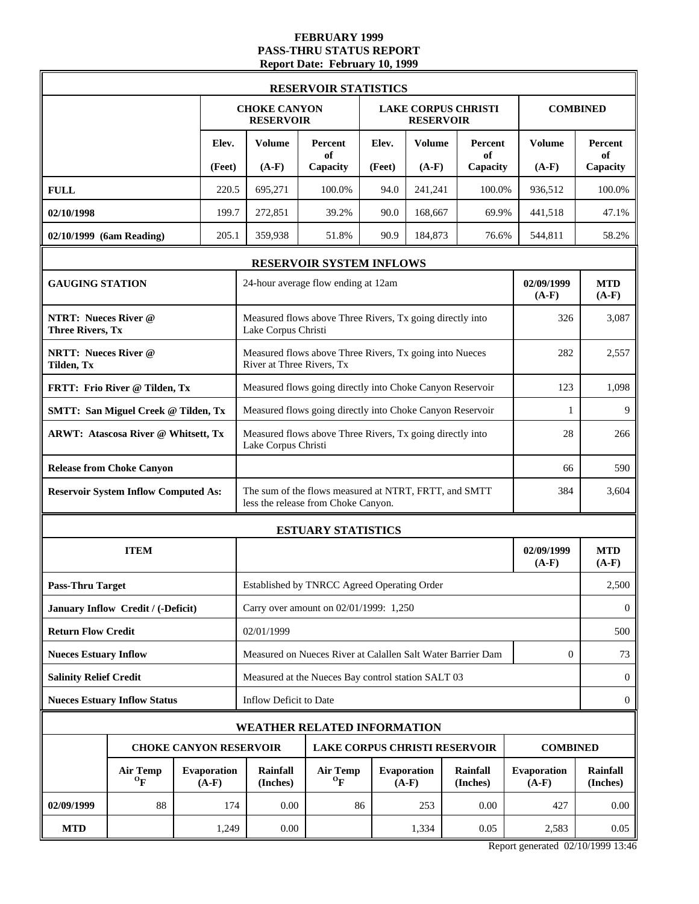#### **FEBRUARY 1999 PASS-THRU STATUS REPORT Report Date: February 10, 1999**

|                                                        |                                              |                               |                                                                                  | <b>RESERVOIR STATISTICS</b>                                                                  |        |                               |                            |                               |                       |
|--------------------------------------------------------|----------------------------------------------|-------------------------------|----------------------------------------------------------------------------------|----------------------------------------------------------------------------------------------|--------|-------------------------------|----------------------------|-------------------------------|-----------------------|
|                                                        |                                              |                               | <b>CHOKE CANYON</b><br><b>RESERVOIR</b>                                          |                                                                                              |        | <b>RESERVOIR</b>              | <b>LAKE CORPUS CHRISTI</b> |                               | <b>COMBINED</b>       |
|                                                        |                                              | Elev.                         | <b>Volume</b>                                                                    | Percent<br>of                                                                                | Elev.  | <b>Volume</b>                 | Percent<br>of              | <b>Volume</b>                 | Percent<br>of         |
|                                                        |                                              | (Feet)                        | $(A-F)$                                                                          | Capacity                                                                                     | (Feet) | $(A-F)$                       | Capacity                   | $(A-F)$                       | Capacity              |
| <b>FULL</b>                                            |                                              | 220.5                         | 695,271                                                                          | 100.0%                                                                                       | 94.0   | 241,241                       | 100.0%                     | 936,512                       | 100.0%                |
| 02/10/1998                                             |                                              | 199.7                         | 272,851                                                                          | 39.2%                                                                                        | 90.0   | 168,667                       | 69.9%                      | 441,518                       | 47.1%                 |
| 02/10/1999 (6am Reading)                               |                                              | 205.1                         | 359,938                                                                          | 51.8%                                                                                        | 90.9   | 184,873                       | 76.6%                      | 544,811                       | 58.2%                 |
|                                                        |                                              |                               |                                                                                  | RESERVOIR SYSTEM INFLOWS                                                                     |        |                               |                            |                               |                       |
| <b>GAUGING STATION</b>                                 |                                              |                               |                                                                                  | 24-hour average flow ending at 12am                                                          |        |                               |                            | 02/09/1999<br>$(A-F)$         | <b>MTD</b><br>$(A-F)$ |
| <b>NTRT: Nueces River @</b><br><b>Three Rivers, Tx</b> |                                              |                               | Lake Corpus Christi                                                              | Measured flows above Three Rivers, Tx going directly into                                    |        |                               |                            | 326                           | 3,087                 |
| <b>NRTT: Nueces River @</b><br>Tilden, Tx              |                                              |                               | River at Three Rivers, Tx                                                        | Measured flows above Three Rivers, Tx going into Nueces                                      |        |                               |                            | 282                           | 2,557                 |
|                                                        | FRTT: Frio River @ Tilden, Tx                |                               | Measured flows going directly into Choke Canyon Reservoir                        | 123                                                                                          | 1,098  |                               |                            |                               |                       |
|                                                        | <b>SMTT: San Miguel Creek @ Tilden, Tx</b>   |                               | Measured flows going directly into Choke Canyon Reservoir                        | 1                                                                                            | 9      |                               |                            |                               |                       |
|                                                        | <b>ARWT: Atascosa River @ Whitsett, Tx</b>   |                               | Measured flows above Three Rivers, Tx going directly into<br>Lake Corpus Christi | 28                                                                                           | 266    |                               |                            |                               |                       |
|                                                        | <b>Release from Choke Canyon</b>             |                               |                                                                                  | 590                                                                                          |        |                               |                            |                               |                       |
|                                                        | <b>Reservoir System Inflow Computed As:</b>  |                               |                                                                                  | The sum of the flows measured at NTRT, FRTT, and SMTT<br>less the release from Choke Canyon. |        |                               |                            | 384                           | 3,604                 |
|                                                        |                                              |                               | <b>ESTUARY STATISTICS</b>                                                        |                                                                                              |        |                               |                            |                               |                       |
|                                                        | <b>ITEM</b>                                  |                               |                                                                                  |                                                                                              |        |                               |                            | 02/09/1999<br>$(A-F)$         | <b>MTD</b><br>$(A-F)$ |
| <b>Pass-Thru Target</b>                                |                                              |                               |                                                                                  | Established by TNRCC Agreed Operating Order                                                  |        |                               |                            |                               | 2,500                 |
|                                                        | January Inflow Credit / (-Deficit)           |                               |                                                                                  | Carry over amount on 02/01/1999: 1,250                                                       |        |                               |                            |                               | $\theta$              |
| <b>Return Flow Credit</b>                              |                                              |                               | 02/01/1999                                                                       |                                                                                              |        |                               |                            |                               | 500                   |
| <b>Nueces Estuary Inflow</b>                           |                                              |                               |                                                                                  | Measured on Nueces River at Calallen Salt Water Barrier Dam                                  |        |                               |                            | $\mathbf{0}$                  | 73                    |
| <b>Salinity Relief Credit</b>                          |                                              |                               |                                                                                  | Measured at the Nueces Bay control station SALT 03                                           |        |                               |                            |                               | $\mathbf{0}$          |
|                                                        | <b>Nueces Estuary Inflow Status</b>          |                               | Inflow Deficit to Date                                                           |                                                                                              |        |                               |                            |                               | $\boldsymbol{0}$      |
|                                                        |                                              |                               | <b>WEATHER RELATED INFORMATION</b>                                               |                                                                                              |        |                               |                            |                               |                       |
|                                                        |                                              |                               | <b>CHOKE CANYON RESERVOIR</b>                                                    | <b>LAKE CORPUS CHRISTI RESERVOIR</b>                                                         |        |                               |                            | <b>COMBINED</b>               |                       |
|                                                        | <b>Air Temp</b><br>$\mathbf{O}_{\mathbf{F}}$ | <b>Evaporation</b><br>$(A-F)$ | <b>Rainfall</b><br>(Inches)                                                      | <b>Air Temp</b><br>$\mathbf{o}_{\mathbf{F}}$                                                 |        | <b>Evaporation</b><br>$(A-F)$ | Rainfall<br>(Inches)       | <b>Evaporation</b><br>$(A-F)$ | Rainfall<br>(Inches)  |
| 02/09/1999                                             | 88                                           | 174                           | 0.00                                                                             | 86                                                                                           |        | 253                           | 0.00                       | 427                           | 0.00                  |
| <b>MTD</b>                                             |                                              | 1,249                         | 0.00                                                                             |                                                                                              |        | 1,334                         | 0.05                       | 2,583                         | 0.05                  |

Report generated 02/10/1999 13:46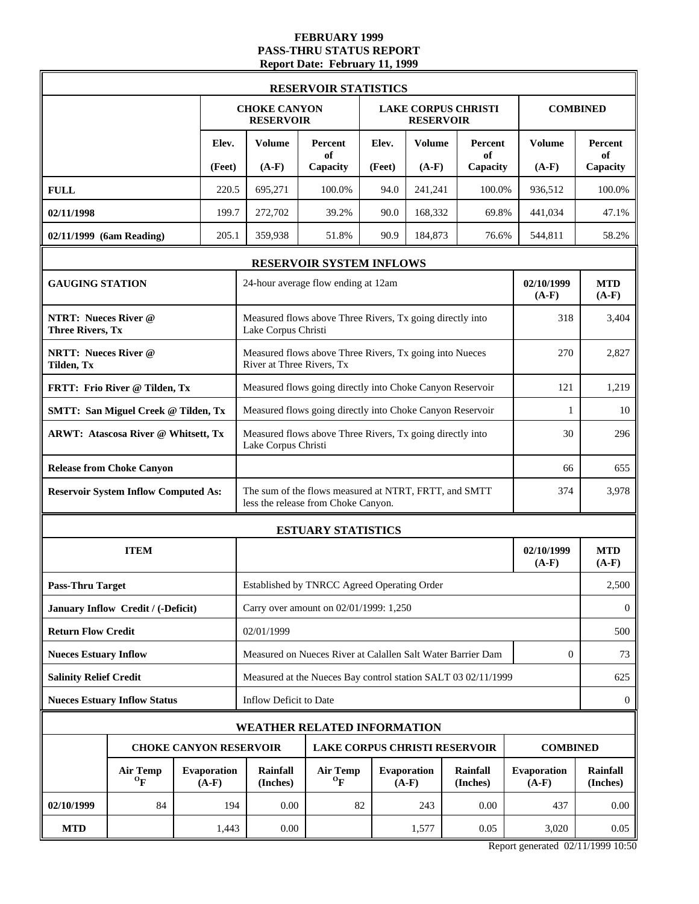#### **FEBRUARY 1999 PASS-THRU STATUS REPORT Report Date: February 11, 1999**

|                                                        |                                              |                               |                                                                                        |                                                                  |                                              | <b>RESERVOIR STATISTICS</b>                                                                  |                               |                      |                                                               |                       |                       |
|--------------------------------------------------------|----------------------------------------------|-------------------------------|----------------------------------------------------------------------------------------|------------------------------------------------------------------|----------------------------------------------|----------------------------------------------------------------------------------------------|-------------------------------|----------------------|---------------------------------------------------------------|-----------------------|-----------------------|
|                                                        |                                              |                               |                                                                                        | <b>CHOKE CANYON</b><br><b>RESERVOIR</b>                          |                                              |                                                                                              |                               | <b>RESERVOIR</b>     | <b>LAKE CORPUS CHRISTI</b>                                    |                       | <b>COMBINED</b>       |
|                                                        |                                              |                               | Elev.                                                                                  | <b>Volume</b>                                                    |                                              | Percent<br>of                                                                                | Elev.                         | <b>Volume</b>        | Percent<br>of                                                 | Volume                | <b>Percent</b><br>of  |
|                                                        |                                              |                               | (Feet)                                                                                 | $(A-F)$                                                          |                                              | Capacity                                                                                     | (Feet)                        | $(A-F)$              | Capacity                                                      | $(A-F)$               | Capacity              |
| <b>FULL</b>                                            |                                              |                               | 220.5                                                                                  | 695,271                                                          |                                              | 100.0%                                                                                       | 94.0                          | 241,241              | 100.0%                                                        | 936,512               | 100.0%                |
| 02/11/1998                                             |                                              |                               | 199.7                                                                                  | 272,702                                                          |                                              | 39.2%                                                                                        | 90.0                          | 168,332              | 69.8%                                                         | 441,034               | 47.1%                 |
| 02/11/1999 (6am Reading)                               |                                              |                               | 205.1                                                                                  | 359,938                                                          |                                              | 51.8%                                                                                        | 90.9                          | 184,873              | 76.6%                                                         | 544,811               | 58.2%                 |
|                                                        |                                              |                               |                                                                                        |                                                                  |                                              | RESERVOIR SYSTEM INFLOWS                                                                     |                               |                      |                                                               |                       |                       |
| <b>GAUGING STATION</b>                                 |                                              |                               |                                                                                        |                                                                  |                                              | 24-hour average flow ending at 12am                                                          |                               |                      |                                                               | 02/10/1999<br>$(A-F)$ | <b>MTD</b><br>$(A-F)$ |
| <b>NTRT: Nueces River @</b><br><b>Three Rivers, Tx</b> |                                              |                               |                                                                                        | Lake Corpus Christi                                              |                                              | Measured flows above Three Rivers, Tx going directly into                                    |                               |                      |                                                               | 318                   | 3,404                 |
| <b>NRTT: Nueces River @</b><br>Tilden, Tx              |                                              |                               |                                                                                        | River at Three Rivers, Tx                                        |                                              | Measured flows above Three Rivers, Tx going into Nueces                                      |                               |                      |                                                               | 270                   | 2,827                 |
|                                                        | FRTT: Frio River @ Tilden, Tx                |                               |                                                                                        | Measured flows going directly into Choke Canyon Reservoir<br>121 |                                              |                                                                                              |                               |                      |                                                               |                       |                       |
|                                                        | <b>SMTT: San Miguel Creek @ Tilden, Tx</b>   |                               |                                                                                        | Measured flows going directly into Choke Canyon Reservoir        | 10                                           |                                                                                              |                               |                      |                                                               |                       |                       |
|                                                        | <b>ARWT: Atascosa River @ Whitsett, Tx</b>   |                               | Measured flows above Three Rivers, Tx going directly into<br>30<br>Lake Corpus Christi |                                                                  |                                              |                                                                                              |                               |                      |                                                               | 296                   |                       |
|                                                        | <b>Release from Choke Canyon</b>             |                               | 66                                                                                     |                                                                  |                                              |                                                                                              |                               |                      |                                                               | 655                   |                       |
|                                                        | <b>Reservoir System Inflow Computed As:</b>  |                               |                                                                                        |                                                                  |                                              | The sum of the flows measured at NTRT, FRTT, and SMTT<br>less the release from Choke Canyon. |                               |                      |                                                               | 374                   | 3,978                 |
|                                                        |                                              |                               |                                                                                        | <b>ESTUARY STATISTICS</b>                                        |                                              |                                                                                              |                               |                      |                                                               |                       |                       |
|                                                        | <b>ITEM</b>                                  |                               |                                                                                        |                                                                  |                                              |                                                                                              |                               |                      |                                                               | 02/10/1999<br>$(A-F)$ | <b>MTD</b><br>$(A-F)$ |
| <b>Pass-Thru Target</b>                                |                                              |                               |                                                                                        |                                                                  |                                              | Established by TNRCC Agreed Operating Order                                                  |                               |                      |                                                               |                       | 2,500                 |
|                                                        | January Inflow Credit / (-Deficit)           |                               |                                                                                        |                                                                  |                                              | Carry over amount on 02/01/1999: 1,250                                                       |                               |                      |                                                               |                       | $\bf{0}$              |
| <b>Return Flow Credit</b>                              |                                              |                               |                                                                                        | 02/01/1999                                                       |                                              |                                                                                              |                               |                      |                                                               |                       | 500                   |
| <b>Nueces Estuary Inflow</b>                           |                                              |                               |                                                                                        |                                                                  |                                              |                                                                                              |                               |                      | Measured on Nueces River at Calallen Salt Water Barrier Dam   | $\mathbf{0}$          | 73                    |
| <b>Salinity Relief Credit</b>                          |                                              |                               |                                                                                        |                                                                  |                                              |                                                                                              |                               |                      | Measured at the Nueces Bay control station SALT 03 02/11/1999 |                       | 625                   |
|                                                        | <b>Nueces Estuary Inflow Status</b>          |                               |                                                                                        | Inflow Deficit to Date                                           |                                              |                                                                                              |                               |                      |                                                               |                       | $\mathbf{0}$          |
|                                                        |                                              |                               |                                                                                        |                                                                  |                                              | WEATHER RELATED INFORMATION                                                                  |                               |                      |                                                               |                       |                       |
|                                                        |                                              |                               |                                                                                        | <b>CHOKE CANYON RESERVOIR</b>                                    |                                              |                                                                                              |                               |                      | <b>LAKE CORPUS CHRISTI RESERVOIR</b>                          | <b>COMBINED</b>       |                       |
|                                                        | <b>Air Temp</b><br>$\mathbf{O}_{\mathbf{F}}$ | <b>Evaporation</b><br>$(A-F)$ | <b>Rainfall</b><br>(Inches)                                                            |                                                                  | <b>Air Temp</b><br>$\mathbf{o}_{\mathbf{F}}$ |                                                                                              | <b>Evaporation</b><br>$(A-F)$ | Rainfall<br>(Inches) | Evaporation<br>$(A-F)$                                        | Rainfall<br>(Inches)  |                       |
| 02/10/1999                                             | 84                                           |                               | 194                                                                                    |                                                                  | 0.00                                         | 82                                                                                           |                               | 243                  | 0.00                                                          | 437                   | 0.00                  |
| <b>MTD</b>                                             |                                              |                               | 1,443                                                                                  |                                                                  | 0.00                                         |                                                                                              |                               | 1,577                | 0.05                                                          | 3,020                 | 0.05                  |

Report generated 02/11/1999 10:50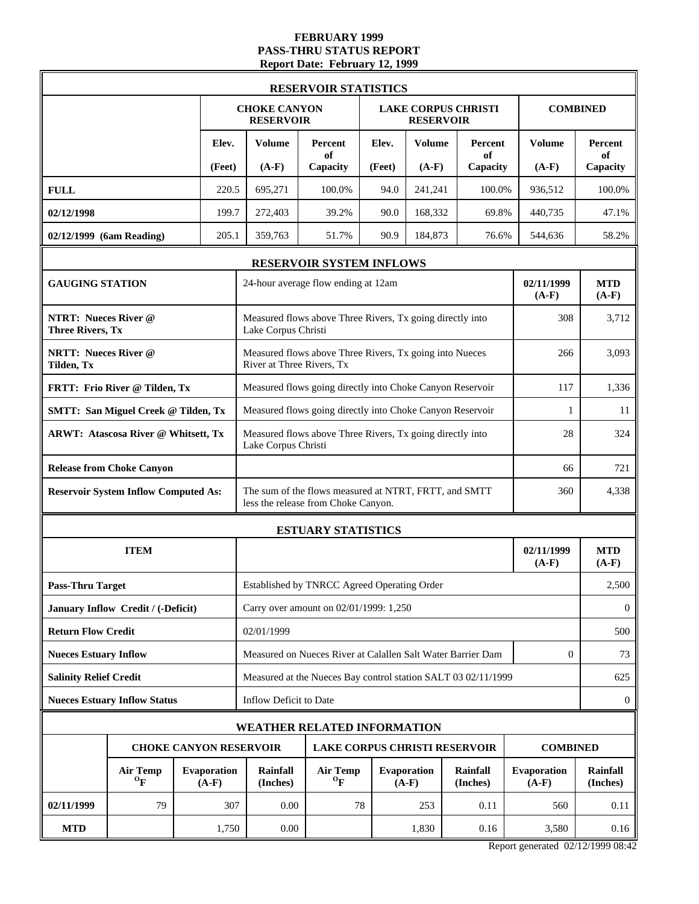#### **FEBRUARY 1999 PASS-THRU STATUS REPORT Report Date: February 12, 1999**

|                                                        |                                              |                                            |                             |                                                                  |                                              | <b>RESERVOIR STATISTICS</b>                                                                  |                               |                      |                                                               |                       |                       |  |
|--------------------------------------------------------|----------------------------------------------|--------------------------------------------|-----------------------------|------------------------------------------------------------------|----------------------------------------------|----------------------------------------------------------------------------------------------|-------------------------------|----------------------|---------------------------------------------------------------|-----------------------|-----------------------|--|
|                                                        |                                              |                                            |                             | <b>CHOKE CANYON</b><br><b>RESERVOIR</b>                          |                                              |                                                                                              |                               | <b>RESERVOIR</b>     | <b>LAKE CORPUS CHRISTI</b>                                    |                       | <b>COMBINED</b>       |  |
|                                                        |                                              |                                            | Elev.                       | <b>Volume</b>                                                    |                                              | Percent<br>of                                                                                | Elev.                         | <b>Volume</b>        | Percent<br>of                                                 | Volume                | <b>Percent</b><br>of  |  |
|                                                        |                                              |                                            | (Feet)                      | $(A-F)$                                                          |                                              | Capacity                                                                                     | (Feet)                        | $(A-F)$              | Capacity                                                      | $(A-F)$               | Capacity              |  |
| <b>FULL</b>                                            |                                              |                                            | 220.5                       | 695,271                                                          |                                              | 100.0%                                                                                       | 94.0                          | 241,241              | 100.0%                                                        | 936,512               | 100.0%                |  |
| 02/12/1998                                             |                                              |                                            | 199.7                       | 272,403                                                          |                                              | 39.2%                                                                                        | 90.0                          | 168,332              | 69.8%                                                         | 440,735               | 47.1%                 |  |
| 02/12/1999 (6am Reading)                               |                                              |                                            | 205.1                       | 359,763                                                          |                                              | 51.7%                                                                                        | 90.9                          | 184,873              | 76.6%                                                         | 544,636               | 58.2%                 |  |
|                                                        |                                              |                                            |                             |                                                                  |                                              | RESERVOIR SYSTEM INFLOWS                                                                     |                               |                      |                                                               |                       |                       |  |
| <b>GAUGING STATION</b>                                 |                                              |                                            |                             |                                                                  |                                              | 24-hour average flow ending at 12am                                                          |                               |                      |                                                               | 02/11/1999<br>$(A-F)$ | <b>MTD</b><br>$(A-F)$ |  |
| <b>NTRT: Nueces River @</b><br><b>Three Rivers, Tx</b> |                                              |                                            |                             | Lake Corpus Christi                                              |                                              | Measured flows above Three Rivers, Tx going directly into                                    |                               |                      |                                                               | 308                   | 3,712                 |  |
| <b>NRTT: Nueces River @</b><br>Tilden, Tx              |                                              |                                            |                             | River at Three Rivers, Tx                                        |                                              | Measured flows above Three Rivers, Tx going into Nueces                                      |                               |                      |                                                               | 266                   | 3,093                 |  |
|                                                        | FRTT: Frio River @ Tilden, Tx                |                                            |                             | Measured flows going directly into Choke Canyon Reservoir<br>117 |                                              |                                                                                              |                               |                      |                                                               |                       |                       |  |
|                                                        | <b>SMTT: San Miguel Creek @ Tilden, Tx</b>   |                                            |                             | Measured flows going directly into Choke Canyon Reservoir        | 11                                           |                                                                                              |                               |                      |                                                               |                       |                       |  |
|                                                        |                                              | <b>ARWT: Atascosa River @ Whitsett, Tx</b> |                             |                                                                  |                                              | Measured flows above Three Rivers, Tx going directly into<br>28<br>Lake Corpus Christi       |                               |                      |                                                               |                       |                       |  |
|                                                        | <b>Release from Choke Canyon</b>             |                                            | 66                          |                                                                  |                                              |                                                                                              |                               |                      |                                                               | 721                   |                       |  |
|                                                        | <b>Reservoir System Inflow Computed As:</b>  |                                            |                             |                                                                  |                                              | The sum of the flows measured at NTRT, FRTT, and SMTT<br>less the release from Choke Canyon. |                               |                      |                                                               | 360                   | 4,338                 |  |
|                                                        |                                              |                                            |                             |                                                                  | <b>ESTUARY STATISTICS</b>                    |                                                                                              |                               |                      |                                                               |                       |                       |  |
|                                                        | <b>ITEM</b>                                  |                                            |                             |                                                                  |                                              |                                                                                              |                               |                      |                                                               | 02/11/1999<br>$(A-F)$ | <b>MTD</b><br>$(A-F)$ |  |
| <b>Pass-Thru Target</b>                                |                                              |                                            |                             |                                                                  |                                              | Established by TNRCC Agreed Operating Order                                                  |                               |                      |                                                               |                       | 2,500                 |  |
|                                                        | January Inflow Credit / (-Deficit)           |                                            |                             |                                                                  |                                              | Carry over amount on 02/01/1999: 1,250                                                       |                               |                      |                                                               |                       | $\bf{0}$              |  |
| <b>Return Flow Credit</b>                              |                                              |                                            |                             | 02/01/1999                                                       |                                              |                                                                                              |                               |                      |                                                               |                       | 500                   |  |
| <b>Nueces Estuary Inflow</b>                           |                                              |                                            |                             |                                                                  |                                              | Measured on Nueces River at Calallen Salt Water Barrier Dam                                  |                               |                      |                                                               | $\mathbf{0}$          | 73                    |  |
| <b>Salinity Relief Credit</b>                          |                                              |                                            |                             |                                                                  |                                              |                                                                                              |                               |                      | Measured at the Nueces Bay control station SALT 03 02/11/1999 |                       | 625                   |  |
|                                                        | <b>Nueces Estuary Inflow Status</b>          |                                            |                             | Inflow Deficit to Date                                           |                                              |                                                                                              |                               |                      |                                                               |                       | $\mathbf{0}$          |  |
|                                                        |                                              |                                            |                             |                                                                  |                                              | WEATHER RELATED INFORMATION                                                                  |                               |                      |                                                               |                       |                       |  |
|                                                        |                                              |                                            |                             | <b>CHOKE CANYON RESERVOIR</b>                                    |                                              |                                                                                              |                               |                      | <b>LAKE CORPUS CHRISTI RESERVOIR</b>                          | <b>COMBINED</b>       |                       |  |
|                                                        | <b>Air Temp</b><br>$\mathbf{O}_{\mathbf{F}}$ | <b>Evaporation</b><br>$(A-F)$              | <b>Rainfall</b><br>(Inches) |                                                                  | <b>Air Temp</b><br>$\mathbf{O}_{\mathbf{F}}$ |                                                                                              | <b>Evaporation</b><br>$(A-F)$ | Rainfall<br>(Inches) | Evaporation<br>$(A-F)$                                        | Rainfall<br>(Inches)  |                       |  |
| 02/11/1999                                             | 79                                           |                                            | 307                         |                                                                  | 0.00                                         | 78                                                                                           |                               | 253                  | 0.11                                                          | 560                   | 0.11                  |  |
| <b>MTD</b>                                             |                                              |                                            | 1,750                       |                                                                  | 0.00                                         |                                                                                              |                               | 1,830                | 0.16                                                          | 3,580                 | 0.16                  |  |

Report generated 02/12/1999 08:42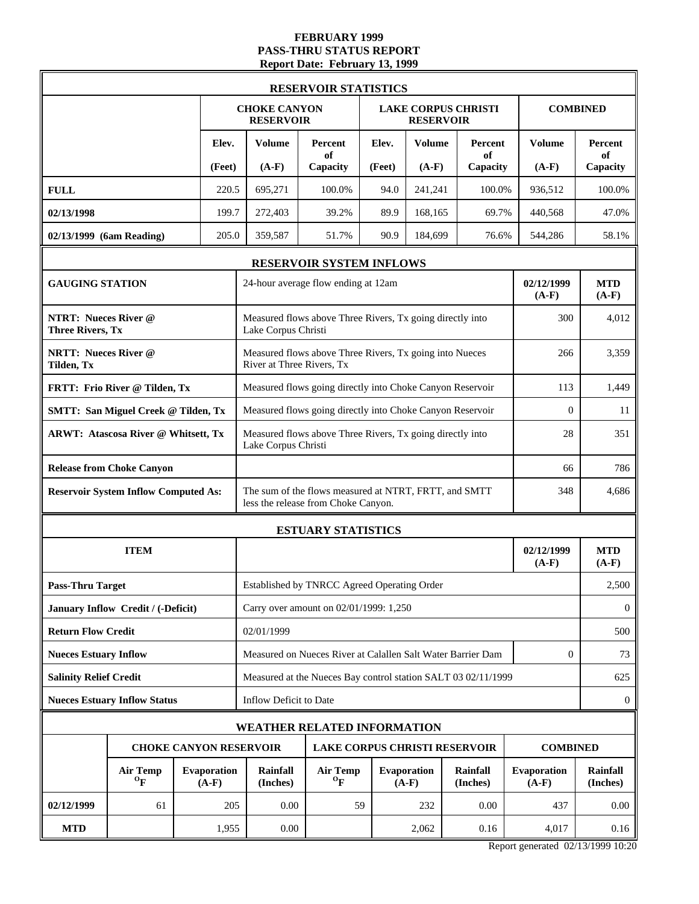#### **FEBRUARY 1999 PASS-THRU STATUS REPORT Report Date: February 13, 1999**

|                                                        |                                              |                               |                                                                                  | <b>RESERVOIR STATISTICS</b>                                                                  |                       |                                      |                            |                        |                       |
|--------------------------------------------------------|----------------------------------------------|-------------------------------|----------------------------------------------------------------------------------|----------------------------------------------------------------------------------------------|-----------------------|--------------------------------------|----------------------------|------------------------|-----------------------|
|                                                        |                                              |                               | <b>CHOKE CANYON</b><br><b>RESERVOIR</b>                                          |                                                                                              |                       | <b>RESERVOIR</b>                     | <b>LAKE CORPUS CHRISTI</b> |                        | <b>COMBINED</b>       |
|                                                        |                                              | Elev.                         | <b>Volume</b>                                                                    | Percent<br>of                                                                                | Elev.                 | <b>Volume</b>                        | Percent<br>of              | Volume                 | <b>Percent</b><br>of  |
|                                                        |                                              | (Feet)                        | $(A-F)$                                                                          | Capacity                                                                                     | (Feet)                | $(A-F)$                              | Capacity                   | $(A-F)$                | Capacity              |
| <b>FULL</b>                                            |                                              | 220.5                         | 695,271                                                                          | 100.0%                                                                                       | 94.0                  | 241,241                              | 100.0%                     | 936,512                | 100.0%                |
| 02/13/1998                                             |                                              | 199.7                         | 272,403                                                                          | 39.2%                                                                                        | 89.9                  | 168,165                              | 69.7%                      | 440,568                | 47.0%                 |
| 02/13/1999 (6am Reading)                               |                                              | 205.0                         | 359,587                                                                          | 51.7%                                                                                        | 90.9                  | 184,699                              | 76.6%                      | 544,286                | 58.1%                 |
|                                                        |                                              |                               |                                                                                  | RESERVOIR SYSTEM INFLOWS                                                                     |                       |                                      |                            |                        |                       |
| <b>GAUGING STATION</b>                                 |                                              |                               |                                                                                  | 24-hour average flow ending at 12am                                                          |                       |                                      |                            | 02/12/1999<br>$(A-F)$  | <b>MTD</b><br>$(A-F)$ |
| <b>NTRT: Nueces River @</b><br><b>Three Rivers, Tx</b> |                                              |                               | Lake Corpus Christi                                                              | Measured flows above Three Rivers, Tx going directly into                                    |                       |                                      |                            | 300                    | 4,012                 |
| <b>NRTT: Nueces River @</b><br>Tilden, Tx              |                                              |                               |                                                                                  | Measured flows above Three Rivers, Tx going into Nueces<br>River at Three Rivers, Tx         |                       |                                      |                            | 266                    | 3,359                 |
|                                                        | FRTT: Frio River @ Tilden, Tx                |                               | Measured flows going directly into Choke Canyon Reservoir<br>113                 |                                                                                              |                       |                                      |                            |                        |                       |
|                                                        | <b>SMTT: San Miguel Creek @ Tilden, Tx</b>   |                               | Measured flows going directly into Choke Canyon Reservoir                        | $\mathbf{0}$                                                                                 | 11                    |                                      |                            |                        |                       |
|                                                        | <b>ARWT: Atascosa River @ Whitsett, Tx</b>   |                               | Measured flows above Three Rivers, Tx going directly into<br>Lake Corpus Christi |                                                                                              |                       |                                      |                            |                        | 351                   |
|                                                        | <b>Release from Choke Canyon</b>             |                               |                                                                                  |                                                                                              |                       |                                      |                            |                        | 786                   |
|                                                        | <b>Reservoir System Inflow Computed As:</b>  |                               |                                                                                  | The sum of the flows measured at NTRT, FRTT, and SMTT<br>less the release from Choke Canyon. |                       |                                      |                            | 348                    | 4,686                 |
|                                                        |                                              |                               | <b>ESTUARY STATISTICS</b>                                                        |                                                                                              |                       |                                      |                            |                        |                       |
|                                                        | <b>ITEM</b>                                  |                               |                                                                                  | 02/12/1999<br>$(A-F)$                                                                        | <b>MTD</b><br>$(A-F)$ |                                      |                            |                        |                       |
| <b>Pass-Thru Target</b>                                |                                              |                               |                                                                                  | Established by TNRCC Agreed Operating Order                                                  |                       |                                      |                            |                        | 2,500                 |
|                                                        | January Inflow Credit / (-Deficit)           |                               |                                                                                  | Carry over amount on 02/01/1999: 1,250                                                       |                       |                                      |                            |                        | $\bf{0}$              |
| <b>Return Flow Credit</b>                              |                                              |                               | 02/01/1999                                                                       |                                                                                              |                       |                                      |                            |                        | 500                   |
| <b>Nueces Estuary Inflow</b>                           |                                              |                               |                                                                                  | Measured on Nueces River at Calallen Salt Water Barrier Dam                                  |                       |                                      |                            | $\mathbf{0}$           | 73                    |
| <b>Salinity Relief Credit</b>                          |                                              |                               |                                                                                  | Measured at the Nueces Bay control station SALT 03 02/11/1999                                |                       |                                      |                            |                        | 625                   |
|                                                        | <b>Nueces Estuary Inflow Status</b>          |                               | Inflow Deficit to Date                                                           |                                                                                              |                       |                                      |                            |                        | $\mathbf{0}$          |
|                                                        |                                              |                               |                                                                                  | WEATHER RELATED INFORMATION                                                                  |                       |                                      |                            |                        |                       |
|                                                        |                                              |                               | <b>CHOKE CANYON RESERVOIR</b>                                                    |                                                                                              |                       | <b>LAKE CORPUS CHRISTI RESERVOIR</b> |                            | <b>COMBINED</b>        |                       |
|                                                        | <b>Air Temp</b><br>$\mathbf{O}_{\mathbf{F}}$ | <b>Evaporation</b><br>$(A-F)$ | <b>Rainfall</b><br>(Inches)                                                      | <b>Air Temp</b><br>$\mathbf{O}_{\mathbf{F}}$                                                 |                       | <b>Evaporation</b><br>$(A-F)$        | Rainfall<br>(Inches)       | Evaporation<br>$(A-F)$ | Rainfall<br>(Inches)  |
| 02/12/1999                                             | 61                                           | 205                           | 0.00                                                                             |                                                                                              | 59                    | 232                                  | 0.00                       | 437                    | 0.00                  |
| <b>MTD</b>                                             |                                              | 1,955                         | 0.00                                                                             |                                                                                              |                       | 2,062                                | 0.16                       | 4,017                  | 0.16                  |

Report generated 02/13/1999 10:20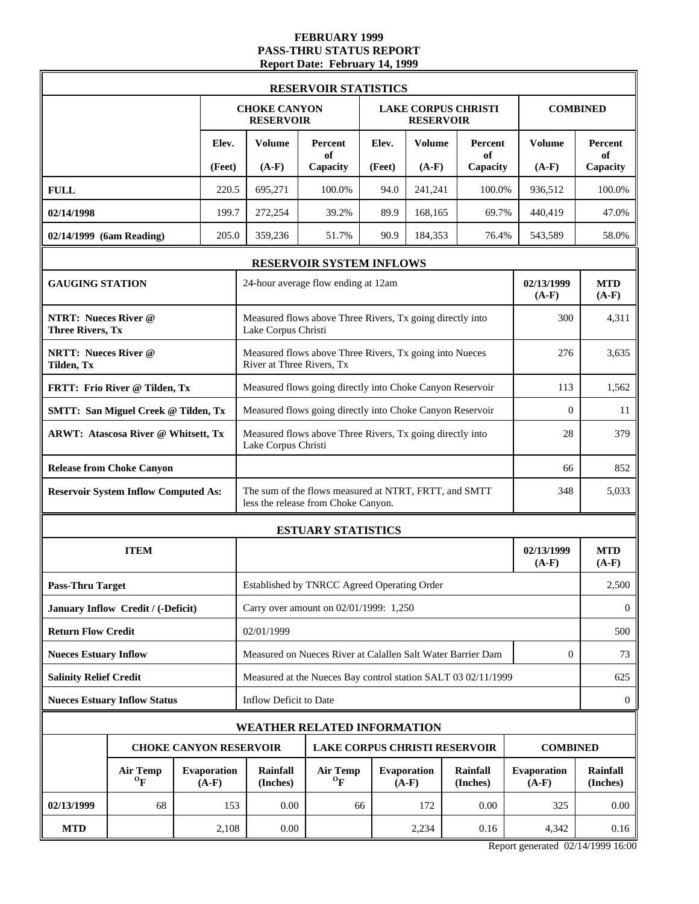#### **FEBRUARY 1999 PASS-THRU STATUS REPORT Report Date: February 14, 1999**

|                                                        |                                              |  |                               |                                                           | <b>RESERVOIR STATISTICS</b>                                                                  |        |                                                |                      |                               |                       |  |
|--------------------------------------------------------|----------------------------------------------|--|-------------------------------|-----------------------------------------------------------|----------------------------------------------------------------------------------------------|--------|------------------------------------------------|----------------------|-------------------------------|-----------------------|--|
|                                                        |                                              |  |                               | <b>CHOKE CANYON</b><br><b>RESERVOIR</b>                   |                                                                                              |        | <b>LAKE CORPUS CHRISTI</b><br><b>RESERVOIR</b> |                      |                               | <b>COMBINED</b>       |  |
|                                                        |                                              |  | Elev.                         | <b>Volume</b>                                             | Percent<br>of                                                                                | Elev.  | <b>Volume</b>                                  | Percent<br>of        | <b>Volume</b>                 | Percent<br>of         |  |
|                                                        |                                              |  | (Feet)                        | $(A-F)$                                                   | Capacity                                                                                     | (Feet) | $(A-F)$                                        | Capacity             | $(A-F)$                       | Capacity              |  |
| <b>FULL</b>                                            |                                              |  | 220.5                         | 695,271                                                   | 100.0%                                                                                       | 94.0   | 241,241                                        | 100.0%               | 936,512                       | 100.0%                |  |
| 02/14/1998                                             |                                              |  | 199.7                         | 272,254                                                   | 39.2%                                                                                        | 89.9   | 168,165                                        | 69.7%                | 440,419                       | 47.0%                 |  |
| 02/14/1999 (6am Reading)                               |                                              |  | 205.0                         | 359,236                                                   | 51.7%                                                                                        | 90.9   | 184,353                                        | 76.4%                | 543,589                       | 58.0%                 |  |
|                                                        |                                              |  |                               |                                                           | RESERVOIR SYSTEM INFLOWS                                                                     |        |                                                |                      |                               |                       |  |
| <b>GAUGING STATION</b>                                 |                                              |  |                               |                                                           | 24-hour average flow ending at 12am                                                          |        |                                                |                      | 02/13/1999<br>$(A-F)$         | <b>MTD</b><br>$(A-F)$ |  |
| <b>NTRT: Nueces River @</b><br><b>Three Rivers, Tx</b> |                                              |  |                               | Lake Corpus Christi                                       | Measured flows above Three Rivers, Tx going directly into                                    |        |                                                |                      | 300                           | 4,311                 |  |
| <b>NRTT: Nueces River @</b><br>Tilden, Tx              |                                              |  |                               | River at Three Rivers, Tx                                 | Measured flows above Three Rivers, Tx going into Nueces                                      |        |                                                |                      | 276                           | 3,635                 |  |
|                                                        | FRTT: Frio River @ Tilden, Tx                |  |                               | Measured flows going directly into Choke Canyon Reservoir | 113                                                                                          | 1,562  |                                                |                      |                               |                       |  |
|                                                        | <b>SMTT: San Miguel Creek @ Tilden, Tx</b>   |  |                               | Measured flows going directly into Choke Canyon Reservoir | $\overline{0}$                                                                               | 11     |                                                |                      |                               |                       |  |
|                                                        | <b>ARWT: Atascosa River @ Whitsett, Tx</b>   |  |                               |                                                           | Measured flows above Three Rivers, Tx going directly into<br>Lake Corpus Christi             |        |                                                |                      |                               |                       |  |
|                                                        | <b>Release from Choke Canyon</b>             |  |                               |                                                           |                                                                                              |        |                                                |                      |                               | 852                   |  |
|                                                        | <b>Reservoir System Inflow Computed As:</b>  |  |                               |                                                           | The sum of the flows measured at NTRT, FRTT, and SMTT<br>less the release from Choke Canyon. |        |                                                |                      | 348                           | 5,033                 |  |
|                                                        |                                              |  |                               |                                                           | <b>ESTUARY STATISTICS</b>                                                                    |        |                                                |                      |                               |                       |  |
|                                                        | <b>ITEM</b>                                  |  |                               |                                                           |                                                                                              |        |                                                |                      | 02/13/1999<br>$(A-F)$         | <b>MTD</b><br>$(A-F)$ |  |
| <b>Pass-Thru Target</b>                                |                                              |  |                               |                                                           | Established by TNRCC Agreed Operating Order                                                  |        |                                                |                      |                               | 2,500                 |  |
|                                                        | January Inflow Credit / (-Deficit)           |  |                               |                                                           | Carry over amount on 02/01/1999: 1,250                                                       |        |                                                |                      |                               | $\overline{0}$        |  |
| <b>Return Flow Credit</b>                              |                                              |  |                               | 02/01/1999                                                |                                                                                              |        |                                                |                      |                               | 500                   |  |
| <b>Nueces Estuary Inflow</b>                           |                                              |  |                               |                                                           | Measured on Nueces River at Calallen Salt Water Barrier Dam                                  |        |                                                |                      | $\mathbf{0}$                  | 73                    |  |
| <b>Salinity Relief Credit</b>                          |                                              |  |                               |                                                           | Measured at the Nueces Bay control station SALT 03 02/11/1999                                |        |                                                |                      |                               | 625                   |  |
|                                                        | <b>Nueces Estuary Inflow Status</b>          |  |                               | Inflow Deficit to Date                                    |                                                                                              |        |                                                |                      |                               | $\mathbf{0}$          |  |
|                                                        |                                              |  |                               | <b>WEATHER RELATED INFORMATION</b>                        |                                                                                              |        |                                                |                      |                               |                       |  |
|                                                        | <b>CHOKE CANYON RESERVOIR</b>                |  |                               |                                                           |                                                                                              |        | <b>LAKE CORPUS CHRISTI RESERVOIR</b>           |                      | <b>COMBINED</b>               |                       |  |
|                                                        | <b>Air Temp</b><br>$\mathbf{O}_{\mathbf{F}}$ |  | <b>Evaporation</b><br>$(A-F)$ | <b>Rainfall</b><br>(Inches)                               | <b>Air Temp</b><br>$\mathbf{o}_{\mathbf{F}}$                                                 |        | <b>Evaporation</b><br>$(A-F)$                  | Rainfall<br>(Inches) | <b>Evaporation</b><br>$(A-F)$ | Rainfall<br>(Inches)  |  |
| 02/13/1999                                             | 68                                           |  | 153                           | 0.00                                                      | 66                                                                                           |        | 172                                            | 0.00                 | 325                           | 0.00                  |  |
| <b>MTD</b>                                             |                                              |  | 2,108                         | 0.00                                                      |                                                                                              |        | 2,234                                          | 0.16                 | 4,342                         | 0.16                  |  |

Report generated 02/14/1999 16:00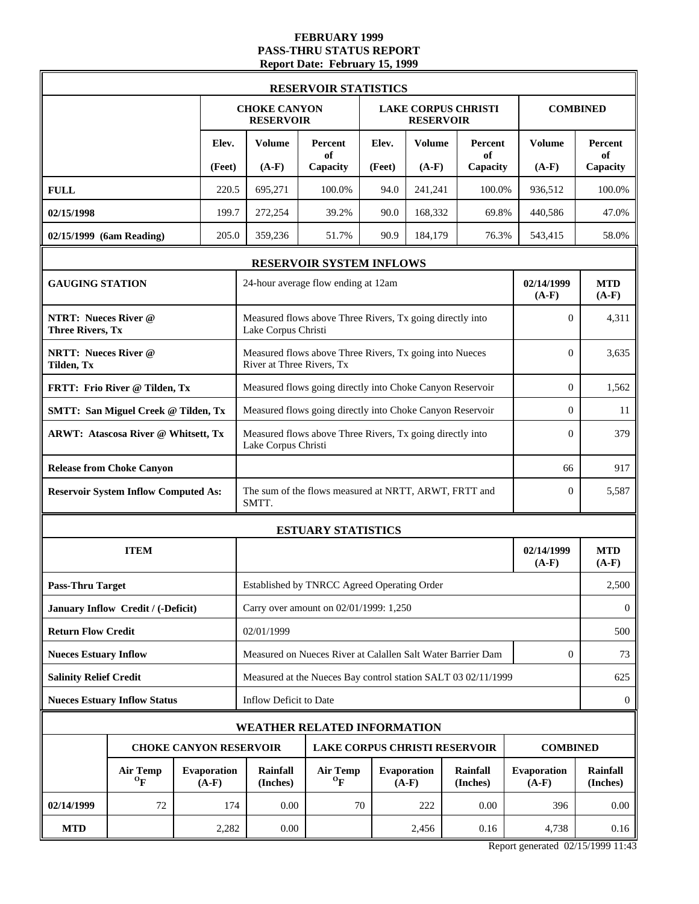#### **FEBRUARY 1999 PASS-THRU STATUS REPORT Report Date: February 15, 1999**

|                                                        |                                              |                                                                       |                               |                                                                                  | <b>RESERVOIR STATISTICS</b>                                   |        |                                                |                      |                        |                       |
|--------------------------------------------------------|----------------------------------------------|-----------------------------------------------------------------------|-------------------------------|----------------------------------------------------------------------------------|---------------------------------------------------------------|--------|------------------------------------------------|----------------------|------------------------|-----------------------|
|                                                        |                                              |                                                                       |                               | <b>CHOKE CANYON</b><br><b>RESERVOIR</b>                                          |                                                               |        | <b>LAKE CORPUS CHRISTI</b><br><b>RESERVOIR</b> |                      |                        | <b>COMBINED</b>       |
|                                                        |                                              |                                                                       | Elev.                         | <b>Volume</b>                                                                    | Percent<br>of                                                 | Elev.  | <b>Volume</b>                                  | Percent<br>of        | Volume                 | <b>Percent</b><br>of  |
|                                                        |                                              |                                                                       | (Feet)                        | $(A-F)$                                                                          | Capacity                                                      | (Feet) | $(A-F)$                                        | Capacity             | $(A-F)$                | Capacity              |
| <b>FULL</b>                                            |                                              |                                                                       | 220.5                         | 695,271                                                                          | 100.0%                                                        | 94.0   | 241,241                                        | 100.0%               | 936,512                | 100.0%                |
| 02/15/1998                                             |                                              |                                                                       | 199.7                         | 272,254                                                                          | 39.2%                                                         | 90.0   | 168,332                                        | 69.8%                | 440,586                | 47.0%                 |
| 02/15/1999 (6am Reading)                               |                                              |                                                                       | 205.0                         | 359,236                                                                          | 51.7%                                                         | 90.9   | 184,179                                        | 76.3%                | 543,415                | 58.0%                 |
|                                                        |                                              |                                                                       |                               |                                                                                  | RESERVOIR SYSTEM INFLOWS                                      |        |                                                |                      |                        |                       |
| <b>GAUGING STATION</b>                                 |                                              |                                                                       |                               |                                                                                  | 24-hour average flow ending at 12am                           |        |                                                |                      | 02/14/1999<br>$(A-F)$  | <b>MTD</b><br>$(A-F)$ |
| <b>NTRT: Nueces River @</b><br><b>Three Rivers, Tx</b> |                                              |                                                                       |                               | Lake Corpus Christi                                                              | Measured flows above Three Rivers, Tx going directly into     |        |                                                |                      | $\overline{0}$         | 4,311                 |
| <b>NRTT: Nueces River @</b><br>Tilden, Tx              |                                              |                                                                       |                               | River at Three Rivers, Tx                                                        | Measured flows above Three Rivers, Tx going into Nueces       |        |                                                |                      | $\Omega$               | 3,635                 |
|                                                        | FRTT: Frio River @ Tilden, Tx                |                                                                       |                               | Measured flows going directly into Choke Canyon Reservoir                        | $\overline{0}$                                                | 1,562  |                                                |                      |                        |                       |
|                                                        | <b>SMTT: San Miguel Creek @ Tilden, Tx</b>   |                                                                       |                               | Measured flows going directly into Choke Canyon Reservoir                        | $\overline{0}$                                                | 11     |                                                |                      |                        |                       |
|                                                        | <b>ARWT: Atascosa River @ Whitsett, Tx</b>   |                                                                       |                               | Measured flows above Three Rivers, Tx going directly into<br>Lake Corpus Christi |                                                               |        |                                                |                      |                        | 379                   |
|                                                        | <b>Release from Choke Canyon</b>             |                                                                       |                               |                                                                                  |                                                               |        |                                                |                      |                        | 917                   |
|                                                        | <b>Reservoir System Inflow Computed As:</b>  |                                                                       |                               | SMTT.                                                                            | The sum of the flows measured at NRTT, ARWT, FRTT and         |        |                                                |                      | $\overline{0}$         | 5,587                 |
|                                                        |                                              |                                                                       |                               |                                                                                  | <b>ESTUARY STATISTICS</b>                                     |        |                                                |                      |                        |                       |
|                                                        | <b>ITEM</b>                                  |                                                                       |                               |                                                                                  |                                                               |        |                                                |                      | 02/14/1999<br>$(A-F)$  | <b>MTD</b><br>$(A-F)$ |
| <b>Pass-Thru Target</b>                                |                                              |                                                                       |                               |                                                                                  | Established by TNRCC Agreed Operating Order                   |        |                                                |                      |                        | 2,500                 |
|                                                        | January Inflow Credit / (-Deficit)           |                                                                       |                               |                                                                                  | Carry over amount on 02/01/1999: 1,250                        |        |                                                |                      |                        | $\bf{0}$              |
| <b>Return Flow Credit</b>                              |                                              |                                                                       |                               | 02/01/1999                                                                       |                                                               |        |                                                |                      |                        | 500                   |
| <b>Nueces Estuary Inflow</b>                           |                                              |                                                                       |                               |                                                                                  | Measured on Nueces River at Calallen Salt Water Barrier Dam   |        |                                                |                      | $\mathbf{0}$           | 73                    |
| <b>Salinity Relief Credit</b>                          |                                              |                                                                       |                               |                                                                                  | Measured at the Nueces Bay control station SALT 03 02/11/1999 |        |                                                |                      |                        | 625                   |
|                                                        | <b>Nueces Estuary Inflow Status</b>          |                                                                       |                               | Inflow Deficit to Date                                                           |                                                               |        |                                                |                      |                        | $\mathbf{0}$          |
|                                                        |                                              |                                                                       |                               | WEATHER RELATED INFORMATION                                                      |                                                               |        |                                                |                      |                        |                       |
|                                                        |                                              | <b>CHOKE CANYON RESERVOIR</b><br><b>LAKE CORPUS CHRISTI RESERVOIR</b> |                               |                                                                                  |                                                               |        |                                                |                      | <b>COMBINED</b>        |                       |
|                                                        | <b>Air Temp</b><br>$\mathbf{O}_{\mathbf{F}}$ |                                                                       | <b>Evaporation</b><br>$(A-F)$ | <b>Rainfall</b><br>(Inches)                                                      | <b>Air Temp</b><br>$\mathbf{O}_{\mathbf{F}}$                  |        | <b>Evaporation</b><br>$(A-F)$                  | Rainfall<br>(Inches) | Evaporation<br>$(A-F)$ | Rainfall<br>(Inches)  |
| 02/14/1999                                             | 72                                           |                                                                       | 174                           | 0.00                                                                             | 70                                                            |        | 222                                            | 0.00                 | 396                    | 0.00                  |
| <b>MTD</b>                                             |                                              |                                                                       | 2,282                         | 0.00                                                                             |                                                               |        | 2,456                                          | 0.16                 | 4,738                  | 0.16                  |

Report generated 02/15/1999 11:43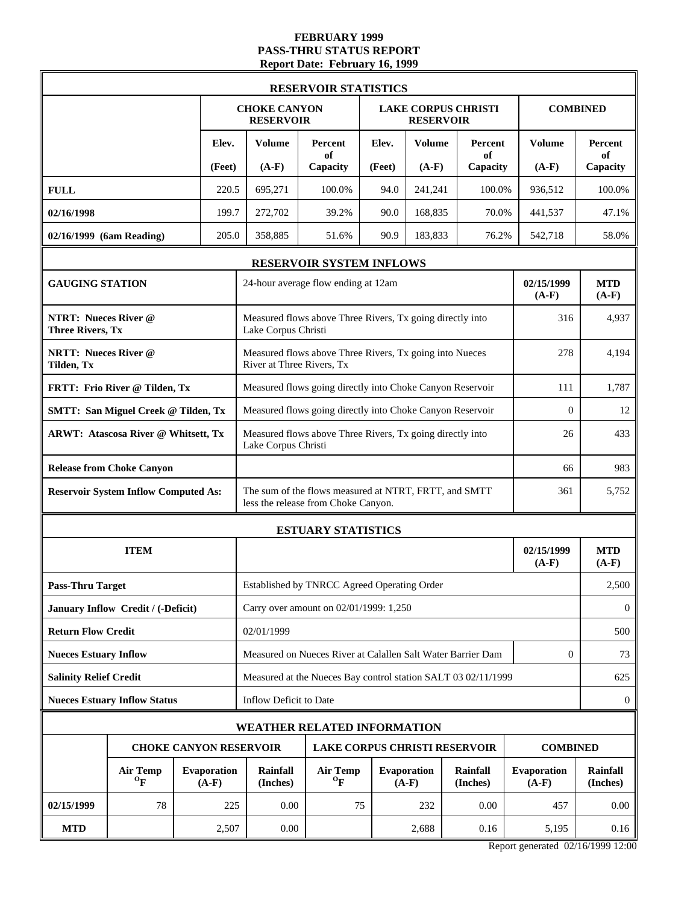#### **FEBRUARY 1999 PASS-THRU STATUS REPORT Report Date: February 16, 1999**

|                                                        |                                                                               |  |        |                                                                                  | <b>RESERVOIR STATISTICS</b>                                                                  |        |                                                |                      |                               |                       |
|--------------------------------------------------------|-------------------------------------------------------------------------------|--|--------|----------------------------------------------------------------------------------|----------------------------------------------------------------------------------------------|--------|------------------------------------------------|----------------------|-------------------------------|-----------------------|
|                                                        |                                                                               |  |        | <b>CHOKE CANYON</b><br><b>RESERVOIR</b>                                          |                                                                                              |        | <b>LAKE CORPUS CHRISTI</b><br><b>RESERVOIR</b> |                      |                               | <b>COMBINED</b>       |
|                                                        |                                                                               |  | Elev.  | <b>Volume</b>                                                                    | Percent<br>of                                                                                | Elev.  | <b>Volume</b>                                  | Percent<br>of        | <b>Volume</b>                 | Percent<br>of         |
|                                                        |                                                                               |  | (Feet) | $(A-F)$                                                                          | Capacity                                                                                     | (Feet) | $(A-F)$                                        | Capacity             | $(A-F)$                       | Capacity              |
| <b>FULL</b>                                            |                                                                               |  | 220.5  | 695,271                                                                          | 100.0%                                                                                       | 94.0   | 241,241                                        | 100.0%               | 936,512                       | 100.0%                |
| 02/16/1998                                             |                                                                               |  | 199.7  | 272,702                                                                          | 39.2%                                                                                        | 90.0   | 168,835                                        | 70.0%                | 441,537                       | 47.1%                 |
| 02/16/1999 (6am Reading)                               |                                                                               |  | 205.0  | 358,885                                                                          | 51.6%                                                                                        | 90.9   | 183,833                                        | 76.2%                | 542,718                       | 58.0%                 |
|                                                        |                                                                               |  |        |                                                                                  | RESERVOIR SYSTEM INFLOWS                                                                     |        |                                                |                      |                               |                       |
| <b>GAUGING STATION</b>                                 |                                                                               |  |        |                                                                                  | 24-hour average flow ending at 12am                                                          |        |                                                |                      | 02/15/1999<br>$(A-F)$         | <b>MTD</b><br>$(A-F)$ |
| <b>NTRT: Nueces River @</b><br><b>Three Rivers, Tx</b> |                                                                               |  |        | Lake Corpus Christi                                                              | Measured flows above Three Rivers, Tx going directly into                                    |        |                                                |                      | 316                           | 4,937                 |
| <b>NRTT: Nueces River @</b><br>Tilden, Tx              |                                                                               |  |        | River at Three Rivers, Tx                                                        | Measured flows above Three Rivers, Tx going into Nueces                                      |        |                                                |                      | 278                           | 4,194                 |
|                                                        | FRTT: Frio River @ Tilden, Tx                                                 |  |        | Measured flows going directly into Choke Canyon Reservoir                        | 111                                                                                          | 1,787  |                                                |                      |                               |                       |
|                                                        | <b>SMTT: San Miguel Creek @ Tilden, Tx</b>                                    |  |        |                                                                                  | Measured flows going directly into Choke Canyon Reservoir                                    |        |                                                |                      | $\overline{0}$                | 12                    |
|                                                        | <b>ARWT: Atascosa River @ Whitsett, Tx</b>                                    |  |        | Measured flows above Three Rivers, Tx going directly into<br>Lake Corpus Christi |                                                                                              |        |                                                |                      |                               | 433                   |
|                                                        | <b>Release from Choke Canyon</b>                                              |  |        |                                                                                  |                                                                                              |        |                                                |                      |                               | 983                   |
|                                                        | <b>Reservoir System Inflow Computed As:</b>                                   |  |        |                                                                                  | The sum of the flows measured at NTRT, FRTT, and SMTT<br>less the release from Choke Canyon. |        |                                                |                      | 361                           | 5,752                 |
|                                                        |                                                                               |  |        |                                                                                  | <b>ESTUARY STATISTICS</b>                                                                    |        |                                                |                      |                               |                       |
|                                                        | <b>ITEM</b>                                                                   |  |        |                                                                                  |                                                                                              |        |                                                |                      | 02/15/1999<br>$(A-F)$         | <b>MTD</b><br>$(A-F)$ |
| <b>Pass-Thru Target</b>                                |                                                                               |  |        |                                                                                  | Established by TNRCC Agreed Operating Order                                                  |        |                                                |                      |                               | 2,500                 |
|                                                        | January Inflow Credit / (-Deficit)                                            |  |        |                                                                                  | Carry over amount on 02/01/1999: 1,250                                                       |        |                                                |                      |                               | $\bf{0}$              |
| <b>Return Flow Credit</b>                              |                                                                               |  |        | 02/01/1999                                                                       |                                                                                              |        |                                                |                      |                               | 500                   |
| <b>Nueces Estuary Inflow</b>                           |                                                                               |  |        |                                                                                  | Measured on Nueces River at Calallen Salt Water Barrier Dam                                  |        |                                                |                      | $\mathbf{0}$                  | 73                    |
| <b>Salinity Relief Credit</b>                          |                                                                               |  |        |                                                                                  | Measured at the Nueces Bay control station SALT 03 02/11/1999                                |        |                                                |                      |                               | 625                   |
|                                                        | <b>Nueces Estuary Inflow Status</b>                                           |  |        | Inflow Deficit to Date                                                           |                                                                                              |        |                                                |                      |                               | $\boldsymbol{0}$      |
|                                                        |                                                                               |  |        | <b>WEATHER RELATED INFORMATION</b>                                               |                                                                                              |        |                                                |                      |                               |                       |
|                                                        |                                                                               |  |        | <b>CHOKE CANYON RESERVOIR</b>                                                    | <b>LAKE CORPUS CHRISTI RESERVOIR</b>                                                         |        |                                                |                      | <b>COMBINED</b>               |                       |
|                                                        | <b>Air Temp</b><br><b>Evaporation</b><br>$\mathbf{O}_{\mathbf{F}}$<br>$(A-F)$ |  |        |                                                                                  | <b>Air Temp</b><br>$\mathbf{o}_{\mathbf{F}}$                                                 |        | <b>Evaporation</b><br>$(A-F)$                  | Rainfall<br>(Inches) | <b>Evaporation</b><br>$(A-F)$ | Rainfall<br>(Inches)  |
| 02/15/1999                                             | 78                                                                            |  | 225    | 0.00                                                                             | 75                                                                                           |        | 232                                            | 0.00                 | 457                           | 0.00                  |
| <b>MTD</b>                                             |                                                                               |  | 2,507  | 0.00                                                                             |                                                                                              |        | 2,688                                          | 0.16                 | 5,195                         | 0.16                  |

Report generated 02/16/1999 12:00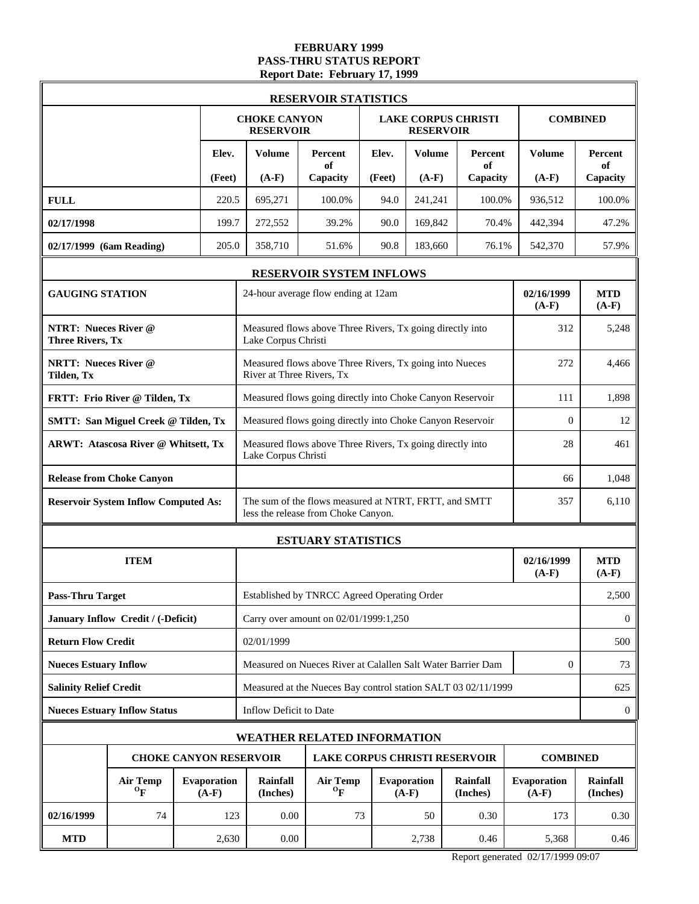# **FEBRUARY 1999 PASS-THRU STATUS REPORT Report Date: February 17, 1999**

|                                                        |                                             |                               |                                                                                      | <b>RESERVOIR STATISTICS</b>                                                                  |        |                                                |                      |                               |                             |
|--------------------------------------------------------|---------------------------------------------|-------------------------------|--------------------------------------------------------------------------------------|----------------------------------------------------------------------------------------------|--------|------------------------------------------------|----------------------|-------------------------------|-----------------------------|
|                                                        |                                             |                               | <b>CHOKE CANYON</b><br><b>RESERVOIR</b>                                              |                                                                                              |        | <b>LAKE CORPUS CHRISTI</b><br><b>RESERVOIR</b> |                      |                               | <b>COMBINED</b>             |
|                                                        |                                             | Elev.                         | Volume                                                                               | Percent<br>of                                                                                | Elev.  | <b>Volume</b>                                  | Percent<br>of        | <b>Volume</b>                 | Percent<br>of               |
|                                                        |                                             | (Feet)                        | $(A-F)$                                                                              | Capacity                                                                                     | (Feet) | $(A-F)$                                        | Capacity             | $(A-F)$                       | Capacity                    |
| <b>FULL</b>                                            |                                             | 220.5                         | 695,271                                                                              | 100.0%                                                                                       | 94.0   | 241,241                                        | 100.0%               | 936,512                       | 100.0%                      |
| 02/17/1998                                             |                                             | 199.7                         | 272,552                                                                              | 39.2%                                                                                        | 90.0   | 169,842                                        | 70.4%                | 442,394                       | 47.2%                       |
| 02/17/1999 (6am Reading)                               |                                             | 205.0                         | 358,710                                                                              | 51.6%                                                                                        | 90.8   | 183,660                                        | 76.1%                | 542,370                       | 57.9%                       |
|                                                        |                                             |                               |                                                                                      | <b>RESERVOIR SYSTEM INFLOWS</b>                                                              |        |                                                |                      |                               |                             |
| <b>GAUGING STATION</b>                                 |                                             |                               |                                                                                      | 24-hour average flow ending at 12am                                                          |        |                                                |                      | 02/16/1999<br>$(A-F)$         | <b>MTD</b><br>$(A-F)$       |
| <b>NTRT: Nueces River @</b><br><b>Three Rivers, Tx</b> |                                             |                               | Lake Corpus Christi                                                                  | Measured flows above Three Rivers, Tx going directly into                                    |        |                                                |                      | 312                           | 5,248                       |
| <b>NRTT: Nueces River @</b><br>Tilden, Tx              |                                             |                               | Measured flows above Three Rivers, Tx going into Nueces<br>River at Three Rivers, Tx | 272                                                                                          | 4,466  |                                                |                      |                               |                             |
|                                                        | FRTT: Frio River @ Tilden, Tx               |                               |                                                                                      | Measured flows going directly into Choke Canyon Reservoir                                    |        |                                                |                      | 111                           | 1,898                       |
|                                                        | <b>SMTT: San Miguel Creek @ Tilden, Tx</b>  |                               | Measured flows going directly into Choke Canyon Reservoir                            | $\mathbf{0}$                                                                                 | 12     |                                                |                      |                               |                             |
|                                                        | <b>ARWT: Atascosa River @ Whitsett, Tx</b>  |                               | Measured flows above Three Rivers, Tx going directly into<br>Lake Corpus Christi     | 28                                                                                           | 461    |                                                |                      |                               |                             |
|                                                        | <b>Release from Choke Canyon</b>            |                               |                                                                                      |                                                                                              |        |                                                |                      |                               | 1,048                       |
|                                                        | <b>Reservoir System Inflow Computed As:</b> |                               |                                                                                      | The sum of the flows measured at NTRT, FRTT, and SMTT<br>less the release from Choke Canyon. |        |                                                |                      | 357                           | 6,110                       |
|                                                        |                                             |                               |                                                                                      | <b>ESTUARY STATISTICS</b>                                                                    |        |                                                |                      |                               |                             |
|                                                        | <b>ITEM</b>                                 |                               |                                                                                      |                                                                                              |        |                                                |                      | 02/16/1999<br>$(A-F)$         | <b>MTD</b><br>$(A-F)$       |
| <b>Pass-Thru Target</b>                                |                                             |                               |                                                                                      | Established by TNRCC Agreed Operating Order                                                  |        |                                                |                      |                               | 2,500                       |
|                                                        | January Inflow Credit / (-Deficit)          |                               |                                                                                      | Carry over amount on 02/01/1999:1,250                                                        |        |                                                |                      |                               | $\mathbf{0}$                |
| <b>Return Flow Credit</b>                              |                                             |                               | 02/01/1999                                                                           |                                                                                              |        |                                                |                      |                               | 500                         |
| <b>Nueces Estuary Inflow</b>                           |                                             |                               |                                                                                      | Measured on Nueces River at Calallen Salt Water Barrier Dam                                  |        |                                                |                      | $\boldsymbol{0}$              | 73                          |
| <b>Salinity Relief Credit</b>                          |                                             |                               |                                                                                      | Measured at the Nueces Bay control station SALT 03 02/11/1999                                |        |                                                |                      |                               | 625                         |
|                                                        | <b>Nueces Estuary Inflow Status</b>         |                               | Inflow Deficit to Date                                                               |                                                                                              |        |                                                |                      |                               | $\mathbf{0}$                |
|                                                        |                                             |                               | <b>WEATHER RELATED INFORMATION</b>                                                   |                                                                                              |        |                                                |                      |                               |                             |
|                                                        |                                             |                               | <b>CHOKE CANYON RESERVOIR</b>                                                        | LAKE CORPUS CHRISTI RESERVOIR                                                                |        |                                                |                      | <b>COMBINED</b>               |                             |
|                                                        | <b>Air Temp</b><br>$\mathbf{p}$             | <b>Evaporation</b><br>$(A-F)$ | <b>Rainfall</b><br>(Inches)                                                          | <b>Air Temp</b><br>$\mathbf{p}$                                                              |        | Evaporation<br>$(A-F)$                         | Rainfall<br>(Inches) | <b>Evaporation</b><br>$(A-F)$ | <b>Rainfall</b><br>(Inches) |
| 02/16/1999                                             | 74                                          | 123                           | 0.00                                                                                 | 73                                                                                           |        | 50                                             | 0.30                 | 173                           | 0.30                        |
| <b>MTD</b>                                             |                                             | 2,630                         | 0.00                                                                                 |                                                                                              |        | 2,738                                          | 0.46                 | 5,368                         | 0.46                        |

Report generated 02/17/1999 09:07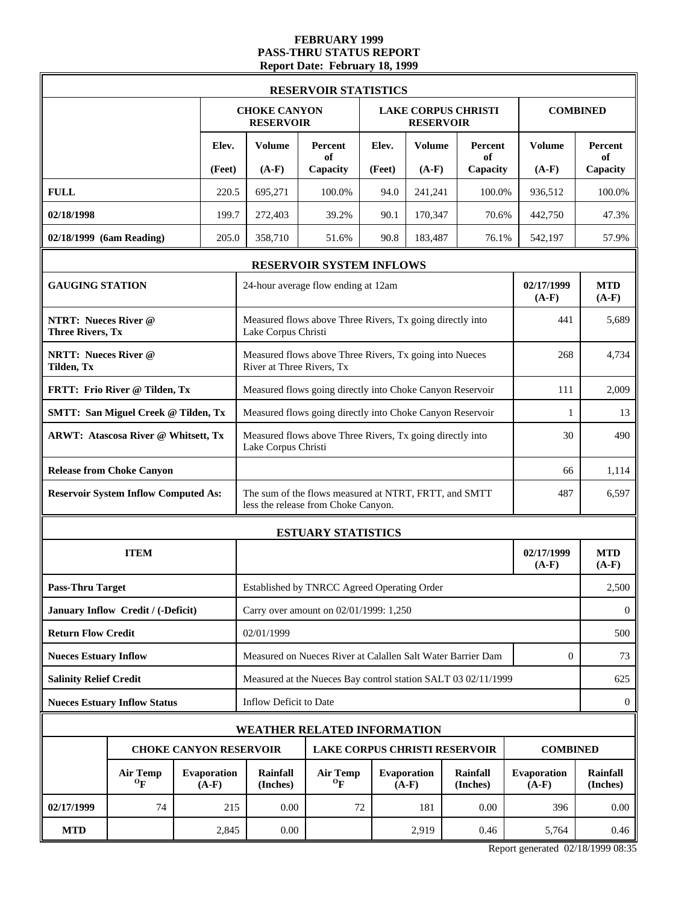#### **FEBRUARY 1999 PASS-THRU STATUS REPORT Report Date: February 18, 1999**

|                                                        |                                              |                               |                                                                                      | <b>RESERVOIR STATISTICS</b>                                                                  |        |                               |                             |                        |                             |
|--------------------------------------------------------|----------------------------------------------|-------------------------------|--------------------------------------------------------------------------------------|----------------------------------------------------------------------------------------------|--------|-------------------------------|-----------------------------|------------------------|-----------------------------|
|                                                        |                                              |                               | <b>CHOKE CANYON</b><br><b>RESERVOIR</b>                                              |                                                                                              |        | <b>RESERVOIR</b>              | <b>LAKE CORPUS CHRISTI</b>  | <b>COMBINED</b>        |                             |
|                                                        |                                              | Elev.                         | Volume                                                                               | Percent<br>of                                                                                | Elev.  | <b>Volume</b>                 | Percent<br>of               | <b>Volume</b>          | Percent<br>of               |
|                                                        |                                              | (Feet)                        | $(A-F)$                                                                              | Capacity                                                                                     | (Feet) | $(A-F)$                       | Capacity                    | $(A-F)$                | Capacity                    |
| <b>FULL</b>                                            |                                              | 220.5                         | 695,271                                                                              | 100.0%                                                                                       | 94.0   | 241,241                       | 100.0%                      | 936,512                | 100.0%                      |
| 02/18/1998                                             |                                              | 199.7                         | 272,403                                                                              | 39.2%                                                                                        | 90.1   | 170,347                       | 70.6%                       | 442,750                | 47.3%                       |
| 02/18/1999 (6am Reading)                               |                                              | 205.0                         | 358,710                                                                              | 51.6%                                                                                        | 90.8   | 183,487                       | 76.1%                       | 542,197                | 57.9%                       |
|                                                        |                                              |                               |                                                                                      | RESERVOIR SYSTEM INFLOWS                                                                     |        |                               |                             |                        |                             |
| <b>GAUGING STATION</b>                                 |                                              |                               |                                                                                      | 24-hour average flow ending at 12am                                                          |        |                               |                             | 02/17/1999<br>$(A-F)$  | <b>MTD</b><br>$(A-F)$       |
| <b>NTRT: Nueces River @</b><br><b>Three Rivers, Tx</b> |                                              |                               | Lake Corpus Christi                                                                  | Measured flows above Three Rivers, Tx going directly into                                    |        |                               |                             | 441                    | 5,689                       |
| <b>NRTT: Nueces River @</b><br>Tilden, Tx              |                                              |                               | Measured flows above Three Rivers, Tx going into Nueces<br>River at Three Rivers, Tx |                                                                                              |        |                               |                             |                        | 4,734                       |
|                                                        | FRTT: Frio River @ Tilden, Tx                |                               |                                                                                      | Measured flows going directly into Choke Canyon Reservoir                                    |        |                               |                             | 111                    | 2,009                       |
|                                                        | <b>SMTT: San Miguel Creek @ Tilden, Tx</b>   |                               |                                                                                      | Measured flows going directly into Choke Canyon Reservoir                                    | 1      | 13                            |                             |                        |                             |
|                                                        | <b>ARWT: Atascosa River @ Whitsett, Tx</b>   |                               | Lake Corpus Christi                                                                  | Measured flows above Three Rivers, Tx going directly into                                    | 30     | 490                           |                             |                        |                             |
|                                                        | <b>Release from Choke Canyon</b>             |                               |                                                                                      |                                                                                              | 66     | 1,114                         |                             |                        |                             |
|                                                        | <b>Reservoir System Inflow Computed As:</b>  |                               |                                                                                      | The sum of the flows measured at NTRT, FRTT, and SMTT<br>less the release from Choke Canyon. |        |                               |                             | 487                    | 6,597                       |
|                                                        |                                              |                               |                                                                                      | <b>ESTUARY STATISTICS</b>                                                                    |        |                               |                             |                        |                             |
|                                                        | <b>ITEM</b>                                  |                               |                                                                                      |                                                                                              |        |                               |                             | 02/17/1999<br>$(A-F)$  | <b>MTD</b><br>$(A-F)$       |
| <b>Pass-Thru Target</b>                                |                                              |                               |                                                                                      | Established by TNRCC Agreed Operating Order                                                  |        |                               |                             |                        | 2,500                       |
|                                                        | January Inflow Credit / (-Deficit)           |                               |                                                                                      | Carry over amount on 02/01/1999: 1,250                                                       |        |                               |                             |                        | $\mathbf{0}$                |
| <b>Return Flow Credit</b>                              |                                              |                               | 02/01/1999                                                                           |                                                                                              |        |                               |                             |                        | 500                         |
| <b>Nueces Estuary Inflow</b>                           |                                              |                               |                                                                                      | Measured on Nueces River at Calallen Salt Water Barrier Dam                                  |        |                               |                             | $\mathbf{0}$           | 73                          |
| <b>Salinity Relief Credit</b>                          |                                              |                               |                                                                                      | Measured at the Nueces Bay control station SALT 03 02/11/1999                                |        |                               |                             |                        | 625                         |
|                                                        | <b>Nueces Estuary Inflow Status</b>          |                               | Inflow Deficit to Date                                                               |                                                                                              |        |                               |                             |                        | $\mathbf{0}$                |
|                                                        |                                              |                               |                                                                                      | <b>WEATHER RELATED INFORMATION</b>                                                           |        |                               |                             |                        |                             |
|                                                        | <b>CHOKE CANYON RESERVOIR</b>                |                               |                                                                                      | <b>LAKE CORPUS CHRISTI RESERVOIR</b>                                                         |        |                               |                             | <b>COMBINED</b>        |                             |
|                                                        | <b>Air Temp</b><br>$\mathbf{O}_{\mathbf{F}}$ | <b>Evaporation</b><br>$(A-F)$ | Rainfall<br>(Inches)                                                                 | <b>Air Temp</b><br>$\mathbf{p}$                                                              |        | <b>Evaporation</b><br>$(A-F)$ | <b>Rainfall</b><br>(Inches) | Evaporation<br>$(A-F)$ | <b>Rainfall</b><br>(Inches) |
| 02/17/1999                                             | 74                                           | 215                           | 0.00                                                                                 | 72                                                                                           |        | 181                           | 0.00                        | 396                    | 0.00                        |
| <b>MTD</b>                                             |                                              | 2,845                         | 0.00                                                                                 |                                                                                              |        | 2,919                         | 0.46                        | 5,764                  | 0.46                        |

Report generated 02/18/1999 08:35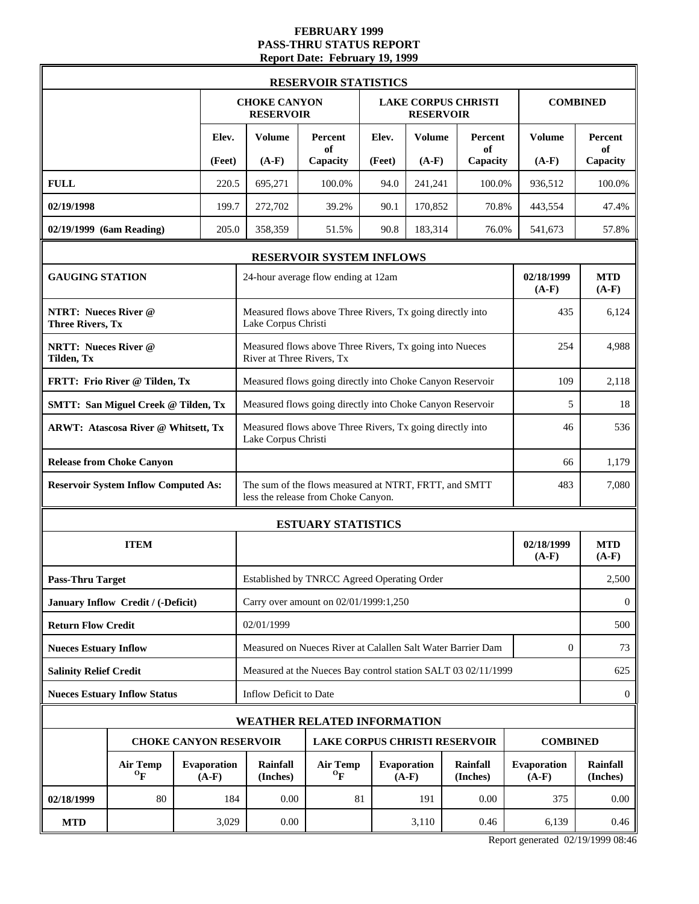### **FEBRUARY 1999 PASS-THRU STATUS REPORT Report Date: February 19, 1999**

|                                                        |                                                                       |  |                               |                                                                                      | <b>RESERVOIR STATISTICS</b>                                                                  |                 |                        |                            |                        |                             |
|--------------------------------------------------------|-----------------------------------------------------------------------|--|-------------------------------|--------------------------------------------------------------------------------------|----------------------------------------------------------------------------------------------|-----------------|------------------------|----------------------------|------------------------|-----------------------------|
|                                                        |                                                                       |  |                               | <b>CHOKE CANYON</b><br><b>RESERVOIR</b>                                              |                                                                                              |                 | <b>RESERVOIR</b>       | <b>LAKE CORPUS CHRISTI</b> |                        | <b>COMBINED</b>             |
|                                                        |                                                                       |  | Elev.                         | <b>Volume</b>                                                                        | Percent<br>оf                                                                                | Elev.           | <b>Volume</b>          | <b>Percent</b><br>of       | <b>Volume</b>          | Percent<br>of               |
|                                                        |                                                                       |  | (Feet)                        | $(A-F)$                                                                              | Capacity                                                                                     | (Feet)          | $(A-F)$                | Capacity                   | $(A-F)$                | Capacity                    |
| <b>FULL</b>                                            |                                                                       |  | 220.5                         | 695,271                                                                              | 100.0%                                                                                       | 94.0            | 241,241                | 100.0%                     | 936,512                | 100.0%                      |
| 02/19/1998                                             |                                                                       |  | 199.7                         | 272,702                                                                              | 39.2%                                                                                        | 90.1            | 170,852                | 70.8%                      | 443,554                | 47.4%                       |
| 02/19/1999 (6am Reading)                               |                                                                       |  | 205.0                         | 358,359                                                                              | 51.5%                                                                                        | 90.8            | 183,314                | 76.0%                      | 541,673                | 57.8%                       |
|                                                        |                                                                       |  |                               |                                                                                      | <b>RESERVOIR SYSTEM INFLOWS</b>                                                              |                 |                        |                            |                        |                             |
| <b>GAUGING STATION</b>                                 |                                                                       |  |                               |                                                                                      | 24-hour average flow ending at 12am                                                          |                 |                        |                            | 02/18/1999<br>$(A-F)$  | <b>MTD</b><br>$(A-F)$       |
| <b>NTRT: Nueces River @</b><br><b>Three Rivers, Tx</b> |                                                                       |  |                               | Lake Corpus Christi                                                                  | Measured flows above Three Rivers, Tx going directly into                                    |                 |                        |                            | 435                    | 6,124                       |
| <b>NRTT: Nueces River @</b><br><b>Tilden</b> , Tx      |                                                                       |  |                               | Measured flows above Three Rivers, Tx going into Nueces<br>River at Three Rivers, Tx |                                                                                              |                 |                        |                            |                        | 4,988                       |
|                                                        | FRTT: Frio River @ Tilden, Tx                                         |  |                               |                                                                                      | Measured flows going directly into Choke Canyon Reservoir                                    |                 |                        |                            | 109                    | 2,118                       |
|                                                        | <b>SMTT: San Miguel Creek @ Tilden, Tx</b>                            |  |                               |                                                                                      | Measured flows going directly into Choke Canyon Reservoir                                    |                 |                        |                            | 5                      | 18                          |
|                                                        | <b>ARWT: Atascosa River @ Whitsett, Tx</b>                            |  |                               | Lake Corpus Christi                                                                  | Measured flows above Three Rivers, Tx going directly into                                    |                 |                        |                            | 46                     | 536                         |
|                                                        | <b>Release from Choke Canyon</b>                                      |  |                               |                                                                                      |                                                                                              |                 |                        |                            |                        | 1,179                       |
|                                                        | <b>Reservoir System Inflow Computed As:</b>                           |  |                               |                                                                                      | The sum of the flows measured at NTRT, FRTT, and SMTT<br>less the release from Choke Canyon. |                 |                        |                            | 483                    | 7,080                       |
|                                                        |                                                                       |  |                               |                                                                                      | <b>ESTUARY STATISTICS</b>                                                                    |                 |                        |                            |                        |                             |
|                                                        | <b>ITEM</b>                                                           |  |                               |                                                                                      |                                                                                              |                 |                        |                            | 02/18/1999<br>$(A-F)$  | <b>MTD</b><br>$(A-F)$       |
| <b>Pass-Thru Target</b>                                |                                                                       |  |                               |                                                                                      | Established by TNRCC Agreed Operating Order                                                  |                 |                        |                            |                        | 2,500                       |
|                                                        | January Inflow Credit / (-Deficit)                                    |  |                               |                                                                                      | Carry over amount on 02/01/1999:1,250                                                        |                 |                        |                            |                        | $\mathbf{0}$                |
| <b>Return Flow Credit</b>                              |                                                                       |  |                               | 02/01/1999                                                                           |                                                                                              |                 |                        |                            |                        | 500                         |
| <b>Nueces Estuary Inflow</b>                           |                                                                       |  |                               |                                                                                      | Measured on Nueces River at Calallen Salt Water Barrier Dam                                  |                 |                        |                            | $\boldsymbol{0}$       | 73                          |
| <b>Salinity Relief Credit</b>                          |                                                                       |  |                               |                                                                                      | Measured at the Nueces Bay control station SALT 03 02/11/1999                                |                 |                        |                            |                        | 625                         |
|                                                        | <b>Nueces Estuary Inflow Status</b>                                   |  |                               | Inflow Deficit to Date                                                               |                                                                                              |                 |                        |                            |                        | $\boldsymbol{0}$            |
|                                                        |                                                                       |  |                               |                                                                                      | <b>WEATHER RELATED INFORMATION</b>                                                           |                 |                        |                            |                        |                             |
|                                                        | <b>CHOKE CANYON RESERVOIR</b><br><b>LAKE CORPUS CHRISTI RESERVOIR</b> |  |                               |                                                                                      |                                                                                              | <b>COMBINED</b> |                        |                            |                        |                             |
|                                                        | <b>Air Temp</b><br>${}^{\mathrm{o}}\mathbf{F}$                        |  | <b>Evaporation</b><br>$(A-F)$ | <b>Rainfall</b><br>(Inches)                                                          | <b>Air Temp</b><br>$\mathbf{O}_{\mathbf{F}}$                                                 |                 | Evaporation<br>$(A-F)$ | Rainfall<br>(Inches)       | Evaporation<br>$(A-F)$ | <b>Rainfall</b><br>(Inches) |
| 02/18/1999                                             | 80                                                                    |  | 184                           | 0.00                                                                                 | 81                                                                                           |                 | 191                    | 0.00                       | 375                    | 0.00                        |
| <b>MTD</b>                                             |                                                                       |  | 3,029                         | 0.00                                                                                 |                                                                                              |                 | 3,110                  | 0.46                       | 6,139                  | 0.46                        |

Report generated 02/19/1999 08:46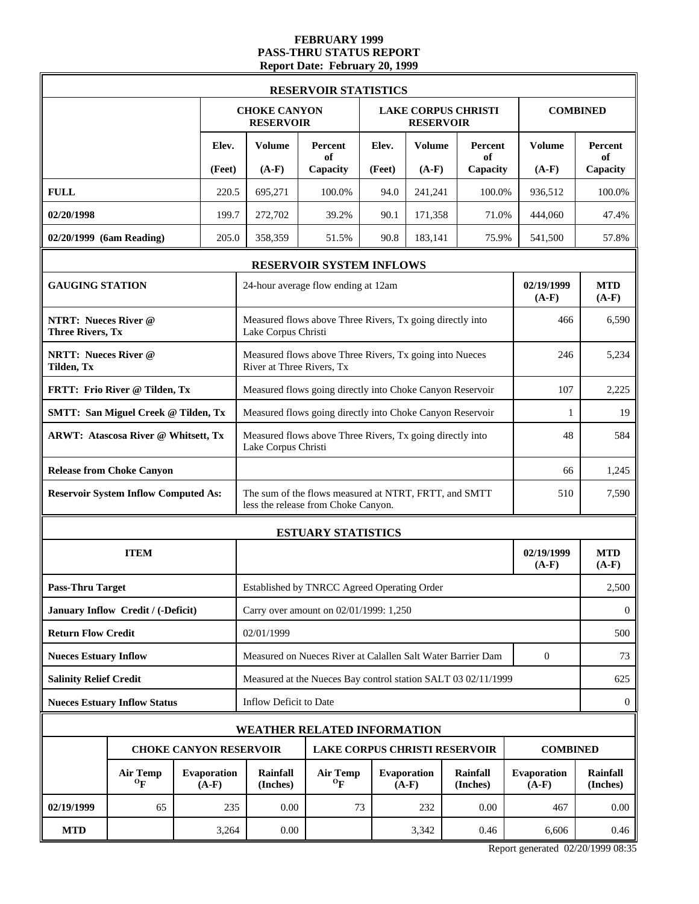#### **FEBRUARY 1999 PASS-THRU STATUS REPORT Report Date: February 20, 1999**

|                                                        |                                              |                               |                                         | <b>RESERVOIR STATISTICS</b>                                                                  |                 |                               |                                      |                          |                                  |
|--------------------------------------------------------|----------------------------------------------|-------------------------------|-----------------------------------------|----------------------------------------------------------------------------------------------|-----------------|-------------------------------|--------------------------------------|--------------------------|----------------------------------|
|                                                        |                                              |                               | <b>CHOKE CANYON</b><br><b>RESERVOIR</b> |                                                                                              |                 | <b>RESERVOIR</b>              | <b>LAKE CORPUS CHRISTI</b>           |                          | <b>COMBINED</b>                  |
|                                                        |                                              | Elev.<br>(Feet)               | <b>Volume</b><br>$(A-F)$                | Percent<br>of<br>Capacity                                                                    | Elev.<br>(Feet) | <b>Volume</b><br>$(A-F)$      | Percent<br>of<br>Capacity            | <b>Volume</b><br>$(A-F)$ | <b>Percent</b><br>of<br>Capacity |
| <b>FULL</b>                                            |                                              | 220.5                         | 695,271                                 | 100.0%                                                                                       | 94.0            | 241,241                       | 100.0%                               | 936,512                  | 100.0%                           |
| 02/20/1998                                             |                                              | 199.7                         | 272,702                                 | 39.2%                                                                                        | 90.1            | 171,358                       | 71.0%                                | 444,060                  | 47.4%                            |
| 02/20/1999 (6am Reading)                               |                                              | 205.0                         | 358,359                                 | 51.5%                                                                                        | 90.8            | 183,141                       | 75.9%                                | 541,500                  | 57.8%                            |
|                                                        |                                              |                               |                                         | RESERVOIR SYSTEM INFLOWS                                                                     |                 |                               |                                      |                          |                                  |
| <b>GAUGING STATION</b>                                 |                                              |                               |                                         | 24-hour average flow ending at 12am                                                          |                 |                               |                                      | 02/19/1999<br>$(A-F)$    | <b>MTD</b><br>$(A-F)$            |
| <b>NTRT: Nueces River @</b><br><b>Three Rivers, Tx</b> |                                              |                               | Lake Corpus Christi                     | Measured flows above Three Rivers, Tx going directly into                                    |                 |                               |                                      | 466                      | 6,590                            |
| <b>NRTT: Nueces River @</b><br>Tilden, Tx              |                                              |                               | River at Three Rivers, Tx               | Measured flows above Three Rivers, Tx going into Nueces                                      |                 |                               |                                      | 246                      | 5,234                            |
|                                                        | FRTT: Frio River @ Tilden, Tx                |                               |                                         | Measured flows going directly into Choke Canyon Reservoir                                    |                 |                               |                                      | 107                      | 2,225                            |
|                                                        | <b>SMTT: San Miguel Creek @ Tilden, Tx</b>   |                               |                                         | Measured flows going directly into Choke Canyon Reservoir                                    |                 |                               |                                      | 1                        | 19                               |
|                                                        | <b>ARWT: Atascosa River @ Whitsett, Tx</b>   |                               | Lake Corpus Christi                     | Measured flows above Three Rivers, Tx going directly into                                    | 48              | 584                           |                                      |                          |                                  |
|                                                        | <b>Release from Choke Canyon</b>             |                               |                                         |                                                                                              | 66              | 1,245                         |                                      |                          |                                  |
|                                                        | <b>Reservoir System Inflow Computed As:</b>  |                               |                                         | The sum of the flows measured at NTRT, FRTT, and SMTT<br>less the release from Choke Canyon. |                 |                               |                                      | 510                      | 7,590                            |
|                                                        |                                              |                               |                                         | <b>ESTUARY STATISTICS</b>                                                                    |                 |                               |                                      |                          |                                  |
|                                                        | <b>ITEM</b>                                  |                               |                                         |                                                                                              |                 |                               |                                      | 02/19/1999<br>$(A-F)$    | <b>MTD</b><br>$(A-F)$            |
| <b>Pass-Thru Target</b>                                |                                              |                               |                                         | Established by TNRCC Agreed Operating Order                                                  |                 |                               |                                      |                          | 2,500                            |
|                                                        | January Inflow Credit / (-Deficit)           |                               |                                         | Carry over amount on 02/01/1999: 1,250                                                       |                 |                               |                                      |                          | $\mathbf{0}$                     |
| <b>Return Flow Credit</b>                              |                                              |                               | 02/01/1999                              |                                                                                              |                 |                               |                                      |                          | 500                              |
| <b>Nueces Estuary Inflow</b>                           |                                              |                               |                                         | Measured on Nueces River at Calallen Salt Water Barrier Dam                                  |                 |                               |                                      | $\mathbf{0}$             | 73                               |
| <b>Salinity Relief Credit</b>                          |                                              |                               |                                         | Measured at the Nueces Bay control station SALT 03 02/11/1999                                |                 |                               |                                      |                          | 625                              |
|                                                        | <b>Nueces Estuary Inflow Status</b>          |                               | Inflow Deficit to Date                  |                                                                                              |                 |                               |                                      |                          | $\mathbf{0}$                     |
|                                                        |                                              |                               |                                         | <b>WEATHER RELATED INFORMATION</b>                                                           |                 |                               |                                      |                          |                                  |
|                                                        |                                              |                               | <b>CHOKE CANYON RESERVOIR</b>           |                                                                                              |                 |                               | <b>LAKE CORPUS CHRISTI RESERVOIR</b> | <b>COMBINED</b>          |                                  |
|                                                        | <b>Air Temp</b><br>$\mathbf{O}_{\mathbf{F}}$ | <b>Evaporation</b><br>$(A-F)$ | Rainfall<br>(Inches)                    | <b>Air Temp</b><br>$\mathbf{p}$                                                              |                 | <b>Evaporation</b><br>$(A-F)$ | <b>Rainfall</b><br>(Inches)          | Evaporation<br>$(A-F)$   | <b>Rainfall</b><br>(Inches)      |
| 02/19/1999                                             | 65                                           | 235                           | 0.00                                    | 73                                                                                           |                 | 232                           | 0.00                                 | 467                      | 0.00                             |
| <b>MTD</b>                                             |                                              | 3,264                         | 0.00                                    |                                                                                              |                 | 3,342                         | 0.46                                 | 6,606                    | 0.46                             |

Report generated 02/20/1999 08:35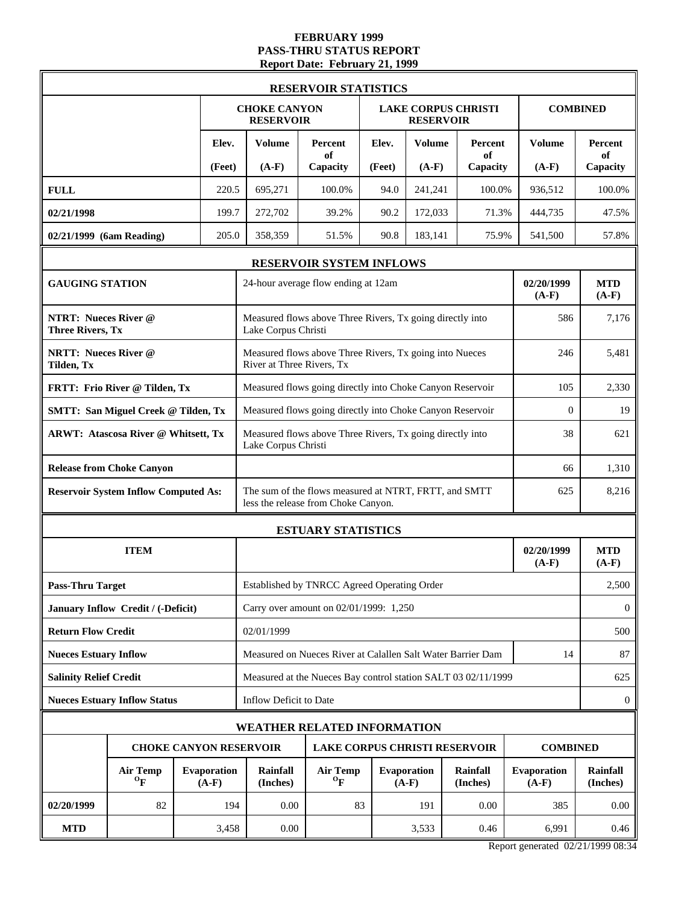#### **FEBRUARY 1999 PASS-THRU STATUS REPORT Report Date: February 21, 1999**

|                                                        |                                              |                                            |        |                                                           |                                              | <b>RESERVOIR STATISTICS</b>                                                                  |                               |                      |                                                               |                       |                       |  |
|--------------------------------------------------------|----------------------------------------------|--------------------------------------------|--------|-----------------------------------------------------------|----------------------------------------------|----------------------------------------------------------------------------------------------|-------------------------------|----------------------|---------------------------------------------------------------|-----------------------|-----------------------|--|
|                                                        |                                              |                                            |        | <b>CHOKE CANYON</b>                                       | <b>RESERVOIR</b>                             |                                                                                              |                               | <b>RESERVOIR</b>     | <b>LAKE CORPUS CHRISTI</b>                                    |                       | <b>COMBINED</b>       |  |
|                                                        |                                              |                                            | Elev.  | <b>Volume</b>                                             |                                              | Percent<br>of                                                                                | Elev.                         | <b>Volume</b>        | Percent<br>of                                                 | Volume                | <b>Percent</b><br>of  |  |
|                                                        |                                              |                                            | (Feet) | $(A-F)$                                                   |                                              | Capacity                                                                                     | (Feet)                        | $(A-F)$              | Capacity                                                      | $(A-F)$               | Capacity              |  |
| <b>FULL</b>                                            |                                              |                                            | 220.5  | 695,271                                                   |                                              | 100.0%                                                                                       | 94.0                          | 241,241              | 100.0%                                                        | 936,512               | 100.0%                |  |
| 02/21/1998                                             |                                              |                                            | 199.7  | 272,702                                                   |                                              | 39.2%                                                                                        | 90.2                          | 172,033              | 71.3%                                                         | 444,735               | 47.5%                 |  |
| 02/21/1999 (6am Reading)                               |                                              |                                            | 205.0  | 358,359                                                   |                                              | 51.5%                                                                                        | 90.8                          | 183,141              | 75.9%                                                         | 541,500               | 57.8%                 |  |
|                                                        |                                              |                                            |        |                                                           |                                              | RESERVOIR SYSTEM INFLOWS                                                                     |                               |                      |                                                               |                       |                       |  |
| <b>GAUGING STATION</b>                                 |                                              |                                            |        |                                                           |                                              | 24-hour average flow ending at 12am                                                          |                               |                      |                                                               | 02/20/1999<br>$(A-F)$ | <b>MTD</b><br>$(A-F)$ |  |
| <b>NTRT: Nueces River @</b><br><b>Three Rivers, Tx</b> |                                              |                                            |        | Lake Corpus Christi                                       |                                              | Measured flows above Three Rivers, Tx going directly into                                    |                               |                      |                                                               | 586                   | 7,176                 |  |
| <b>NRTT: Nueces River @</b><br>Tilden, Tx              |                                              |                                            |        |                                                           |                                              | Measured flows above Three Rivers, Tx going into Nueces<br>River at Three Rivers, Tx         |                               |                      |                                                               | 246                   | 5,481                 |  |
|                                                        | FRTT: Frio River @ Tilden, Tx                |                                            |        | Measured flows going directly into Choke Canyon Reservoir |                                              |                                                                                              |                               |                      |                                                               |                       | 2,330                 |  |
|                                                        |                                              | <b>SMTT: San Miguel Creek @ Tilden, Tx</b> |        |                                                           |                                              | Measured flows going directly into Choke Canyon Reservoir                                    |                               |                      |                                                               |                       |                       |  |
|                                                        | <b>ARWT: Atascosa River @ Whitsett, Tx</b>   |                                            |        | Lake Corpus Christi                                       |                                              | Measured flows above Three Rivers, Tx going directly into                                    |                               |                      |                                                               | 38                    | 621                   |  |
|                                                        | <b>Release from Choke Canyon</b>             |                                            |        |                                                           |                                              |                                                                                              |                               |                      |                                                               | 66                    | 1,310                 |  |
|                                                        | <b>Reservoir System Inflow Computed As:</b>  |                                            |        |                                                           |                                              | The sum of the flows measured at NTRT, FRTT, and SMTT<br>less the release from Choke Canyon. |                               |                      |                                                               | 625                   | 8,216                 |  |
|                                                        |                                              |                                            |        | <b>ESTUARY STATISTICS</b>                                 |                                              |                                                                                              |                               |                      |                                                               |                       |                       |  |
|                                                        | <b>ITEM</b>                                  |                                            |        |                                                           |                                              |                                                                                              |                               |                      |                                                               | 02/20/1999<br>$(A-F)$ | <b>MTD</b><br>$(A-F)$ |  |
| <b>Pass-Thru Target</b>                                |                                              |                                            |        |                                                           |                                              | Established by TNRCC Agreed Operating Order                                                  |                               |                      |                                                               |                       | 2,500                 |  |
|                                                        | January Inflow Credit / (-Deficit)           |                                            |        |                                                           |                                              | Carry over amount on 02/01/1999: 1,250                                                       |                               |                      |                                                               |                       | $\boldsymbol{0}$      |  |
| <b>Return Flow Credit</b>                              |                                              |                                            |        | 02/01/1999                                                |                                              |                                                                                              |                               |                      |                                                               |                       | 500                   |  |
| <b>Nueces Estuary Inflow</b>                           |                                              |                                            |        |                                                           |                                              |                                                                                              |                               |                      | Measured on Nueces River at Calallen Salt Water Barrier Dam   | 14                    | 87                    |  |
| <b>Salinity Relief Credit</b>                          |                                              |                                            |        |                                                           |                                              |                                                                                              |                               |                      | Measured at the Nueces Bay control station SALT 03 02/11/1999 |                       | 625                   |  |
|                                                        | <b>Nueces Estuary Inflow Status</b>          |                                            |        | Inflow Deficit to Date                                    |                                              |                                                                                              |                               |                      |                                                               |                       | $\mathbf{0}$          |  |
|                                                        |                                              |                                            |        |                                                           |                                              | WEATHER RELATED INFORMATION                                                                  |                               |                      |                                                               |                       |                       |  |
|                                                        | <b>CHOKE CANYON RESERVOIR</b>                |                                            |        |                                                           |                                              |                                                                                              |                               |                      | <b>LAKE CORPUS CHRISTI RESERVOIR</b>                          | <b>COMBINED</b>       |                       |  |
|                                                        | <b>Air Temp</b><br>$\mathbf{O}_{\mathbf{F}}$ | <b>Evaporation</b><br>$(A-F)$              |        | <b>Rainfall</b><br>(Inches)                               | <b>Air Temp</b><br>$\mathbf{o}_{\mathbf{F}}$ |                                                                                              | <b>Evaporation</b><br>$(A-F)$ | Rainfall<br>(Inches) | <b>Evaporation</b><br>$(A-F)$                                 | Rainfall<br>(Inches)  |                       |  |
| 02/20/1999                                             | 82                                           |                                            | 194    |                                                           | 0.00                                         | 83                                                                                           |                               | 191                  | 0.00                                                          | 385                   | 0.00                  |  |
| <b>MTD</b>                                             |                                              |                                            | 3,458  |                                                           | 0.00                                         |                                                                                              |                               | 3,533                | 0.46                                                          | 6,991                 | 0.46                  |  |

Report generated 02/21/1999 08:34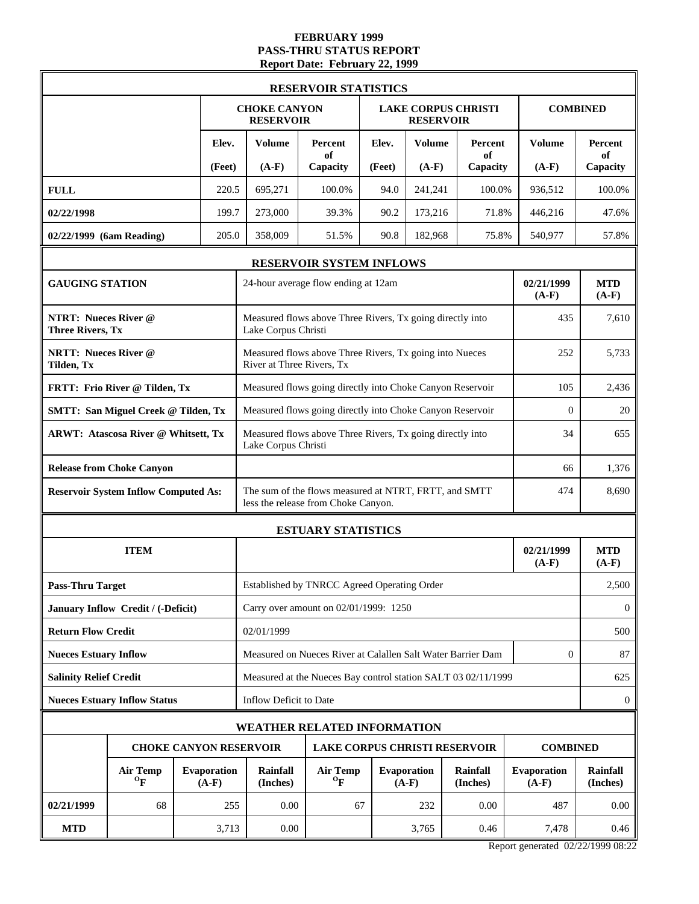#### **FEBRUARY 1999 PASS-THRU STATUS REPORT Report Date: February 22, 1999**

|                                                        |                                                                               |                                                                                          |        |                                         | <b>RESERVOIR STATISTICS</b>                                                                  |        |                                                |                      |                        |                       |
|--------------------------------------------------------|-------------------------------------------------------------------------------|------------------------------------------------------------------------------------------|--------|-----------------------------------------|----------------------------------------------------------------------------------------------|--------|------------------------------------------------|----------------------|------------------------|-----------------------|
|                                                        |                                                                               |                                                                                          |        | <b>CHOKE CANYON</b><br><b>RESERVOIR</b> |                                                                                              |        | <b>LAKE CORPUS CHRISTI</b><br><b>RESERVOIR</b> |                      |                        | <b>COMBINED</b>       |
|                                                        |                                                                               |                                                                                          | Elev.  | <b>Volume</b>                           | Percent<br>of                                                                                | Elev.  | <b>Volume</b>                                  | Percent<br>of        | <b>Volume</b>          | Percent<br>of         |
|                                                        |                                                                               |                                                                                          | (Feet) | $(A-F)$                                 | Capacity                                                                                     | (Feet) | $(A-F)$                                        | Capacity             | $(A-F)$                | Capacity              |
| <b>FULL</b>                                            |                                                                               |                                                                                          | 220.5  | 695,271                                 | 100.0%                                                                                       | 94.0   | 241,241                                        | 100.0%               | 936,512                | 100.0%                |
| 02/22/1998                                             |                                                                               |                                                                                          | 199.7  | 273,000                                 | 39.3%                                                                                        | 90.2   | 173,216                                        | 71.8%                | 446,216                | 47.6%                 |
| 02/22/1999 (6am Reading)                               |                                                                               |                                                                                          | 205.0  | 358,009                                 | 51.5%                                                                                        | 90.8   | 182,968                                        | 75.8%                | 540,977                | 57.8%                 |
|                                                        |                                                                               |                                                                                          |        |                                         | RESERVOIR SYSTEM INFLOWS                                                                     |        |                                                |                      |                        |                       |
| <b>GAUGING STATION</b>                                 |                                                                               |                                                                                          |        |                                         | 24-hour average flow ending at 12am                                                          |        |                                                |                      | 02/21/1999<br>$(A-F)$  | <b>MTD</b><br>$(A-F)$ |
| <b>NTRT: Nueces River @</b><br><b>Three Rivers, Tx</b> |                                                                               |                                                                                          |        | Lake Corpus Christi                     | Measured flows above Three Rivers, Tx going directly into                                    |        |                                                |                      | 435                    | 7,610                 |
| <b>NRTT: Nueces River @</b><br>Tilden, Tx              |                                                                               |                                                                                          |        | River at Three Rivers, Tx               | Measured flows above Three Rivers, Tx going into Nueces                                      |        |                                                |                      | 252                    | 5,733                 |
|                                                        | FRTT: Frio River @ Tilden, Tx                                                 |                                                                                          |        |                                         | Measured flows going directly into Choke Canyon Reservoir                                    |        |                                                |                      | 105                    | 2,436                 |
|                                                        | <b>SMTT: San Miguel Creek @ Tilden, Tx</b>                                    |                                                                                          |        |                                         | Measured flows going directly into Choke Canyon Reservoir                                    |        |                                                |                      | $\mathbf{0}$           | 20                    |
|                                                        | <b>ARWT: Atascosa River @ Whitsett, Tx</b>                                    |                                                                                          |        | Lake Corpus Christi                     | Measured flows above Three Rivers, Tx going directly into                                    |        |                                                |                      | 34                     | 655                   |
|                                                        | <b>Release from Choke Canyon</b>                                              |                                                                                          |        |                                         |                                                                                              |        |                                                |                      |                        | 1,376                 |
|                                                        | <b>Reservoir System Inflow Computed As:</b>                                   |                                                                                          |        |                                         | The sum of the flows measured at NTRT, FRTT, and SMTT<br>less the release from Choke Canyon. |        |                                                |                      | 474                    | 8,690                 |
|                                                        |                                                                               |                                                                                          |        |                                         | <b>ESTUARY STATISTICS</b>                                                                    |        |                                                |                      |                        |                       |
|                                                        | <b>ITEM</b>                                                                   |                                                                                          |        |                                         |                                                                                              |        |                                                |                      | 02/21/1999<br>$(A-F)$  | <b>MTD</b><br>$(A-F)$ |
| <b>Pass-Thru Target</b>                                |                                                                               |                                                                                          |        |                                         | Established by TNRCC Agreed Operating Order                                                  |        |                                                |                      |                        | 2,500                 |
|                                                        | January Inflow Credit / (-Deficit)                                            |                                                                                          |        |                                         | Carry over amount on 02/01/1999: 1250                                                        |        |                                                |                      |                        | $\overline{0}$        |
| <b>Return Flow Credit</b>                              |                                                                               |                                                                                          |        | 02/01/1999                              |                                                                                              |        |                                                |                      |                        | 500                   |
| <b>Nueces Estuary Inflow</b>                           |                                                                               |                                                                                          |        |                                         | Measured on Nueces River at Calallen Salt Water Barrier Dam                                  |        |                                                |                      | $\mathbf{0}$           | 87                    |
| <b>Salinity Relief Credit</b>                          |                                                                               |                                                                                          |        |                                         | Measured at the Nueces Bay control station SALT 03 02/11/1999                                |        |                                                |                      |                        | 625                   |
|                                                        | <b>Nueces Estuary Inflow Status</b>                                           |                                                                                          |        | Inflow Deficit to Date                  |                                                                                              |        |                                                |                      |                        | $\mathbf{0}$          |
|                                                        |                                                                               |                                                                                          |        | <b>WEATHER RELATED INFORMATION</b>      |                                                                                              |        |                                                |                      |                        |                       |
|                                                        |                                                                               | <b>CHOKE CANYON RESERVOIR</b><br><b>LAKE CORPUS CHRISTI RESERVOIR</b><br><b>COMBINED</b> |        |                                         |                                                                                              |        |                                                |                      |                        |                       |
|                                                        | <b>Air Temp</b><br><b>Evaporation</b><br>$\mathbf{O}_{\mathbf{F}}$<br>$(A-F)$ |                                                                                          |        |                                         | <b>Air Temp</b><br>$\mathbf{o}_{\mathbf{F}}$                                                 |        | <b>Evaporation</b><br>$(A-F)$                  | Rainfall<br>(Inches) | Evaporation<br>$(A-F)$ | Rainfall<br>(Inches)  |
| 02/21/1999                                             | 68                                                                            |                                                                                          | 255    | 0.00                                    | 67                                                                                           |        | 232                                            | 0.00                 | 487                    | 0.00                  |
| <b>MTD</b>                                             |                                                                               |                                                                                          | 3,713  | 0.00                                    |                                                                                              |        | 3,765                                          | 0.46                 | 7,478                  | 0.46                  |

Report generated 02/22/1999 08:22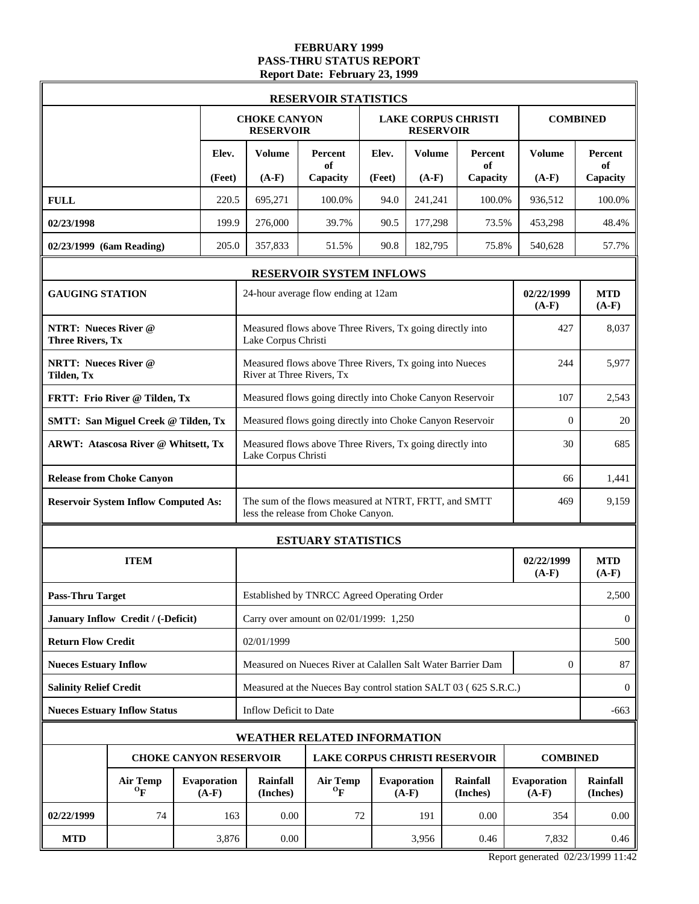# **FEBRUARY 1999 PASS-THRU STATUS REPORT Report Date: February 23, 1999**

|                                                        |                                              |                               |                                                                                              | <b>RESERVOIR STATISTICS</b>                                     |        |                        |                            |                        |                       |
|--------------------------------------------------------|----------------------------------------------|-------------------------------|----------------------------------------------------------------------------------------------|-----------------------------------------------------------------|--------|------------------------|----------------------------|------------------------|-----------------------|
|                                                        |                                              |                               | <b>CHOKE CANYON</b><br><b>RESERVOIR</b>                                                      |                                                                 |        | <b>RESERVOIR</b>       | <b>LAKE CORPUS CHRISTI</b> |                        | <b>COMBINED</b>       |
|                                                        |                                              | Elev.                         | Volume                                                                                       | Percent<br>of                                                   | Elev.  | <b>Volume</b>          | Percent<br>of              | <b>Volume</b>          | Percent<br>of         |
|                                                        |                                              | (Feet)                        | $(A-F)$                                                                                      | Capacity                                                        | (Feet) | $(A-F)$                | Capacity                   | $(A-F)$                | Capacity              |
| <b>FULL</b>                                            |                                              | 220.5                         | 695,271                                                                                      | 100.0%                                                          | 94.0   | 241,241                | 100.0%                     | 936,512                | 100.0%                |
| 02/23/1998                                             |                                              | 199.9                         | 276,000                                                                                      | 39.7%                                                           | 90.5   | 177,298                | 73.5%                      | 453,298                | 48.4%                 |
| 02/23/1999 (6am Reading)                               |                                              | 205.0                         | 357,833                                                                                      | 51.5%                                                           | 90.8   | 182,795                | 75.8%                      | 540,628                | 57.7%                 |
|                                                        |                                              |                               |                                                                                              | RESERVOIR SYSTEM INFLOWS                                        |        |                        |                            |                        |                       |
| <b>GAUGING STATION</b>                                 |                                              |                               |                                                                                              | 24-hour average flow ending at 12am                             |        |                        |                            | 02/22/1999<br>$(A-F)$  | <b>MTD</b><br>$(A-F)$ |
| <b>NTRT: Nueces River @</b><br><b>Three Rivers, Tx</b> |                                              |                               | Lake Corpus Christi                                                                          | Measured flows above Three Rivers, Tx going directly into       | 427    | 8,037                  |                            |                        |                       |
| <b>NRTT: Nueces River @</b><br>Tilden, Tx              |                                              |                               | Measured flows above Three Rivers, Tx going into Nueces<br>River at Three Rivers, Tx         | 244                                                             | 5,977  |                        |                            |                        |                       |
|                                                        | FRTT: Frio River @ Tilden, Tx                |                               | Measured flows going directly into Choke Canyon Reservoir                                    | 107                                                             | 2,543  |                        |                            |                        |                       |
|                                                        | <b>SMTT: San Miguel Creek @ Tilden, Tx</b>   |                               | Measured flows going directly into Choke Canyon Reservoir                                    | $\mathbf{0}$                                                    | 20     |                        |                            |                        |                       |
|                                                        | <b>ARWT: Atascosa River @ Whitsett, Tx</b>   |                               | Measured flows above Three Rivers, Tx going directly into<br>Lake Corpus Christi             | 30                                                              | 685    |                        |                            |                        |                       |
|                                                        | <b>Release from Choke Canyon</b>             |                               | 66                                                                                           |                                                                 |        |                        |                            |                        | 1,441                 |
|                                                        | <b>Reservoir System Inflow Computed As:</b>  |                               | The sum of the flows measured at NTRT, FRTT, and SMTT<br>less the release from Choke Canyon. | 469                                                             | 9,159  |                        |                            |                        |                       |
|                                                        |                                              |                               | <b>ESTUARY STATISTICS</b>                                                                    |                                                                 |        |                        |                            |                        |                       |
|                                                        | <b>ITEM</b>                                  |                               |                                                                                              |                                                                 |        |                        |                            | 02/22/1999<br>$(A-F)$  | <b>MTD</b><br>$(A-F)$ |
| <b>Pass-Thru Target</b>                                |                                              |                               |                                                                                              | Established by TNRCC Agreed Operating Order                     |        |                        |                            |                        | 2,500                 |
|                                                        | January Inflow Credit / (-Deficit)           |                               |                                                                                              | Carry over amount on 02/01/1999: 1,250                          |        |                        |                            |                        | $\boldsymbol{0}$      |
| <b>Return Flow Credit</b>                              |                                              |                               | 02/01/1999                                                                                   |                                                                 |        |                        |                            |                        | 500                   |
| <b>Nueces Estuary Inflow</b>                           |                                              |                               |                                                                                              | Measured on Nueces River at Calallen Salt Water Barrier Dam     |        |                        |                            | $\mathbf{0}$           | 87                    |
| <b>Salinity Relief Credit</b>                          |                                              |                               |                                                                                              | Measured at the Nueces Bay control station SALT 03 (625 S.R.C.) |        |                        |                            |                        | $\overline{0}$        |
|                                                        | <b>Nueces Estuary Inflow Status</b>          |                               | Inflow Deficit to Date                                                                       |                                                                 |        |                        |                            |                        | -663                  |
|                                                        |                                              |                               | <b>WEATHER RELATED INFORMATION</b>                                                           |                                                                 |        |                        |                            |                        |                       |
|                                                        |                                              |                               | <b>CHOKE CANYON RESERVOIR</b>                                                                | <b>LAKE CORPUS CHRISTI RESERVOIR</b>                            |        |                        |                            | <b>COMBINED</b>        |                       |
|                                                        | <b>Air Temp</b><br>$\mathbf{O}_{\mathbf{F}}$ | <b>Evaporation</b><br>$(A-F)$ | Rainfall<br>(Inches)                                                                         | <b>Air Temp</b><br>$\mathbf{O}_{\mathbf{F}}$                    |        | Evaporation<br>$(A-F)$ | Rainfall<br>(Inches)       | Evaporation<br>$(A-F)$ | Rainfall<br>(Inches)  |
| 02/22/1999                                             | 74                                           | 163                           | 0.00                                                                                         | 72                                                              |        | 191                    | 0.00                       | 354                    | 0.00                  |
| <b>MTD</b>                                             |                                              | 3,876                         | 0.00                                                                                         |                                                                 |        | 3,956                  | 0.46                       | 7,832                  | 0.46                  |

Report generated 02/23/1999 11:42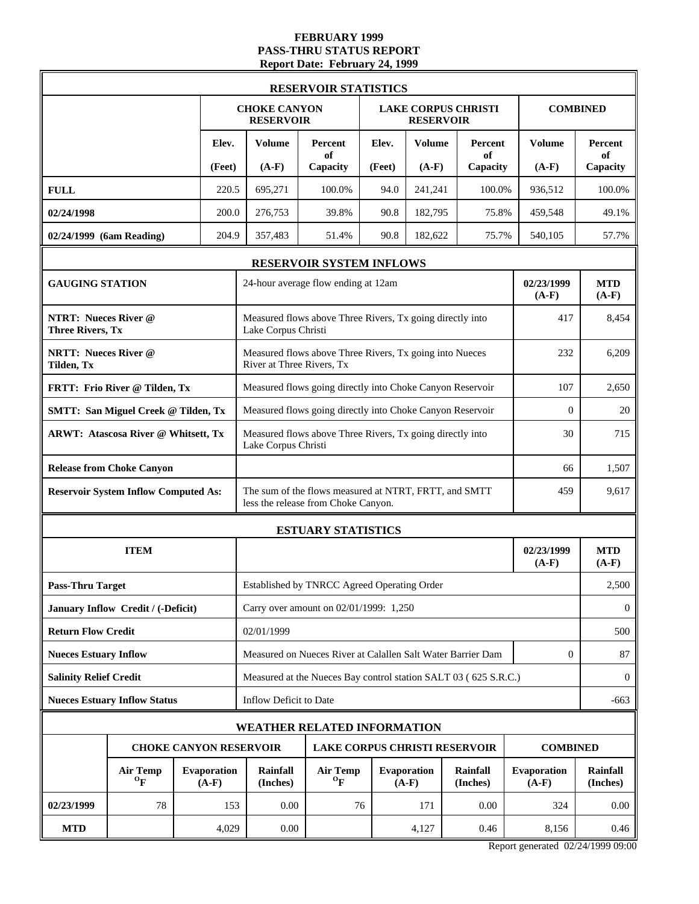#### **FEBRUARY 1999 PASS-THRU STATUS REPORT Report Date: February 24, 1999**

|                                                        |                                              |  |                               |                                                                                      | <b>RESERVOIR STATISTICS</b>                                                                  |        |                               |                            |                               |                       |
|--------------------------------------------------------|----------------------------------------------|--|-------------------------------|--------------------------------------------------------------------------------------|----------------------------------------------------------------------------------------------|--------|-------------------------------|----------------------------|-------------------------------|-----------------------|
|                                                        |                                              |  |                               | <b>CHOKE CANYON</b><br><b>RESERVOIR</b>                                              |                                                                                              |        | <b>RESERVOIR</b>              | <b>LAKE CORPUS CHRISTI</b> |                               | <b>COMBINED</b>       |
|                                                        |                                              |  | Elev.                         | <b>Volume</b>                                                                        | Percent<br>of                                                                                | Elev.  | <b>Volume</b>                 | Percent<br>of              | <b>Volume</b>                 | Percent<br>of         |
|                                                        |                                              |  | (Feet)                        | $(A-F)$                                                                              | Capacity                                                                                     | (Feet) | $(A-F)$                       | Capacity                   | $(A-F)$                       | Capacity              |
| <b>FULL</b>                                            |                                              |  | 220.5                         | 695,271                                                                              | 100.0%                                                                                       | 94.0   | 241,241                       | 100.0%                     | 936,512                       | 100.0%                |
| 02/24/1998                                             |                                              |  | 200.0                         | 276,753                                                                              | 39.8%                                                                                        | 90.8   | 182,795                       | 75.8%                      | 459,548                       | 49.1%                 |
| 02/24/1999 (6am Reading)                               |                                              |  | 204.9                         | 357,483                                                                              | 51.4%                                                                                        | 90.8   | 182,622                       | 75.7%                      | 540,105                       | 57.7%                 |
|                                                        |                                              |  |                               |                                                                                      | RESERVOIR SYSTEM INFLOWS                                                                     |        |                               |                            |                               |                       |
| <b>GAUGING STATION</b>                                 |                                              |  |                               |                                                                                      | 24-hour average flow ending at 12am                                                          |        |                               |                            | 02/23/1999<br>$(A-F)$         | <b>MTD</b><br>$(A-F)$ |
| <b>NTRT: Nueces River @</b><br><b>Three Rivers, Tx</b> |                                              |  |                               | Lake Corpus Christi                                                                  | Measured flows above Three Rivers, Tx going directly into                                    | 417    | 8,454                         |                            |                               |                       |
| <b>NRTT: Nueces River @</b><br>Tilden, Tx              |                                              |  |                               | Measured flows above Three Rivers, Tx going into Nueces<br>River at Three Rivers, Tx |                                                                                              |        |                               |                            |                               | 6,209                 |
|                                                        | FRTT: Frio River @ Tilden, Tx                |  |                               | Measured flows going directly into Choke Canyon Reservoir                            | 107                                                                                          | 2,650  |                               |                            |                               |                       |
|                                                        | <b>SMTT: San Miguel Creek @ Tilden, Tx</b>   |  |                               | Measured flows going directly into Choke Canyon Reservoir                            | $\overline{0}$                                                                               | 20     |                               |                            |                               |                       |
|                                                        | <b>ARWT: Atascosa River @ Whitsett, Tx</b>   |  |                               | Measured flows above Three Rivers, Tx going directly into<br>Lake Corpus Christi     |                                                                                              |        |                               |                            |                               | 715                   |
|                                                        | <b>Release from Choke Canyon</b>             |  |                               |                                                                                      |                                                                                              |        |                               |                            |                               | 1,507                 |
|                                                        | <b>Reservoir System Inflow Computed As:</b>  |  |                               |                                                                                      | The sum of the flows measured at NTRT, FRTT, and SMTT<br>less the release from Choke Canyon. |        |                               |                            | 459                           | 9,617                 |
|                                                        |                                              |  |                               |                                                                                      | <b>ESTUARY STATISTICS</b>                                                                    |        |                               |                            |                               |                       |
|                                                        | <b>ITEM</b>                                  |  |                               |                                                                                      |                                                                                              |        |                               |                            | 02/23/1999<br>$(A-F)$         | <b>MTD</b><br>$(A-F)$ |
| <b>Pass-Thru Target</b>                                |                                              |  |                               |                                                                                      | Established by TNRCC Agreed Operating Order                                                  |        |                               |                            |                               | 2,500                 |
|                                                        | January Inflow Credit / (-Deficit)           |  |                               |                                                                                      | Carry over amount on 02/01/1999: 1,250                                                       |        |                               |                            |                               | $\boldsymbol{0}$      |
| <b>Return Flow Credit</b>                              |                                              |  |                               | 02/01/1999                                                                           |                                                                                              |        |                               |                            |                               | 500                   |
| <b>Nueces Estuary Inflow</b>                           |                                              |  |                               |                                                                                      | Measured on Nueces River at Calallen Salt Water Barrier Dam                                  |        |                               |                            | $\mathbf{0}$                  | 87                    |
| <b>Salinity Relief Credit</b>                          |                                              |  |                               |                                                                                      | Measured at the Nueces Bay control station SALT 03 (625 S.R.C.)                              |        |                               |                            |                               | $\overline{0}$        |
|                                                        | <b>Nueces Estuary Inflow Status</b>          |  |                               | Inflow Deficit to Date                                                               |                                                                                              |        |                               |                            |                               | $-663$                |
|                                                        |                                              |  |                               | <b>WEATHER RELATED INFORMATION</b>                                                   |                                                                                              |        |                               |                            |                               |                       |
|                                                        |                                              |  |                               | <b>CHOKE CANYON RESERVOIR</b>                                                        | <b>LAKE CORPUS CHRISTI RESERVOIR</b>                                                         |        |                               |                            | <b>COMBINED</b>               |                       |
|                                                        | <b>Air Temp</b><br>$\mathbf{O}_{\mathbf{F}}$ |  | <b>Evaporation</b><br>$(A-F)$ | Rainfall<br>(Inches)                                                                 | <b>Air Temp</b><br>$\mathbf{o}_{\mathbf{F}}$                                                 |        | <b>Evaporation</b><br>$(A-F)$ | Rainfall<br>(Inches)       | <b>Evaporation</b><br>$(A-F)$ | Rainfall<br>(Inches)  |
| 02/23/1999                                             | 78<br>153                                    |  |                               | 0.00                                                                                 | 76                                                                                           |        | 171                           | 0.00                       | 324                           | 0.00                  |
| <b>MTD</b>                                             |                                              |  | 4,029                         | 0.00                                                                                 |                                                                                              |        | 4,127                         | 0.46                       | 8,156                         | 0.46                  |

Report generated 02/24/1999 09:00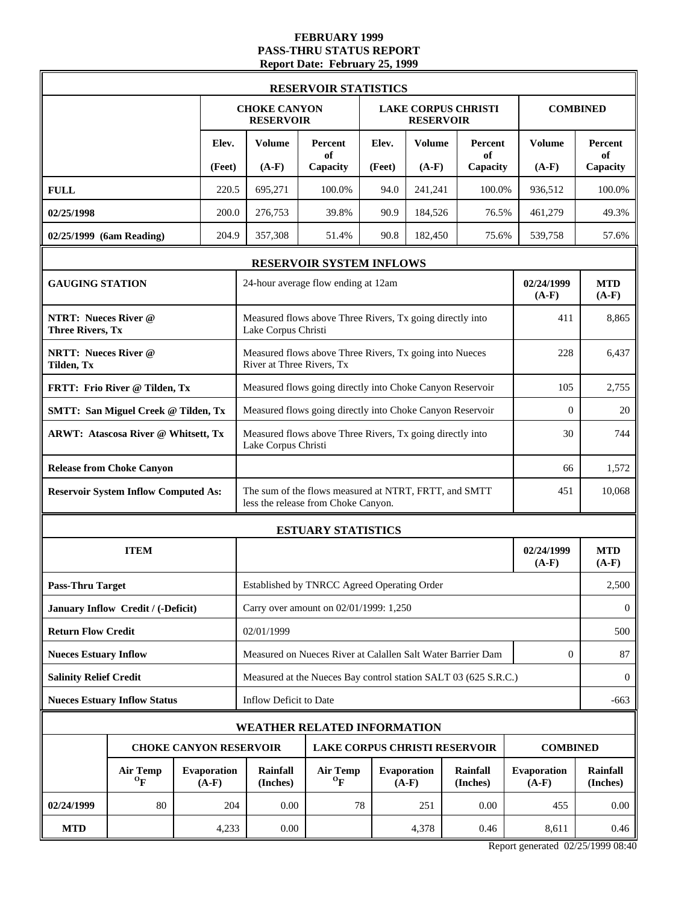#### **FEBRUARY 1999 PASS-THRU STATUS REPORT Report Date: February 25, 1999**

| <b>RESERVOIR STATISTICS</b>                 |                                                        |  |                                                                 |                                                                                                     |                                                           |                                      |                               |                            |                               |                      |  |
|---------------------------------------------|--------------------------------------------------------|--|-----------------------------------------------------------------|-----------------------------------------------------------------------------------------------------|-----------------------------------------------------------|--------------------------------------|-------------------------------|----------------------------|-------------------------------|----------------------|--|
|                                             |                                                        |  |                                                                 | <b>CHOKE CANYON</b><br><b>RESERVOIR</b>                                                             |                                                           |                                      | <b>RESERVOIR</b>              | <b>LAKE CORPUS CHRISTI</b> |                               | <b>COMBINED</b>      |  |
|                                             | Elev.                                                  |  | <b>Volume</b>                                                   | Percent<br>of                                                                                       | Elev.                                                     | <b>Volume</b>                        | Percent<br>of                 | <b>Volume</b>              | Percent<br>of                 |                      |  |
|                                             |                                                        |  | (Feet)                                                          | $(A-F)$                                                                                             | Capacity                                                  | (Feet)                               | $(A-F)$                       | Capacity                   | $(A-F)$                       | Capacity             |  |
| <b>FULL</b>                                 |                                                        |  | 220.5                                                           | 695,271                                                                                             | 100.0%                                                    | 94.0                                 | 241,241                       | 100.0%                     | 936,512                       | 100.0%               |  |
| 02/25/1998                                  |                                                        |  | 200.0                                                           | 276,753                                                                                             | 39.8%                                                     | 90.9                                 | 184,526                       | 76.5%                      | 461,279                       | 49.3%                |  |
| 02/25/1999 (6am Reading)                    |                                                        |  | 204.9                                                           | 357,308                                                                                             | 51.4%                                                     | 90.8                                 | 182,450                       | 75.6%                      | 539,758                       | 57.6%                |  |
|                                             |                                                        |  |                                                                 | RESERVOIR SYSTEM INFLOWS                                                                            |                                                           |                                      |                               |                            |                               |                      |  |
| <b>GAUGING STATION</b>                      |                                                        |  |                                                                 |                                                                                                     | 24-hour average flow ending at 12am                       | 02/24/1999<br>$(A-F)$                | <b>MTD</b><br>$(A-F)$         |                            |                               |                      |  |
|                                             | <b>NTRT: Nueces River @</b><br><b>Three Rivers, Tx</b> |  |                                                                 | Measured flows above Three Rivers, Tx going directly into<br>Lake Corpus Christi                    | 411                                                       | 8,865                                |                               |                            |                               |                      |  |
| <b>NRTT: Nueces River @</b><br>Tilden, Tx   |                                                        |  |                                                                 | River at Three Rivers, Tx                                                                           | Measured flows above Three Rivers, Tx going into Nueces   |                                      |                               |                            | 228                           | 6,437                |  |
|                                             | FRTT: Frio River @ Tilden, Tx                          |  |                                                                 |                                                                                                     | Measured flows going directly into Choke Canyon Reservoir | 105                                  | 2,755                         |                            |                               |                      |  |
|                                             | <b>SMTT: San Miguel Creek @ Tilden, Tx</b>             |  |                                                                 |                                                                                                     | Measured flows going directly into Choke Canyon Reservoir | $\overline{0}$                       | 20                            |                            |                               |                      |  |
|                                             | <b>ARWT: Atascosa River @ Whitsett, Tx</b>             |  | Lake Corpus Christi                                             | Measured flows above Three Rivers, Tx going directly into                                           | 30                                                        | 744                                  |                               |                            |                               |                      |  |
|                                             | <b>Release from Choke Canyon</b>                       |  |                                                                 |                                                                                                     | 66                                                        | 1,572                                |                               |                            |                               |                      |  |
| <b>Reservoir System Inflow Computed As:</b> |                                                        |  |                                                                 | The sum of the flows measured at NTRT, FRTT, and SMTT<br>451<br>less the release from Choke Canyon. |                                                           |                                      |                               |                            |                               |                      |  |
|                                             |                                                        |  |                                                                 |                                                                                                     | <b>ESTUARY STATISTICS</b>                                 |                                      |                               |                            |                               |                      |  |
|                                             | <b>ITEM</b>                                            |  |                                                                 |                                                                                                     |                                                           | 02/24/1999<br>$(A-F)$                | <b>MTD</b><br>$(A-F)$         |                            |                               |                      |  |
| <b>Pass-Thru Target</b>                     |                                                        |  |                                                                 | Established by TNRCC Agreed Operating Order                                                         |                                                           | 2,500                                |                               |                            |                               |                      |  |
|                                             | January Inflow Credit / (-Deficit)                     |  |                                                                 | Carry over amount on 02/01/1999: 1,250                                                              |                                                           |                                      |                               |                            |                               |                      |  |
| <b>Return Flow Credit</b>                   |                                                        |  |                                                                 | 02/01/1999                                                                                          |                                                           |                                      |                               |                            |                               |                      |  |
| <b>Nueces Estuary Inflow</b>                |                                                        |  |                                                                 | Measured on Nueces River at Calallen Salt Water Barrier Dam<br>$\mathbf{0}$                         |                                                           |                                      |                               |                            |                               |                      |  |
| <b>Salinity Relief Credit</b>               |                                                        |  | Measured at the Nueces Bay control station SALT 03 (625 S.R.C.) |                                                                                                     |                                                           |                                      |                               |                            |                               |                      |  |
|                                             | <b>Nueces Estuary Inflow Status</b>                    |  |                                                                 | Inflow Deficit to Date                                                                              |                                                           |                                      |                               |                            |                               |                      |  |
| <b>WEATHER RELATED INFORMATION</b>          |                                                        |  |                                                                 |                                                                                                     |                                                           |                                      |                               |                            |                               |                      |  |
|                                             |                                                        |  |                                                                 | <b>CHOKE CANYON RESERVOIR</b>                                                                       |                                                           | <b>LAKE CORPUS CHRISTI RESERVOIR</b> |                               |                            | <b>COMBINED</b>               |                      |  |
|                                             | <b>Air Temp</b><br>$\mathbf{O}_{\mathbf{F}}$           |  | <b>Evaporation</b><br>$(A-F)$                                   | Rainfall<br>(Inches)                                                                                | <b>Air Temp</b><br>$\mathbf{o}_{\mathbf{F}}$              |                                      | <b>Evaporation</b><br>$(A-F)$ | Rainfall<br>(Inches)       | <b>Evaporation</b><br>$(A-F)$ | Rainfall<br>(Inches) |  |
| 02/24/1999                                  | 80                                                     |  | 204                                                             | 0.00                                                                                                | 78                                                        |                                      | 251                           | 0.00                       | 455                           | 0.00                 |  |
| <b>MTD</b>                                  |                                                        |  | 4,233                                                           | 0.00                                                                                                |                                                           |                                      | 4,378                         | 0.46                       | 8,611                         | 0.46                 |  |

Report generated 02/25/1999 08:40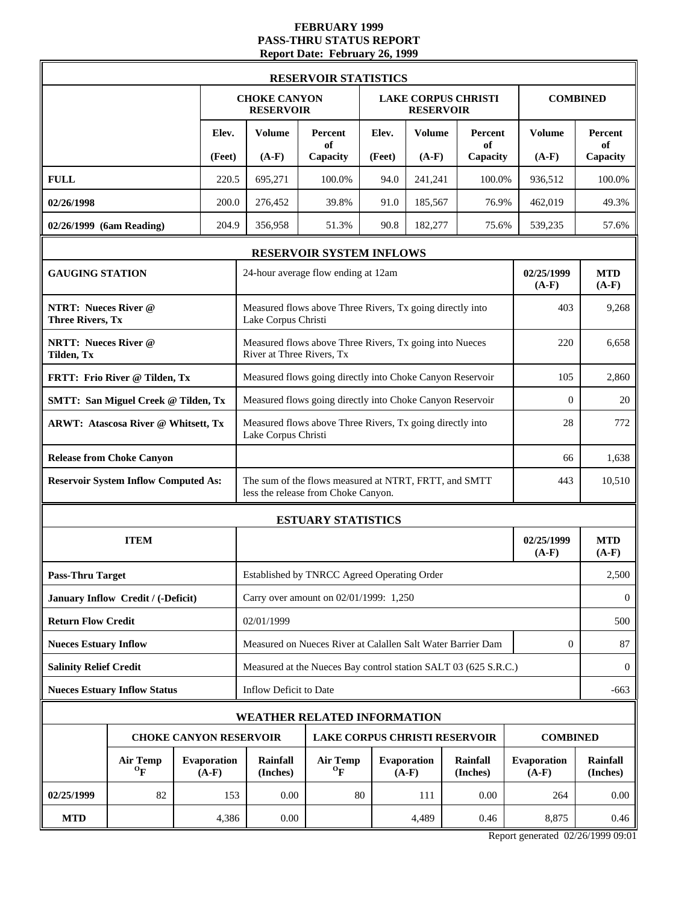# **FEBRUARY 1999 PASS-THRU STATUS REPORT Report Date: February 26, 1999**

| <b>RESERVOIR STATISTICS</b>                            |                                              |                               |        |                                                                                                     |                                                           |                       |                               |                             |                        |                      |  |
|--------------------------------------------------------|----------------------------------------------|-------------------------------|--------|-----------------------------------------------------------------------------------------------------|-----------------------------------------------------------|-----------------------|-------------------------------|-----------------------------|------------------------|----------------------|--|
|                                                        |                                              |                               |        | <b>CHOKE CANYON</b><br><b>RESERVOIR</b>                                                             |                                                           |                       | <b>RESERVOIR</b>              | <b>LAKE CORPUS CHRISTI</b>  |                        | <b>COMBINED</b>      |  |
|                                                        |                                              |                               | Elev.  | <b>Volume</b>                                                                                       | Percent<br>of                                             | Elev.                 | <b>Volume</b>                 | Percent<br>of               | <b>Volume</b>          | Percent<br>of        |  |
|                                                        |                                              |                               | (Feet) | $(A-F)$                                                                                             | Capacity                                                  | (Feet)                | $(A-F)$                       | Capacity                    | $(A-F)$                | Capacity             |  |
| <b>FULL</b>                                            |                                              |                               | 220.5  | 695,271                                                                                             | 100.0%                                                    | 94.0                  | 241,241                       | 100.0%                      | 936,512                | 100.0%               |  |
| 02/26/1998                                             |                                              |                               | 200.0  | 276,452                                                                                             | 39.8%                                                     | 91.0                  | 185,567                       | 76.9%                       | 462,019                | 49.3%                |  |
| 02/26/1999 (6am Reading)                               |                                              |                               | 204.9  | 356,958                                                                                             | 51.3%                                                     | 90.8                  | 182,277                       | 75.6%                       | 539,235                | 57.6%                |  |
|                                                        |                                              |                               |        | RESERVOIR SYSTEM INFLOWS                                                                            |                                                           |                       |                               |                             |                        |                      |  |
| <b>GAUGING STATION</b>                                 |                                              |                               |        |                                                                                                     | 24-hour average flow ending at 12am                       | 02/25/1999<br>$(A-F)$ | <b>MTD</b><br>$(A-F)$         |                             |                        |                      |  |
| <b>NTRT: Nueces River @</b><br><b>Three Rivers, Tx</b> |                                              |                               |        | Lake Corpus Christi                                                                                 | Measured flows above Three Rivers, Tx going directly into | 403                   | 9,268                         |                             |                        |                      |  |
| <b>NRTT: Nueces River @</b><br>Tilden, Tx              |                                              |                               |        | River at Three Rivers, Tx                                                                           | Measured flows above Three Rivers, Tx going into Nueces   |                       |                               |                             | 220                    | 6.658                |  |
|                                                        | FRTT: Frio River @ Tilden, Tx                |                               |        |                                                                                                     | Measured flows going directly into Choke Canyon Reservoir |                       |                               |                             | 105                    | 2,860                |  |
|                                                        | <b>SMTT: San Miguel Creek @ Tilden, Tx</b>   |                               |        |                                                                                                     | Measured flows going directly into Choke Canyon Reservoir | $\overline{0}$        | 20                            |                             |                        |                      |  |
|                                                        | ARWT: Atascosa River @ Whitsett, Tx          |                               |        | Measured flows above Three Rivers, Tx going directly into<br>Lake Corpus Christi                    | 28                                                        | 772                   |                               |                             |                        |                      |  |
|                                                        | <b>Release from Choke Canyon</b>             |                               |        |                                                                                                     | 66                                                        | 1,638                 |                               |                             |                        |                      |  |
|                                                        | <b>Reservoir System Inflow Computed As:</b>  |                               |        | The sum of the flows measured at NTRT, FRTT, and SMTT<br>443<br>less the release from Choke Canyon. |                                                           |                       |                               |                             |                        |                      |  |
|                                                        |                                              |                               |        |                                                                                                     | <b>ESTUARY STATISTICS</b>                                 |                       |                               |                             |                        |                      |  |
|                                                        | <b>ITEM</b>                                  |                               |        |                                                                                                     |                                                           | 02/25/1999<br>$(A-F)$ | <b>MTD</b><br>$(A-F)$         |                             |                        |                      |  |
| <b>Pass-Thru Target</b>                                |                                              |                               |        | Established by TNRCC Agreed Operating Order                                                         |                                                           |                       |                               |                             |                        |                      |  |
|                                                        | January Inflow Credit / (-Deficit)           |                               |        | Carry over amount on 02/01/1999: 1,250                                                              |                                                           |                       |                               |                             |                        |                      |  |
| <b>Return Flow Credit</b>                              |                                              |                               |        | 02/01/1999                                                                                          |                                                           |                       |                               |                             |                        |                      |  |
| <b>Nueces Estuary Inflow</b>                           |                                              |                               |        | Measured on Nueces River at Calallen Salt Water Barrier Dam                                         | $\boldsymbol{0}$                                          | 87                    |                               |                             |                        |                      |  |
| <b>Salinity Relief Credit</b>                          |                                              |                               |        | Measured at the Nueces Bay control station SALT 03 (625 S.R.C.)                                     |                                                           |                       |                               |                             |                        |                      |  |
|                                                        | <b>Nueces Estuary Inflow Status</b>          |                               |        | Inflow Deficit to Date                                                                              |                                                           |                       |                               |                             |                        |                      |  |
| <b>WEATHER RELATED INFORMATION</b>                     |                                              |                               |        |                                                                                                     |                                                           |                       |                               |                             |                        |                      |  |
|                                                        |                                              |                               |        | <b>CHOKE CANYON RESERVOIR</b>                                                                       | <b>LAKE CORPUS CHRISTI RESERVOIR</b>                      |                       |                               |                             | <b>COMBINED</b>        |                      |  |
|                                                        | <b>Air Temp</b><br>$\mathbf{O}_{\mathbf{F}}$ | <b>Evaporation</b><br>$(A-F)$ |        | Rainfall<br>(Inches)                                                                                | <b>Air Temp</b><br>$\mathbf{O}_{\mathbf{F}}$              |                       | <b>Evaporation</b><br>$(A-F)$ | <b>Rainfall</b><br>(Inches) | Evaporation<br>$(A-F)$ | Rainfall<br>(Inches) |  |
| 02/25/1999                                             | 82                                           |                               | 153    | 0.00                                                                                                | 80                                                        |                       | 111                           | 0.00                        | 264                    | 0.00                 |  |
| <b>MTD</b>                                             |                                              |                               | 4,386  | 0.00                                                                                                |                                                           |                       | 4,489                         | 0.46                        | 8,875                  | 0.46                 |  |

Report generated 02/26/1999 09:01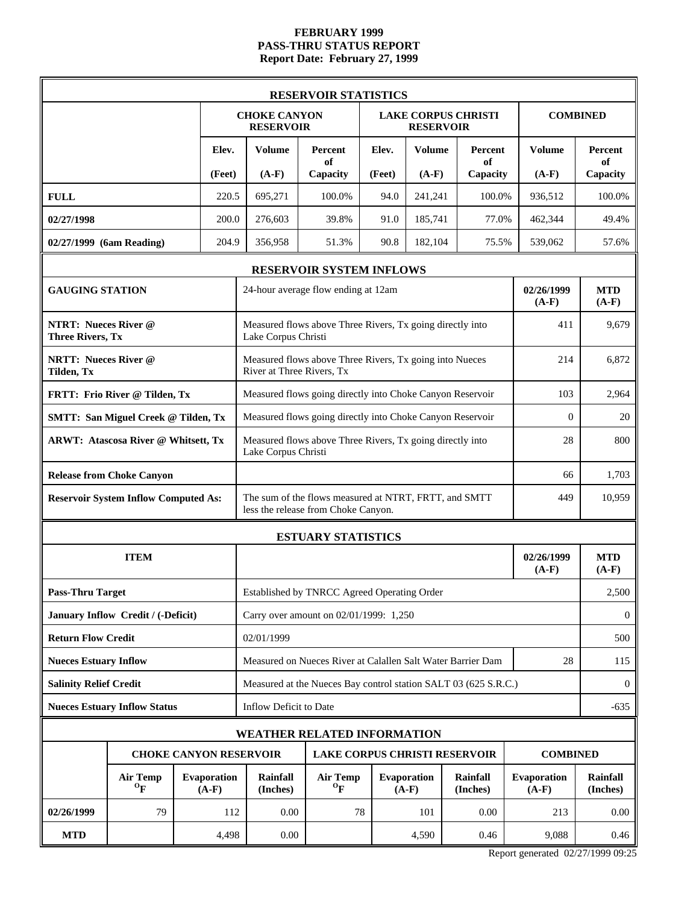### **FEBRUARY 1999 PASS-THRU STATUS REPORT Report Date: February 27, 1999**

| <b>RESERVOIR STATISTICS</b>                            |                                              |  |                        |                                                                                              |                                                           |                                      |                            |                                  |                          |                             |  |
|--------------------------------------------------------|----------------------------------------------|--|------------------------|----------------------------------------------------------------------------------------------|-----------------------------------------------------------|--------------------------------------|----------------------------|----------------------------------|--------------------------|-----------------------------|--|
|                                                        |                                              |  |                        | <b>CHOKE CANYON</b><br><b>RESERVOIR</b>                                                      |                                                           | <b>RESERVOIR</b>                     | <b>LAKE CORPUS CHRISTI</b> |                                  | <b>COMBINED</b>          |                             |  |
|                                                        | Elev.                                        |  | (Feet)                 | <b>Volume</b><br>$(A-F)$                                                                     | Percent<br>of<br>Capacity                                 | Elev.<br>(Feet)                      | <b>Volume</b><br>$(A-F)$   | <b>Percent</b><br>of<br>Capacity | <b>Volume</b><br>$(A-F)$ | Percent<br>of<br>Capacity   |  |
| <b>FULL</b>                                            |                                              |  | 220.5                  | 695,271                                                                                      | 100.0%                                                    | 94.0                                 | 241,241                    | 100.0%                           | 936,512                  | 100.0%                      |  |
| 02/27/1998                                             |                                              |  | 200.0                  | 276,603                                                                                      | 39.8%                                                     | 91.0                                 | 185,741                    | 77.0%                            | 462,344                  | 49.4%                       |  |
| 02/27/1999 (6am Reading)                               |                                              |  | 204.9                  | 356,958                                                                                      | 51.3%                                                     | 90.8                                 | 182,104                    | 75.5%                            | 539,062                  | 57.6%                       |  |
|                                                        |                                              |  |                        | <b>RESERVOIR SYSTEM INFLOWS</b>                                                              |                                                           |                                      |                            |                                  |                          |                             |  |
|                                                        | <b>GAUGING STATION</b>                       |  |                        |                                                                                              | 24-hour average flow ending at 12am                       | 02/26/1999<br>$(A-F)$                | <b>MTD</b><br>$(A-F)$      |                                  |                          |                             |  |
| <b>NTRT: Nueces River @</b><br><b>Three Rivers, Tx</b> |                                              |  |                        | Lake Corpus Christi                                                                          | Measured flows above Three Rivers, Tx going directly into |                                      |                            |                                  | 411                      | 9,679                       |  |
| <b>NRTT: Nueces River @</b><br>Tilden, Tx              |                                              |  |                        | River at Three Rivers, Tx                                                                    | Measured flows above Three Rivers, Tx going into Nueces   |                                      |                            |                                  | 214                      | 6,872                       |  |
|                                                        | FRTT: Frio River @ Tilden, Tx                |  |                        |                                                                                              | Measured flows going directly into Choke Canyon Reservoir | 103                                  | 2,964                      |                                  |                          |                             |  |
|                                                        | <b>SMTT: San Miguel Creek @ Tilden, Tx</b>   |  |                        |                                                                                              | Measured flows going directly into Choke Canyon Reservoir | $\theta$                             | 20                         |                                  |                          |                             |  |
|                                                        | <b>ARWT: Atascosa River @ Whitsett, Tx</b>   |  |                        | Lake Corpus Christi                                                                          | Measured flows above Three Rivers, Tx going directly into | 28                                   | 800                        |                                  |                          |                             |  |
|                                                        | <b>Release from Choke Canyon</b>             |  |                        |                                                                                              | 66                                                        | 1,703                                |                            |                                  |                          |                             |  |
|                                                        | <b>Reservoir System Inflow Computed As:</b>  |  |                        | The sum of the flows measured at NTRT, FRTT, and SMTT<br>less the release from Choke Canyon. | 449                                                       | 10,959                               |                            |                                  |                          |                             |  |
|                                                        |                                              |  |                        |                                                                                              | <b>ESTUARY STATISTICS</b>                                 |                                      |                            |                                  |                          |                             |  |
|                                                        | <b>ITEM</b>                                  |  |                        |                                                                                              |                                                           |                                      |                            |                                  | 02/26/1999<br>$(A-F)$    | <b>MTD</b><br>$(A-F)$       |  |
| <b>Pass-Thru Target</b>                                |                                              |  |                        | Established by TNRCC Agreed Operating Order                                                  |                                                           | 2,500                                |                            |                                  |                          |                             |  |
|                                                        | January Inflow Credit / (-Deficit)           |  |                        | Carry over amount on 02/01/1999: 1,250                                                       |                                                           |                                      |                            |                                  |                          |                             |  |
| <b>Return Flow Credit</b>                              |                                              |  |                        | 02/01/1999                                                                                   |                                                           |                                      |                            |                                  |                          |                             |  |
| <b>Nueces Estuary Inflow</b>                           |                                              |  |                        | Measured on Nueces River at Calallen Salt Water Barrier Dam<br>28                            |                                                           |                                      |                            |                                  |                          |                             |  |
| <b>Salinity Relief Credit</b>                          |                                              |  |                        | Measured at the Nueces Bay control station SALT 03 (625 S.R.C.)                              |                                                           |                                      |                            |                                  |                          |                             |  |
|                                                        | <b>Nueces Estuary Inflow Status</b>          |  |                        | Inflow Deficit to Date                                                                       |                                                           |                                      |                            |                                  |                          |                             |  |
| <b>WEATHER RELATED INFORMATION</b>                     |                                              |  |                        |                                                                                              |                                                           |                                      |                            |                                  |                          |                             |  |
|                                                        | <b>CHOKE CANYON RESERVOIR</b>                |  |                        |                                                                                              |                                                           | <b>LAKE CORPUS CHRISTI RESERVOIR</b> |                            |                                  | <b>COMBINED</b>          |                             |  |
|                                                        | <b>Air Temp</b><br>$\mathbf{O}_{\mathbf{F}}$ |  | Evaporation<br>$(A-F)$ | Rainfall<br>(Inches)                                                                         | <b>Air Temp</b><br>$\mathbf{O}_{\mathbf{F}}$              |                                      | Evaporation<br>$(A-F)$     | <b>Rainfall</b><br>(Inches)      | Evaporation<br>$(A-F)$   | <b>Rainfall</b><br>(Inches) |  |
| 02/26/1999                                             | 79                                           |  | 112                    | 0.00                                                                                         | 78                                                        |                                      | 101                        | 0.00                             | 213                      | 0.00                        |  |
| <b>MTD</b>                                             |                                              |  | 4,498                  | $0.00\,$                                                                                     |                                                           |                                      | 4,590                      | 0.46                             | 9,088                    | 0.46                        |  |

Report generated 02/27/1999 09:25